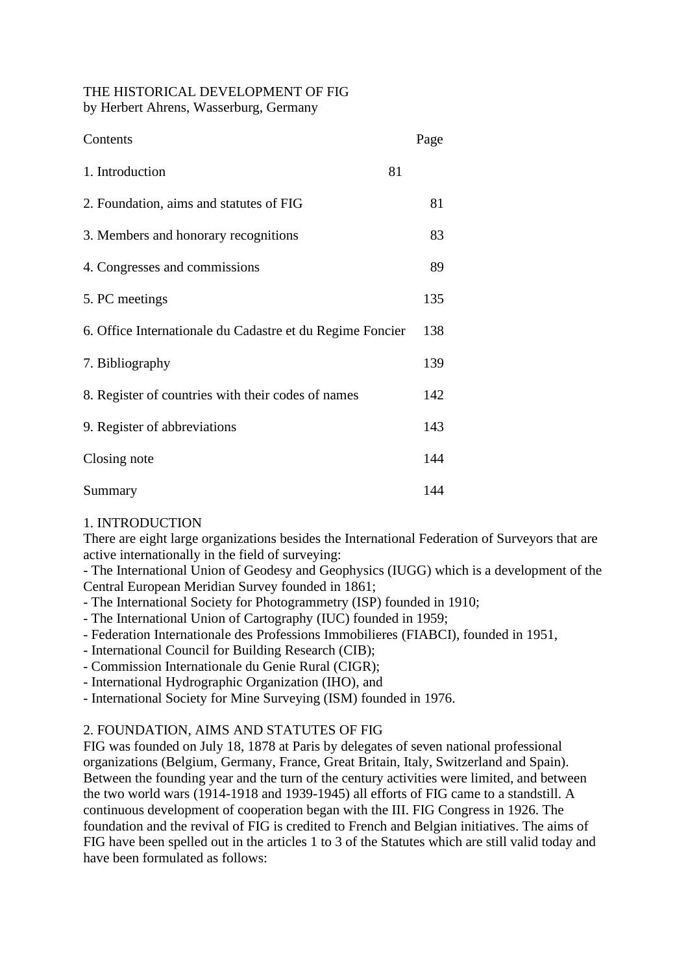# THE HISTORICAL DEVELOPMENT OF FIG

by Herbert Ahrens, Wasserburg, Germany

| Contents                                                  | Page |
|-----------------------------------------------------------|------|
| 1. Introduction                                           | 81   |
| 2. Foundation, aims and statutes of FIG                   | 81   |
| 3. Members and honorary recognitions                      | 83   |
| 4. Congresses and commissions                             | 89   |
| 5. PC meetings                                            | 135  |
| 6. Office Internationale du Cadastre et du Regime Foncier | 138  |
| 7. Bibliography                                           | 139  |
| 8. Register of countries with their codes of names        | 142  |
| 9. Register of abbreviations                              | 143  |
| Closing note                                              | 144  |
| Summary                                                   | 144  |

## 1. INTRODUCTION

There are eight large organizations besides the International Federation of Surveyors that are active internationally in the field of surveying:

- The International Union of Geodesy and Geophysics (IUGG) which is a development of the Central European Meridian Survey founded in 1861;

- The International Society for Photogrammetry (ISP) founded in 1910;
- The International Union of Cartography (IUC) founded in 1959;
- Federation Internationale des Professions Immobilieres (FIABCI), founded in 1951,
- International Council for Building Research (CIB);
- Commission Internationale du Genie Rural (CIGR);
- International Hydrographic Organization (IHO), and
- International Society for Mine Surveying (ISM) founded in 1976.

### 2. FOUNDATION, AIMS AND STATUTES OF FIG

FIG was founded on July 18, 1878 at Paris by delegates of seven national professional organizations (Belgium, Germany, France, Great Britain, Italy, Switzerland and Spain). Between the founding year and the turn of the century activities were limited, and between the two world wars (1914-1918 and 1939-1945) all efforts of FIG came to a standstill. A continuous development of cooperation began with the III. FIG Congress in 1926. The foundation and the revival of FIG is credited to French and Belgian initiatives. The aims of FIG have been spelled out in the articles 1 to 3 of the Statutes which are still valid today and have been formulated as follows: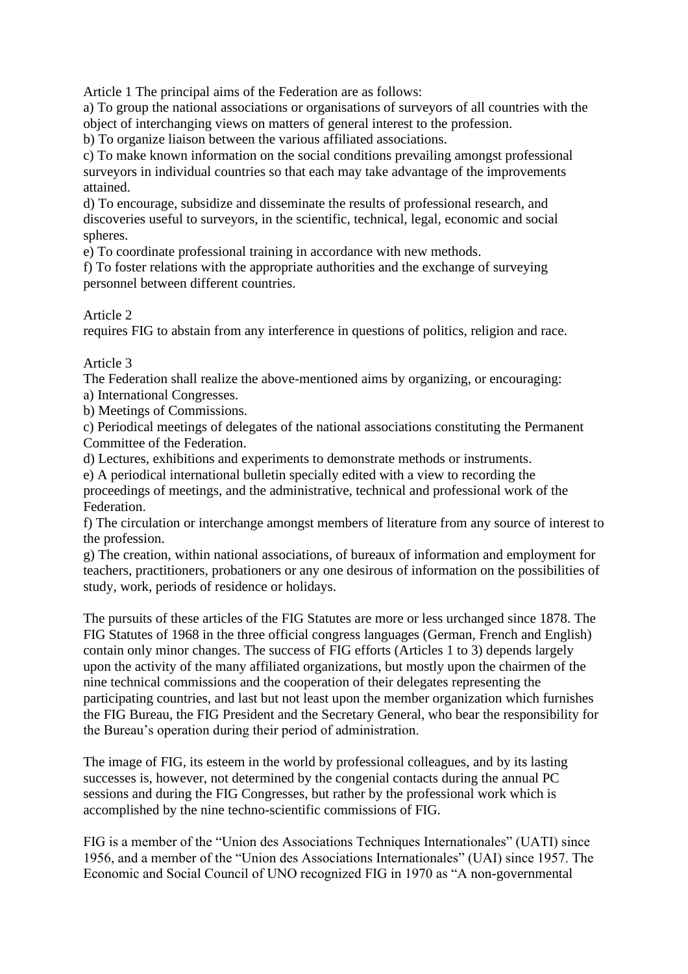Article 1 The principal aims of the Federation are as follows:

a) To group the national associations or organisations of surveyors of all countries with the object of interchanging views on matters of general interest to the profession.

b) To organize liaison between the various affiliated associations.

c) To make known information on the social conditions prevailing amongst professional surveyors in individual countries so that each may take advantage of the improvements attained.

d) To encourage, subsidize and disseminate the results of professional research, and discoveries useful to surveyors, in the scientific, technical, legal, economic and social spheres.

e) To coordinate professional training in accordance with new methods.

f) To foster relations with the appropriate authorities and the exchange of surveying personnel between different countries.

Article 2

requires FIG to abstain from any interference in questions of politics, religion and race.

#### Article 3

The Federation shall realize the above-mentioned aims by organizing, or encouraging:

a) International Congresses.

b) Meetings of Commissions.

c) Periodical meetings of delegates of the national associations constituting the Permanent Committee of the Federation.

d) Lectures, exhibitions and experiments to demonstrate methods or instruments.

e) A periodical international bulletin specially edited with a view to recording the proceedings of meetings, and the administrative, technical and professional work of the Federation.

f) The circulation or interchange amongst members of literature from any source of interest to the profession.

g) The creation, within national associations, of bureaux of information and employment for teachers, practitioners, probationers or any one desirous of information on the possibilities of study, work, periods of residence or holidays.

The pursuits of these articles of the FIG Statutes are more or less urchanged since 1878. The FIG Statutes of 1968 in the three official congress languages (German, French and English) contain only minor changes. The success of FIG efforts (Articles 1 to 3) depends largely upon the activity of the many affiliated organizations, but mostly upon the chairmen of the nine technical commissions and the cooperation of their delegates representing the participating countries, and last but not least upon the member organization which furnishes the FIG Bureau, the FIG President and the Secretary General, who bear the responsibility for the Bureau's operation during their period of administration.

The image of FIG, its esteem in the world by professional colleagues, and by its lasting successes is, however, not determined by the congenial contacts during the annual PC sessions and during the FIG Congresses, but rather by the professional work which is accomplished by the nine techno-scientific commissions of FIG.

FIG is a member of the "Union des Associations Techniques Internationales" (UATI) since 1956, and a member of the "Union des Associations Internationales" (UAI) since 1957. The Economic and Social Council of UNO recognized FIG in 1970 as "A non-governmental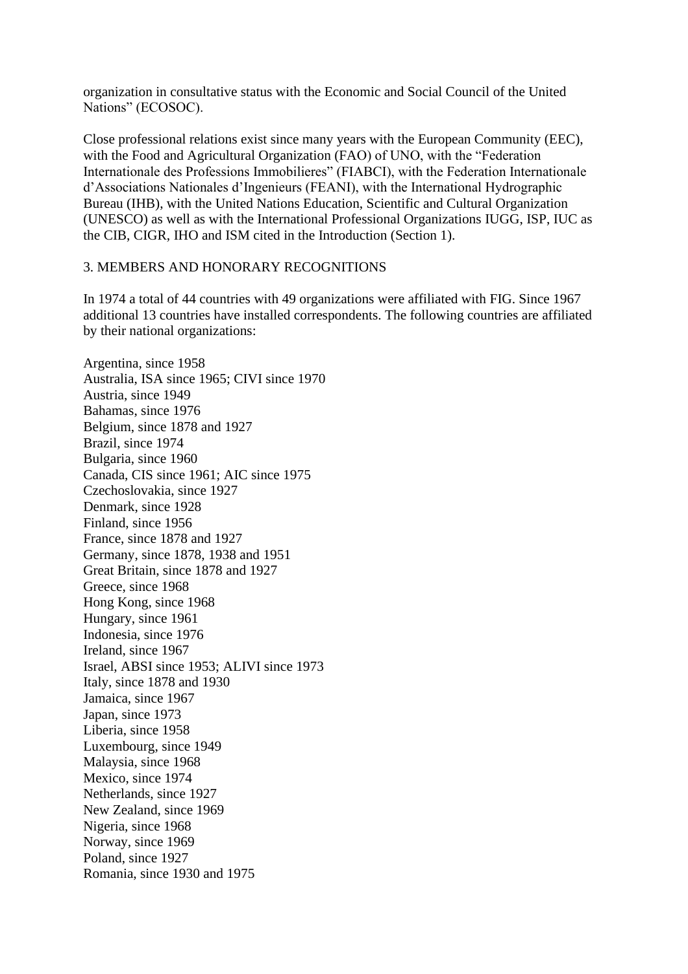organization in consultative status with the Economic and Social Council of the United Nations" (ECOSOC).

Close professional relations exist since many years with the European Community (EEC), with the Food and Agricultural Organization (FAO) of UNO, with the "Federation Internationale des Professions Immobilieres" (FIABCI), with the Federation Internationale d'Associations Nationales d'Ingenieurs (FEANI), with the International Hydrographic Bureau (IHB), with the United Nations Education, Scientific and Cultural Organization (UNESCO) as well as with the International Professional Organizations IUGG, ISP, IUC as the CIB, CIGR, IHO and ISM cited in the Introduction (Section 1).

#### 3. MEMBERS AND HONORARY RECOGNITIONS

In 1974 a total of 44 countries with 49 organizations were affiliated with FIG. Since 1967 additional 13 countries have installed correspondents. The following countries are affiliated by their national organizations:

Argentina, since 1958 Australia, ISA since 1965; CIVI since 1970 Austria, since 1949 Bahamas, since 1976 Belgium, since 1878 and 1927 Brazil, since 1974 Bulgaria, since 1960 Canada, CIS since 1961; AIC since 1975 Czechoslovakia, since 1927 Denmark, since 1928 Finland, since 1956 France, since 1878 and 1927 Germany, since 1878, 1938 and 1951 Great Britain, since 1878 and 1927 Greece, since 1968 Hong Kong, since 1968 Hungary, since 1961 Indonesia, since 1976 Ireland, since 1967 Israel, ABSI since 1953; ALIVI since 1973 Italy, since 1878 and 1930 Jamaica, since 1967 Japan, since 1973 Liberia, since 1958 Luxembourg, since 1949 Malaysia, since 1968 Mexico, since 1974 Netherlands, since 1927 New Zealand, since 1969 Nigeria, since 1968 Norway, since 1969 Poland, since 1927 Romania, since 1930 and 1975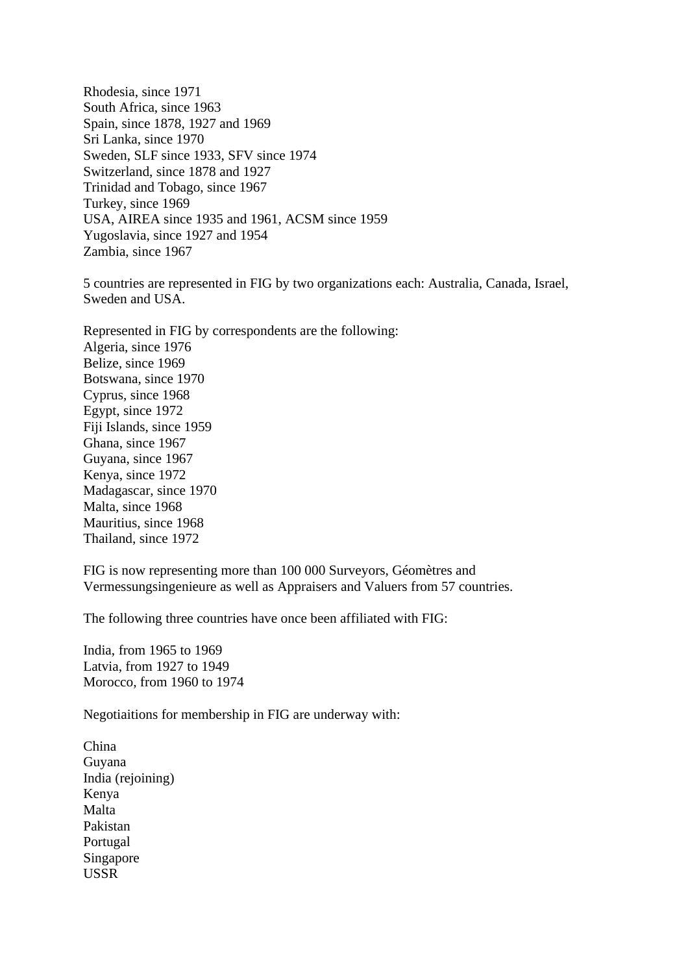Rhodesia, since 1971 South Africa, since 1963 Spain, since 1878, 1927 and 1969 Sri Lanka, since 1970 Sweden, SLF since 1933, SFV since 1974 Switzerland, since 1878 and 1927 Trinidad and Tobago, since 1967 Turkey, since 1969 USA, AIREA since 1935 and 1961, ACSM since 1959 Yugoslavia, since 1927 and 1954 Zambia, since 1967

5 countries are represented in FIG by two organizations each: Australia, Canada, Israel, Sweden and USA.

Represented in FIG by correspondents are the following: Algeria, since 1976 Belize, since 1969 Botswana, since 1970 Cyprus, since 1968 Egypt, since 1972 Fiji Islands, since 1959 Ghana, since 1967 Guyana, since 1967 Kenya, since 1972 Madagascar, since 1970 Malta, since 1968 Mauritius, since 1968 Thailand, since 1972

FIG is now representing more than 100 000 Surveyors, Géomètres and Vermessungsingenieure as well as Appraisers and Valuers from 57 countries.

The following three countries have once been affiliated with FIG:

India, from 1965 to 1969 Latvia, from 1927 to 1949 Morocco, from 1960 to 1974

Negotiaitions for membership in FIG are underway with:

China Guyana India (rejoining) Kenya Malta Pakistan Portugal Singapore USSR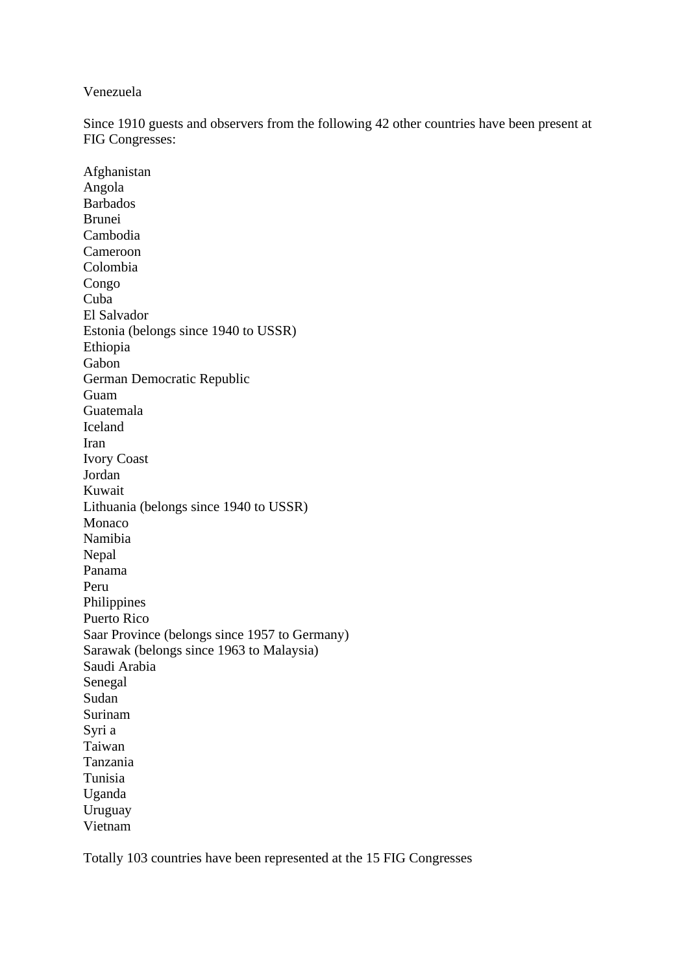#### Venezuela

Since 1910 guests and observers from the following 42 other countries have been present at FIG Congresses:

Afghanistan Angola Barbados Brunei Cambodia Cameroon Colombia Congo Cuba El Salvador Estonia (belongs since 1940 to USSR) Ethiopia Gabon German Democratic Republic Guam Guatemala Iceland Iran Ivory Coast Jordan Kuwait Lithuania (belongs since 1940 to USSR) Monaco Namibia Nepal Panama Peru Philippines Puerto Rico Saar Province (belongs since 1957 to Germany) Sarawak (belongs since 1963 to Malaysia) Saudi Arabia Senegal Sudan Surinam Syri a Taiwan Tanzania Tunisia Uganda Uruguay Vietnam

Totally 103 countries have been represented at the 15 FIG Congresses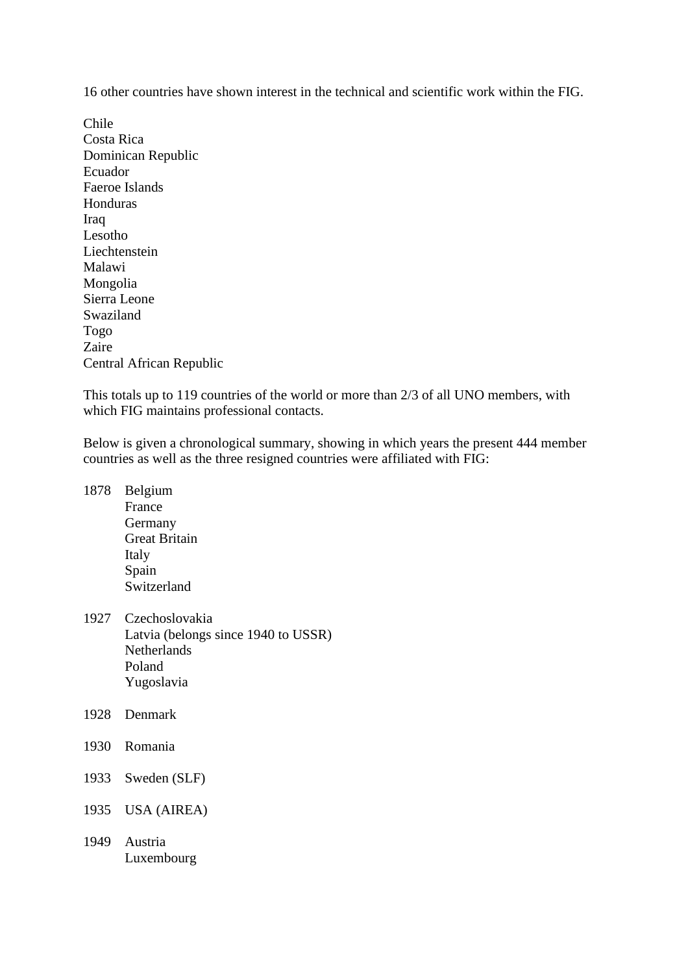16 other countries have shown interest in the technical and scientific work within the FIG.

Chile Costa Rica Dominican Republic Ecuador Faeroe Islands Honduras Iraq Lesotho Liechtenstein Malawi Mongolia Sierra Leone Swaziland Togo Zaire Central African Republic

This totals up to 119 countries of the world or more than 2/3 of all UNO members, with which FIG maintains professional contacts.

Below is given a chronological summary, showing in which years the present 444 member countries as well as the three resigned countries were affiliated with FIG:

- 1878 Belgium France Germany Great Britain Italy Spain Switzerland
- 1927 Czechoslovakia Latvia (belongs since 1940 to USSR) Netherlands Poland Yugoslavia
- 1928 Denmark
- 1930 Romania
- 1933 Sweden (SLF)
- 1935 USA (AIREA)
- 1949 Austria Luxembourg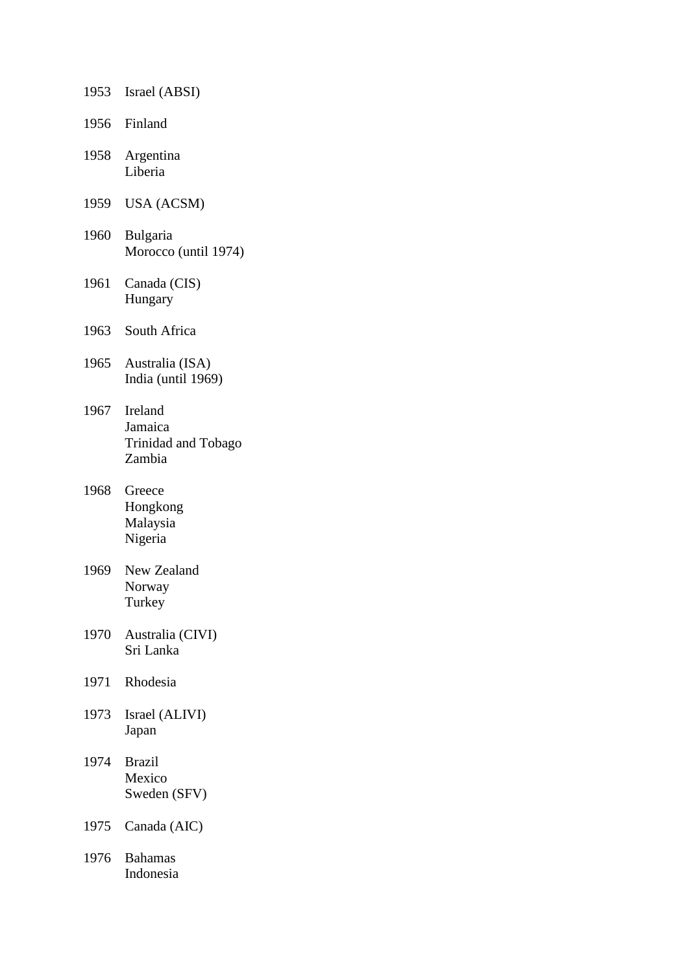| 1953 | Israel (ABSI)                                       |
|------|-----------------------------------------------------|
| 1956 | Finland                                             |
| 1958 | Argentina<br>Liberia                                |
| 1959 | <b>USA (ACSM)</b>                                   |
| 1960 | Bulgaria<br>Morocco (until 1974)                    |
| 1961 | Canada (CIS)<br>Hungary                             |
| 1963 | South Africa                                        |
| 1965 | Australia (ISA)<br>India (until 1969)               |
| 1967 | Ireland<br>Jamaica<br>Trinidad and Tobago<br>Zambia |
| 1968 | Greece<br>Hongkong<br>Malaysia<br>Nigeria           |
| 1969 | New Zealand<br>Norway<br>Turkey                     |
| 1970 | Australia (CIVI)<br>Sri Lanka                       |
| 1971 | Rhodesia                                            |
| 1973 | Israel (ALIVI)<br>Japan                             |
| 1974 | <b>Brazil</b><br>Mexico<br>Sweden (SFV)             |
| 1975 | Canada (AIC)                                        |
| 1976 | <b>Bahamas</b><br>Indonesia                         |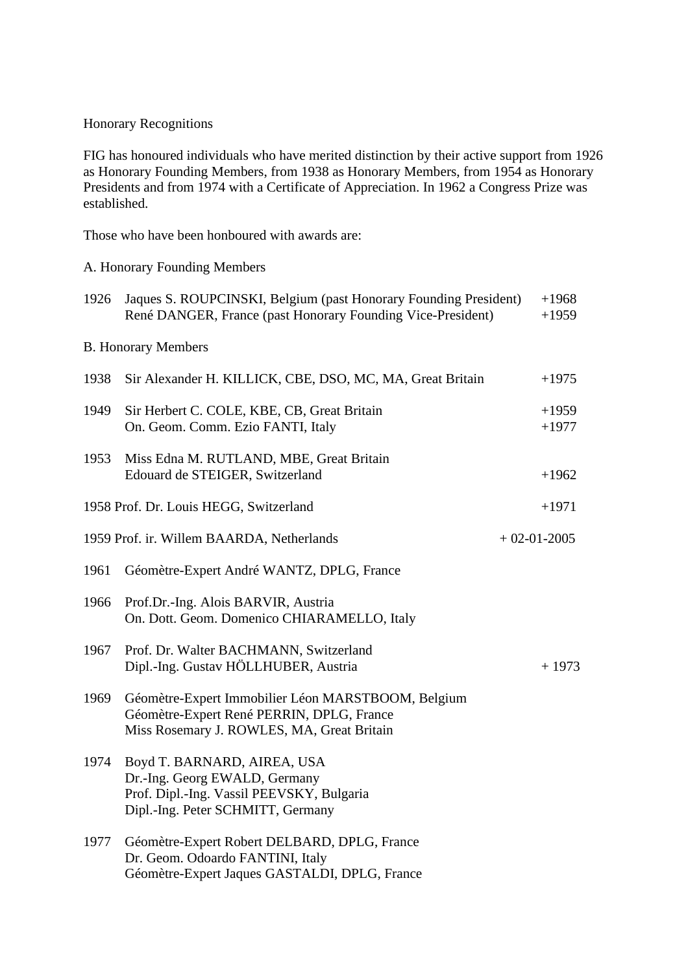#### Honorary Recognitions

FIG has honoured individuals who have merited distinction by their active support from 1926 as Honorary Founding Members, from 1938 as Honorary Members, from 1954 as Honorary Presidents and from 1974 with a Certificate of Appreciation. In 1962 a Congress Prize was established.

Those who have been honboured with awards are:

#### A. Honorary Founding Members

| 1926 | Jaques S. ROUPCINSKI, Belgium (past Honorary Founding President)<br>René DANGER, France (past Honorary Founding Vice-President)                |               | $+1968$<br>$+1959$ |
|------|------------------------------------------------------------------------------------------------------------------------------------------------|---------------|--------------------|
|      | <b>B.</b> Honorary Members                                                                                                                     |               |                    |
| 1938 | Sir Alexander H. KILLICK, CBE, DSO, MC, MA, Great Britain                                                                                      |               | $+1975$            |
| 1949 | Sir Herbert C. COLE, KBE, CB, Great Britain<br>On. Geom. Comm. Ezio FANTI, Italy                                                               |               | $+1959$<br>$+1977$ |
| 1953 | Miss Edna M. RUTLAND, MBE, Great Britain<br>Edouard de STEIGER, Switzerland                                                                    |               | $+1962$            |
|      | 1958 Prof. Dr. Louis HEGG, Switzerland                                                                                                         |               | $+1971$            |
|      | 1959 Prof. ir. Willem BAARDA, Netherlands                                                                                                      | $+02-01-2005$ |                    |
| 1961 | Géomètre-Expert André WANTZ, DPLG, France                                                                                                      |               |                    |
| 1966 | Prof.Dr.-Ing. Alois BARVIR, Austria<br>On. Dott. Geom. Domenico CHIARAMELLO, Italy                                                             |               |                    |
| 1967 | Prof. Dr. Walter BACHMANN, Switzerland<br>Dipl.-Ing. Gustav HÖLLHUBER, Austria                                                                 |               | $+1973$            |
| 1969 | Géomètre-Expert Immobilier Léon MARSTBOOM, Belgium<br>Géomètre-Expert René PERRIN, DPLG, France<br>Miss Rosemary J. ROWLES, MA, Great Britain  |               |                    |
| 1974 | Boyd T. BARNARD, AIREA, USA<br>Dr.-Ing. Georg EWALD, Germany<br>Prof. Dipl.-Ing. Vassil PEEVSKY, Bulgaria<br>Dipl.-Ing. Peter SCHMITT, Germany |               |                    |
| 1977 | Géomètre-Expert Robert DELBARD, DPLG, France<br>Dr. Geom. Odoardo FANTINI, Italy<br>Géomètre-Expert Jaques GASTALDI, DPLG, France              |               |                    |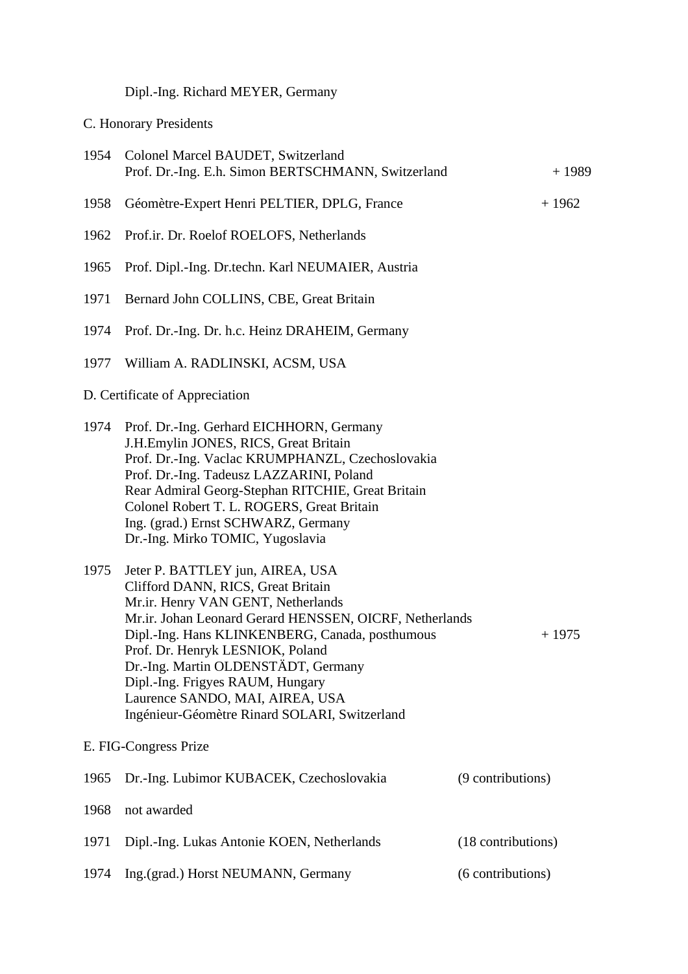# Dipl.-Ing. Richard MEYER, Germany

C. Honorary Presidents

|      | 1954 Colonel Marcel BAUDET, Switzerland<br>Prof. Dr.-Ing. E.h. Simon BERTSCHMANN, Switzerland                                                                                                                                                                                                                                                                                                                                 | $+1989$            |
|------|-------------------------------------------------------------------------------------------------------------------------------------------------------------------------------------------------------------------------------------------------------------------------------------------------------------------------------------------------------------------------------------------------------------------------------|--------------------|
| 1958 | Géomètre-Expert Henri PELTIER, DPLG, France                                                                                                                                                                                                                                                                                                                                                                                   | $+1962$            |
| 1962 | Prof.ir. Dr. Roelof ROELOFS, Netherlands                                                                                                                                                                                                                                                                                                                                                                                      |                    |
| 1965 | Prof. Dipl.-Ing. Dr.techn. Karl NEUMAIER, Austria                                                                                                                                                                                                                                                                                                                                                                             |                    |
| 1971 | Bernard John COLLINS, CBE, Great Britain                                                                                                                                                                                                                                                                                                                                                                                      |                    |
| 1974 | Prof. Dr.-Ing. Dr. h.c. Heinz DRAHEIM, Germany                                                                                                                                                                                                                                                                                                                                                                                |                    |
| 1977 | William A. RADLINSKI, ACSM, USA                                                                                                                                                                                                                                                                                                                                                                                               |                    |
|      | D. Certificate of Appreciation                                                                                                                                                                                                                                                                                                                                                                                                |                    |
| 1974 | Prof. Dr.-Ing. Gerhard EICHHORN, Germany<br>J.H.Emylin JONES, RICS, Great Britain<br>Prof. Dr.-Ing. Vaclac KRUMPHANZL, Czechoslovakia<br>Prof. Dr.-Ing. Tadeusz LAZZARINI, Poland<br>Rear Admiral Georg-Stephan RITCHIE, Great Britain<br>Colonel Robert T. L. ROGERS, Great Britain<br>Ing. (grad.) Ernst SCHWARZ, Germany<br>Dr.-Ing. Mirko TOMIC, Yugoslavia                                                               |                    |
| 1975 | Jeter P. BATTLEY jun, AIREA, USA<br>Clifford DANN, RICS, Great Britain<br>Mr.ir. Henry VAN GENT, Netherlands<br>Mr.ir. Johan Leonard Gerard HENSSEN, OICRF, Netherlands<br>Dipl.-Ing. Hans KLINKENBERG, Canada, posthumous<br>Prof. Dr. Henryk LESNIOK, Poland<br>Dr.-Ing. Martin OLDENSTÄDT, Germany<br>Dipl.-Ing. Frigyes RAUM, Hungary<br>Laurence SANDO, MAI, AIREA, USA<br>Ingénieur-Géomètre Rinard SOLARI, Switzerland | $+1975$            |
|      | E. FIG-Congress Prize                                                                                                                                                                                                                                                                                                                                                                                                         |                    |
| 1965 | Dr.-Ing. Lubimor KUBACEK, Czechoslovakia                                                                                                                                                                                                                                                                                                                                                                                      | (9 contributions)  |
| 1968 | not awarded                                                                                                                                                                                                                                                                                                                                                                                                                   |                    |
| 1971 | Dipl.-Ing. Lukas Antonie KOEN, Netherlands                                                                                                                                                                                                                                                                                                                                                                                    | (18 contributions) |
| 1974 | Ing.(grad.) Horst NEUMANN, Germany                                                                                                                                                                                                                                                                                                                                                                                            | (6 contributions)  |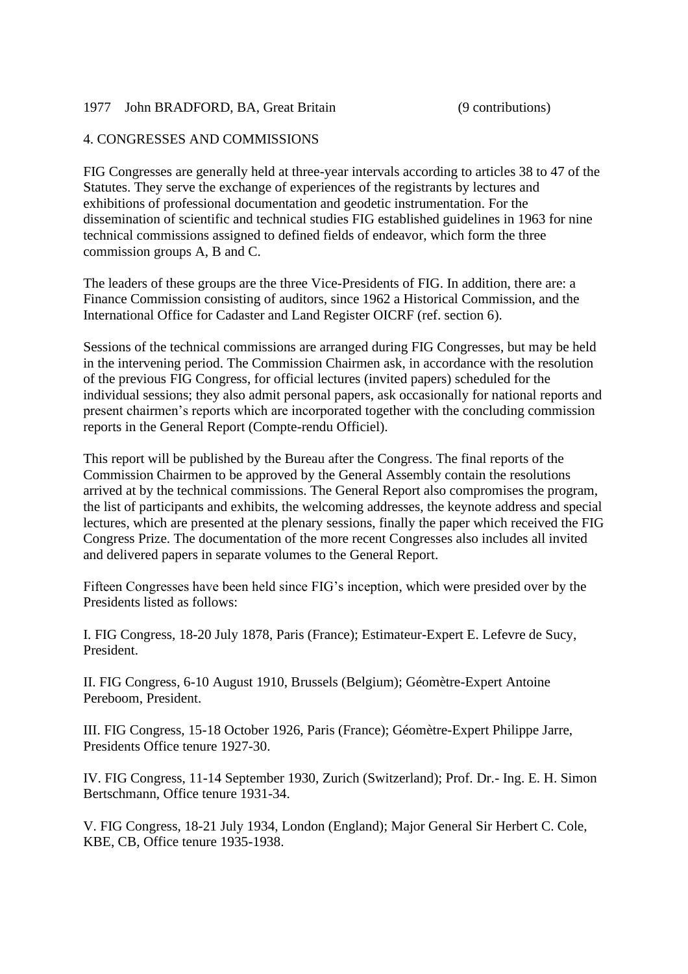#### 1977 John BRADFORD, BA, Great Britain (9 contributions)

#### 4. CONGRESSES AND COMMISSIONS

FIG Congresses are generally held at three-year intervals according to articles 38 to 47 of the Statutes. They serve the exchange of experiences of the registrants by lectures and exhibitions of professional documentation and geodetic instrumentation. For the dissemination of scientific and technical studies FIG established guidelines in 1963 for nine technical commissions assigned to defined fields of endeavor, which form the three commission groups A, B and C.

The leaders of these groups are the three Vice-Presidents of FIG. In addition, there are: a Finance Commission consisting of auditors, since 1962 a Historical Commission, and the International Office for Cadaster and Land Register OICRF (ref. section 6).

Sessions of the technical commissions are arranged during FIG Congresses, but may be held in the intervening period. The Commission Chairmen ask, in accordance with the resolution of the previous FIG Congress, for official lectures (invited papers) scheduled for the individual sessions; they also admit personal papers, ask occasionally for national reports and present chairmen's reports which are incorporated together with the concluding commission reports in the General Report (Compte-rendu Officiel).

This report will be published by the Bureau after the Congress. The final reports of the Commission Chairmen to be approved by the General Assembly contain the resolutions arrived at by the technical commissions. The General Report also compromises the program, the list of participants and exhibits, the welcoming addresses, the keynote address and special lectures, which are presented at the plenary sessions, finally the paper which received the FIG Congress Prize. The documentation of the more recent Congresses also includes all invited and delivered papers in separate volumes to the General Report.

Fifteen Congresses have been held since FIG's inception, which were presided over by the Presidents listed as follows:

I. FIG Congress, 18-20 July 1878, Paris (France); Estimateur-Expert E. Lefevre de Sucy, President.

II. FIG Congress, 6-10 August 1910, Brussels (Belgium); Géomètre-Expert Antoine Pereboom, President.

III. FIG Congress, 15-18 October 1926, Paris (France); Géomètre-Expert Philippe Jarre, Presidents Office tenure 1927-30.

IV. FIG Congress, 11-14 September 1930, Zurich (Switzerland); Prof. Dr.- Ing. E. H. Simon Bertschmann, Office tenure 1931-34.

V. FIG Congress, 18-21 July 1934, London (England); Major General Sir Herbert C. Cole, KBE, CB, Office tenure 1935-1938.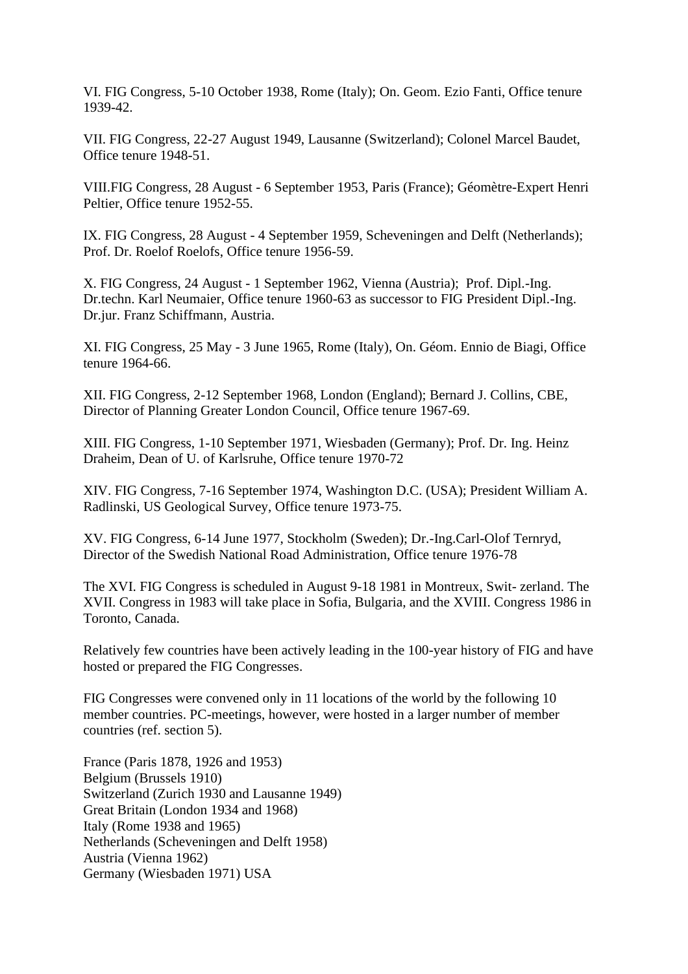VI. FIG Congress, 5-10 October 1938, Rome (Italy); On. Geom. Ezio Fanti, Office tenure 1939-42.

VII. FIG Congress, 22-27 August 1949, Lausanne (Switzerland); Colonel Marcel Baudet, Office tenure 1948-51.

VIII.FIG Congress, 28 August - 6 September 1953, Paris (France); Géomètre-Expert Henri Peltier, Office tenure 1952-55.

IX. FIG Congress, 28 August - 4 September 1959, Scheveningen and Delft (Netherlands); Prof. Dr. Roelof Roelofs, Office tenure 1956-59.

X. FIG Congress, 24 August - 1 September 1962, Vienna (Austria); Prof. Dipl.-Ing. Dr.techn. Karl Neumaier, Office tenure 1960-63 as successor to FIG President Dipl.-Ing. Dr.jur. Franz Schiffmann, Austria.

XI. FIG Congress, 25 May - 3 June 1965, Rome (Italy), On. Géom. Ennio de Biagi, Office tenure 1964-66.

XII. FIG Congress, 2-12 September 1968, London (England); Bernard J. Collins, CBE, Director of Planning Greater London Council, Office tenure 1967-69.

XIII. FIG Congress, 1-10 September 1971, Wiesbaden (Germany); Prof. Dr. Ing. Heinz Draheim, Dean of U. of Karlsruhe, Office tenure 1970-72

XIV. FIG Congress, 7-16 September 1974, Washington D.C. (USA); President William A. Radlinski, US Geological Survey, Office tenure 1973-75.

XV. FIG Congress, 6-14 June 1977, Stockholm (Sweden); Dr.-Ing.Carl-Olof Ternryd, Director of the Swedish National Road Administration, Office tenure 1976-78

The XVI. FIG Congress is scheduled in August 9-18 1981 in Montreux, Swit- zerland. The XVII. Congress in 1983 will take place in Sofia, Bulgaria, and the XVIII. Congress 1986 in Toronto, Canada.

Relatively few countries have been actively leading in the 100-year history of FIG and have hosted or prepared the FIG Congresses.

FIG Congresses were convened only in 11 locations of the world by the following 10 member countries. PC-meetings, however, were hosted in a larger number of member countries (ref. section 5).

France (Paris 1878, 1926 and 1953) Belgium (Brussels 1910) Switzerland (Zurich 1930 and Lausanne 1949) Great Britain (London 1934 and 1968) Italy (Rome 1938 and 1965) Netherlands (Scheveningen and Delft 1958) Austria (Vienna 1962) Germany (Wiesbaden 1971) USA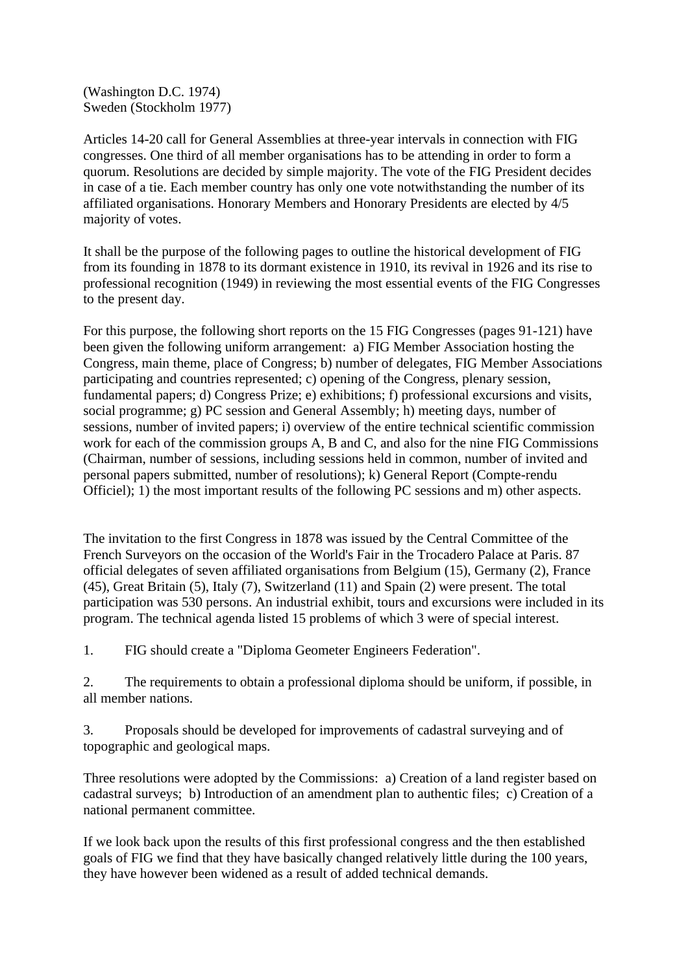(Washington D.C. 1974) Sweden (Stockholm 1977)

Articles 14-20 call for General Assemblies at three-year intervals in connection with FIG congresses. One third of all member organisations has to be attending in order to form a quorum. Resolutions are decided by simple majority. The vote of the FIG President decides in case of a tie. Each member country has only one vote notwithstanding the number of its affiliated organisations. Honorary Members and Honorary Presidents are elected by 4/5 majority of votes.

It shall be the purpose of the following pages to outline the historical development of FIG from its founding in 1878 to its dormant existence in 1910, its revival in 1926 and its rise to professional recognition (1949) in reviewing the most essential events of the FIG Congresses to the present day.

For this purpose, the following short reports on the 15 FIG Congresses (pages 91-121) have been given the following uniform arrangement: a) FIG Member Association hosting the Congress, main theme, place of Congress; b) number of delegates, FIG Member Associations participating and countries represented; c) opening of the Congress, plenary session, fundamental papers; d) Congress Prize; e) exhibitions; f) professional excursions and visits, social programme; g) PC session and General Assembly; h) meeting days, number of sessions, number of invited papers; i) overview of the entire technical scientific commission work for each of the commission groups A, B and C, and also for the nine FIG Commissions (Chairman, number of sessions, including sessions held in common, number of invited and personal papers submitted, number of resolutions); k) General Report (Compte-rendu Officiel); 1) the most important results of the following PC sessions and m) other aspects.

The invitation to the first Congress in 1878 was issued by the Central Committee of the French Surveyors on the occasion of the World's Fair in the Trocadero Palace at Paris. 87 official delegates of seven affiliated organisations from Belgium (15), Germany (2), France (45), Great Britain (5), Italy (7), Switzerland (11) and Spain (2) were present. The total participation was 530 persons. An industrial exhibit, tours and excursions were included in its program. The technical agenda listed 15 problems of which 3 were of special interest.

1. FIG should create a "Diploma Geometer Engineers Federation".

2. The requirements to obtain a professional diploma should be uniform, if possible, in all member nations.

3. Proposals should be developed for improvements of cadastral surveying and of topographic and geological maps.

Three resolutions were adopted by the Commissions: a) Creation of a land register based on cadastral surveys; b) Introduction of an amendment plan to authentic files; c) Creation of a national permanent committee.

If we look back upon the results of this first professional congress and the then established goals of FIG we find that they have basically changed relatively little during the 100 years, they have however been widened as a result of added technical demands.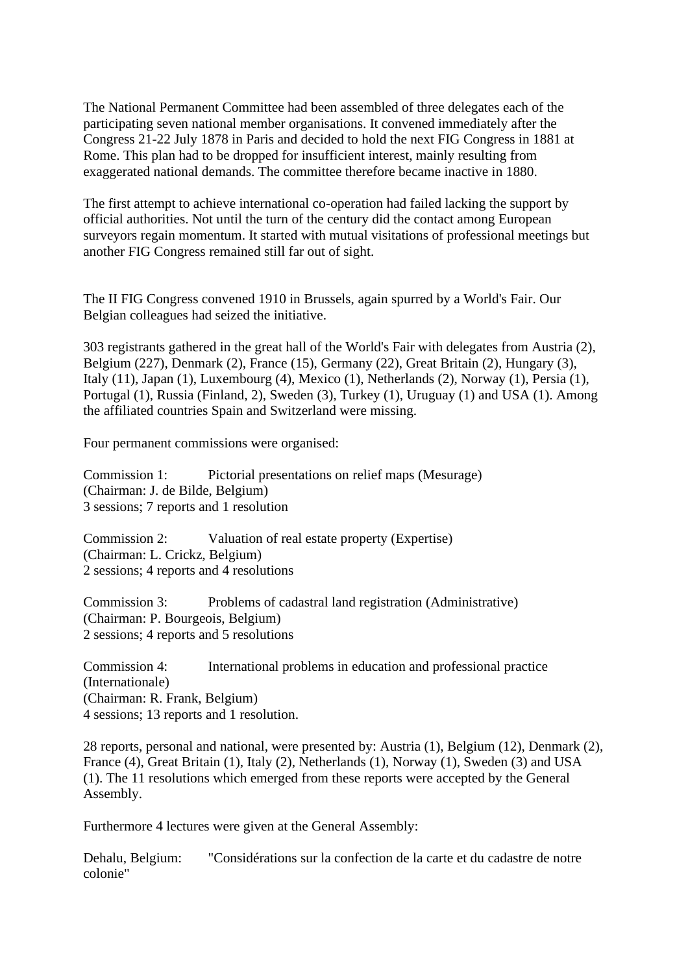The National Permanent Committee had been assembled of three delegates each of the participating seven national member organisations. It convened immediately after the Congress 21-22 July 1878 in Paris and decided to hold the next FIG Congress in 1881 at Rome. This plan had to be dropped for insufficient interest, mainly resulting from exaggerated national demands. The committee therefore became inactive in 1880.

The first attempt to achieve international co-operation had failed lacking the support by official authorities. Not until the turn of the century did the contact among European surveyors regain momentum. It started with mutual visitations of professional meetings but another FIG Congress remained still far out of sight.

The II FIG Congress convened 1910 in Brussels, again spurred by a World's Fair. Our Belgian colleagues had seized the initiative.

303 registrants gathered in the great hall of the World's Fair with delegates from Austria (2), Belgium (227), Denmark (2), France (15), Germany (22), Great Britain (2), Hungary (3), Italy (11), Japan (1), Luxembourg (4), Mexico (1), Netherlands (2), Norway (1), Persia (1), Portugal (1), Russia (Finland, 2), Sweden (3), Turkey (1), Uruguay (1) and USA (1). Among the affiliated countries Spain and Switzerland were missing.

Four permanent commissions were organised:

Commission 1: Pictorial presentations on relief maps (Mesurage) (Chairman: J. de Bilde, Belgium) 3 sessions; 7 reports and 1 resolution

Commission 2: Valuation of real estate property (Expertise) (Chairman: L. Crickz, Belgium) 2 sessions; 4 reports and 4 resolutions

Commission 3: Problems of cadastral land registration (Administrative) (Chairman: P. Bourgeois, Belgium) 2 sessions; 4 reports and 5 resolutions

Commission 4: International problems in education and professional practice (Internationale) (Chairman: R. Frank, Belgium) 4 sessions; 13 reports and 1 resolution.

28 reports, personal and national, were presented by: Austria (1), Belgium (12), Denmark (2), France (4), Great Britain (1), Italy (2), Netherlands (1), Norway (1), Sweden (3) and USA (1). The 11 resolutions which emerged from these reports were accepted by the General Assembly.

Furthermore 4 lectures were given at the General Assembly:

Dehalu, Belgium: "Considérations sur la confection de la carte et du cadastre de notre colonie"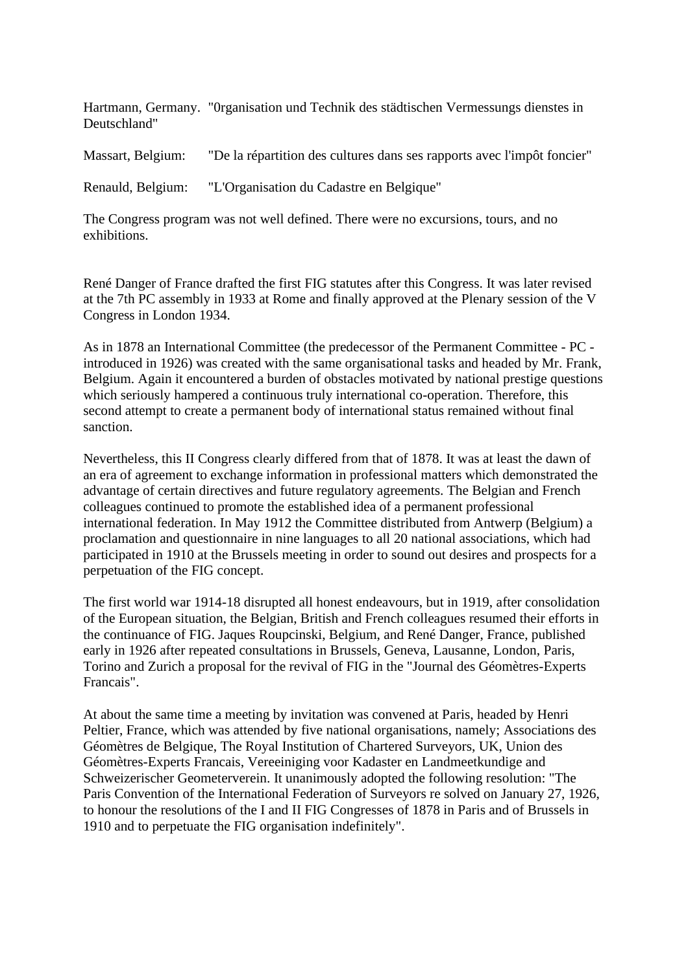Hartmann, Germany. "0rganisation und Technik des städtischen Vermessungs dienstes in Deutschland"

Massart, Belgium: "De la répartition des cultures dans ses rapports avec l'impôt foncier"

Renauld, Belgium: "L'Organisation du Cadastre en Belgique"

The Congress program was not well defined. There were no excursions, tours, and no exhibitions.

René Danger of France drafted the first FIG statutes after this Congress. It was later revised at the 7th PC assembly in 1933 at Rome and finally approved at the Plenary session of the V Congress in London 1934.

As in 1878 an International Committee (the predecessor of the Permanent Committee - PC introduced in 1926) was created with the same organisational tasks and headed by Mr. Frank, Belgium. Again it encountered a burden of obstacles motivated by national prestige questions which seriously hampered a continuous truly international co-operation. Therefore, this second attempt to create a permanent body of international status remained without final sanction.

Nevertheless, this II Congress clearly differed from that of 1878. It was at least the dawn of an era of agreement to exchange information in professional matters which demonstrated the advantage of certain directives and future regulatory agreements. The Belgian and French colleagues continued to promote the established idea of a permanent professional international federation. In May 1912 the Committee distributed from Antwerp (Belgium) a proclamation and questionnaire in nine languages to all 20 national associations, which had participated in 1910 at the Brussels meeting in order to sound out desires and prospects for a perpetuation of the FIG concept.

The first world war 1914-18 disrupted all honest endeavours, but in 1919, after consolidation of the European situation, the Belgian, British and French colleagues resumed their efforts in the continuance of FIG. Jaques Roupcinski, Belgium, and René Danger, France, published early in 1926 after repeated consultations in Brussels, Geneva, Lausanne, London, Paris, Torino and Zurich a proposal for the revival of FIG in the "Journal des Géomètres-Experts Francais".

At about the same time a meeting by invitation was convened at Paris, headed by Henri Peltier, France, which was attended by five national organisations, namely; Associations des Géomètres de Belgique, The Royal Institution of Chartered Surveyors, UK, Union des Géomètres-Experts Francais, Vereeiniging voor Kadaster en Landmeetkundige and Schweizerischer Geometerverein. It unanimously adopted the following resolution: "The Paris Convention of the International Federation of Surveyors re solved on January 27, 1926, to honour the resolutions of the I and II FIG Congresses of 1878 in Paris and of Brussels in 1910 and to perpetuate the FIG organisation indefinitely".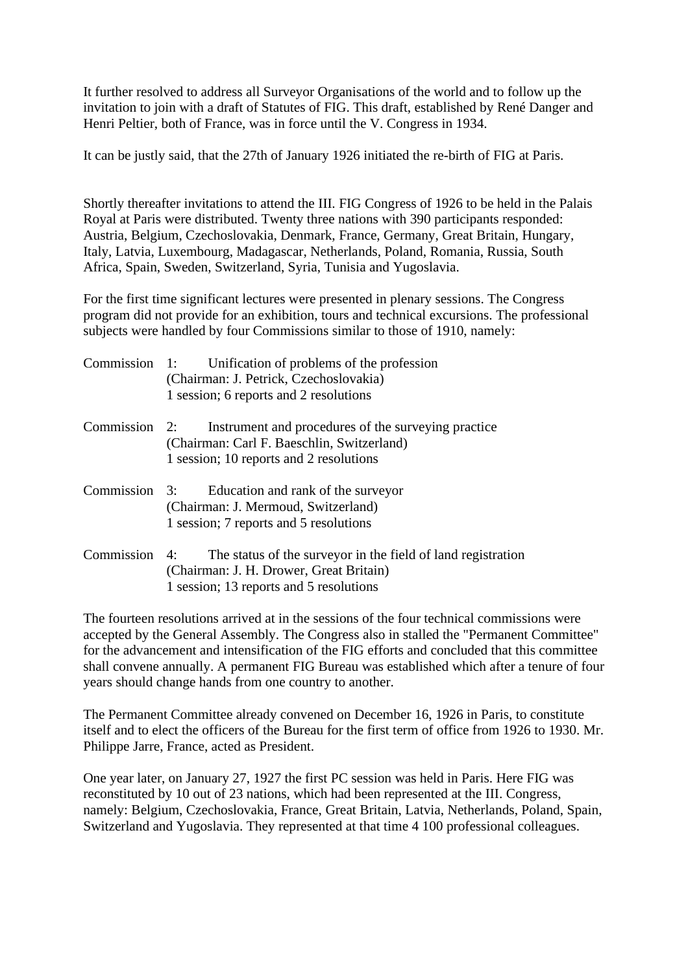It further resolved to address all Surveyor Organisations of the world and to follow up the invitation to join with a draft of Statutes of FIG. This draft, established by René Danger and Henri Peltier, both of France, was in force until the V. Congress in 1934.

It can be justly said, that the 27th of January 1926 initiated the re-birth of FIG at Paris.

Shortly thereafter invitations to attend the III. FIG Congress of 1926 to be held in the Palais Royal at Paris were distributed. Twenty three nations with 390 participants responded: Austria, Belgium, Czechoslovakia, Denmark, France, Germany, Great Britain, Hungary, Italy, Latvia, Luxembourg, Madagascar, Netherlands, Poland, Romania, Russia, South Africa, Spain, Sweden, Switzerland, Syria, Tunisia and Yugoslavia.

For the first time significant lectures were presented in plenary sessions. The Congress program did not provide for an exhibition, tours and technical excursions. The professional subjects were handled by four Commissions similar to those of 1910, namely:

| Commission 1: | Unification of problems of the profession<br>(Chairman: J. Petrick, Czechoslovakia)<br>1 session; 6 reports and 2 resolutions                            |
|---------------|----------------------------------------------------------------------------------------------------------------------------------------------------------|
| Commission 2: | Instrument and procedures of the surveying practice<br>(Chairman: Carl F. Baeschlin, Switzerland)<br>1 session; 10 reports and 2 resolutions             |
| Commission 3: | Education and rank of the surveyor<br>(Chairman: J. Mermoud, Switzerland)<br>1 session; 7 reports and 5 resolutions                                      |
| Commission    | The status of the surveyor in the field of land registration<br>4:<br>(Chairman: J. H. Drower, Great Britain)<br>1 session; 13 reports and 5 resolutions |

The fourteen resolutions arrived at in the sessions of the four technical commissions were accepted by the General Assembly. The Congress also in stalled the "Permanent Committee" for the advancement and intensification of the FIG efforts and concluded that this committee shall convene annually. A permanent FIG Bureau was established which after a tenure of four years should change hands from one country to another.

The Permanent Committee already convened on December 16, 1926 in Paris, to constitute itself and to elect the officers of the Bureau for the first term of office from 1926 to 1930. Mr. Philippe Jarre, France, acted as President.

One year later, on January 27, 1927 the first PC session was held in Paris. Here FIG was reconstituted by 10 out of 23 nations, which had been represented at the III. Congress, namely: Belgium, Czechoslovakia, France, Great Britain, Latvia, Netherlands, Poland, Spain, Switzerland and Yugoslavia. They represented at that time 4 100 professional colleagues.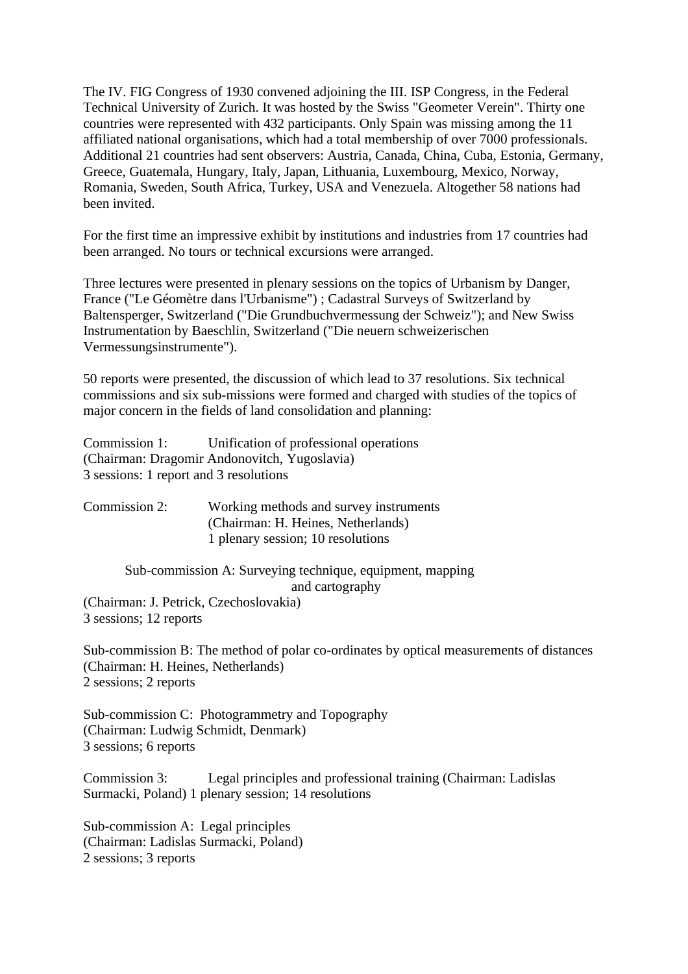The IV. FIG Congress of 1930 convened adjoining the III. ISP Congress, in the Federal Technical University of Zurich. It was hosted by the Swiss "Geometer Verein". Thirty one countries were represented with 432 participants. Only Spain was missing among the 11 affiliated national organisations, which had a total membership of over 7000 professionals. Additional 21 countries had sent observers: Austria, Canada, China, Cuba, Estonia, Germany, Greece, Guatemala, Hungary, Italy, Japan, Lithuania, Luxembourg, Mexico, Norway, Romania, Sweden, South Africa, Turkey, USA and Venezuela. Altogether 58 nations had been invited.

For the first time an impressive exhibit by institutions and industries from 17 countries had been arranged. No tours or technical excursions were arranged.

Three lectures were presented in plenary sessions on the topics of Urbanism by Danger, France ("Le Géomètre dans l'Urbanisme") ; Cadastral Surveys of Switzerland by Baltensperger, Switzerland ("Die Grundbuchvermessung der Schweiz"); and New Swiss Instrumentation by Baeschlin, Switzerland ("Die neuern schweizerischen Vermessungsinstrumente").

50 reports were presented, the discussion of which lead to 37 resolutions. Six technical commissions and six sub-missions were formed and charged with studies of the topics of major concern in the fields of land consolidation and planning:

Commission 1: Unification of professional operations (Chairman: Dragomir Andonovitch, Yugoslavia) 3 sessions: 1 report and 3 resolutions

| Commission 2: | Working methods and survey instruments |
|---------------|----------------------------------------|
|               | (Chairman: H. Heines, Netherlands)     |
|               | 1 plenary session; 10 resolutions      |

## Sub-commission A: Surveying technique, equipment, mapping and cartography (Chairman: J. Petrick, Czechoslovakia)

3 sessions; 12 reports

Sub-commission B: The method of polar co-ordinates by optical measurements of distances (Chairman: H. Heines, Netherlands) 2 sessions; 2 reports

Sub-commission C: Photogrammetry and Topography (Chairman: Ludwig Schmidt, Denmark) 3 sessions; 6 reports

Commission 3: Legal principles and professional training (Chairman: Ladislas Surmacki, Poland) 1 plenary session; 14 resolutions

Sub-commission A: Legal principles (Chairman: Ladislas Surmacki, Poland) 2 sessions; 3 reports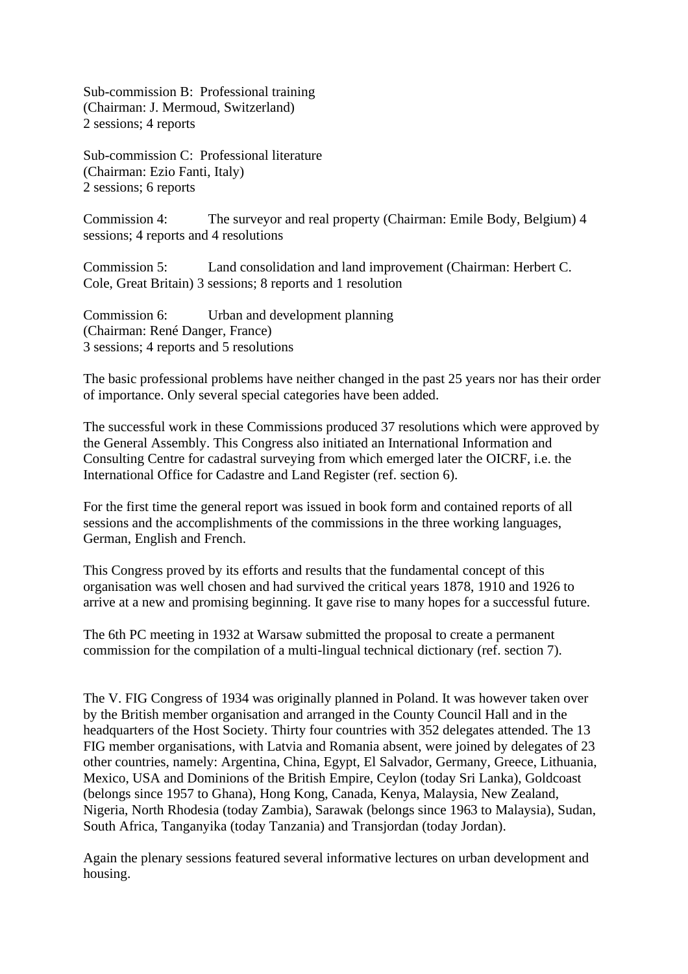Sub-commission B: Professional training (Chairman: J. Mermoud, Switzerland) 2 sessions; 4 reports

Sub-commission C: Professional literature (Chairman: Ezio Fanti, Italy) 2 sessions; 6 reports

Commission 4: The surveyor and real property (Chairman: Emile Body, Belgium) 4 sessions; 4 reports and 4 resolutions

Commission 5: Land consolidation and land improvement (Chairman: Herbert C. Cole, Great Britain) 3 sessions; 8 reports and 1 resolution

Commission 6: Urban and development planning (Chairman: René Danger, France) 3 sessions; 4 reports and 5 resolutions

The basic professional problems have neither changed in the past 25 years nor has their order of importance. Only several special categories have been added.

The successful work in these Commissions produced 37 resolutions which were approved by the General Assembly. This Congress also initiated an International Information and Consulting Centre for cadastral surveying from which emerged later the OICRF, i.e. the International Office for Cadastre and Land Register (ref. section 6).

For the first time the general report was issued in book form and contained reports of all sessions and the accomplishments of the commissions in the three working languages, German, English and French.

This Congress proved by its efforts and results that the fundamental concept of this organisation was well chosen and had survived the critical years 1878, 1910 and 1926 to arrive at a new and promising beginning. It gave rise to many hopes for a successful future.

The 6th PC meeting in 1932 at Warsaw submitted the proposal to create a permanent commission for the compilation of a multi-lingual technical dictionary (ref. section 7).

The V. FIG Congress of 1934 was originally planned in Poland. It was however taken over by the British member organisation and arranged in the County Council Hall and in the headquarters of the Host Society. Thirty four countries with 352 delegates attended. The 13 FIG member organisations, with Latvia and Romania absent, were joined by delegates of 23 other countries, namely: Argentina, China, Egypt, El Salvador, Germany, Greece, Lithuania, Mexico, USA and Dominions of the British Empire, Ceylon (today Sri Lanka), Goldcoast (belongs since 1957 to Ghana), Hong Kong, Canada, Kenya, Malaysia, New Zealand, Nigeria, North Rhodesia (today Zambia), Sarawak (belongs since 1963 to Malaysia), Sudan, South Africa, Tanganyika (today Tanzania) and Transjordan (today Jordan).

Again the plenary sessions featured several informative lectures on urban development and housing.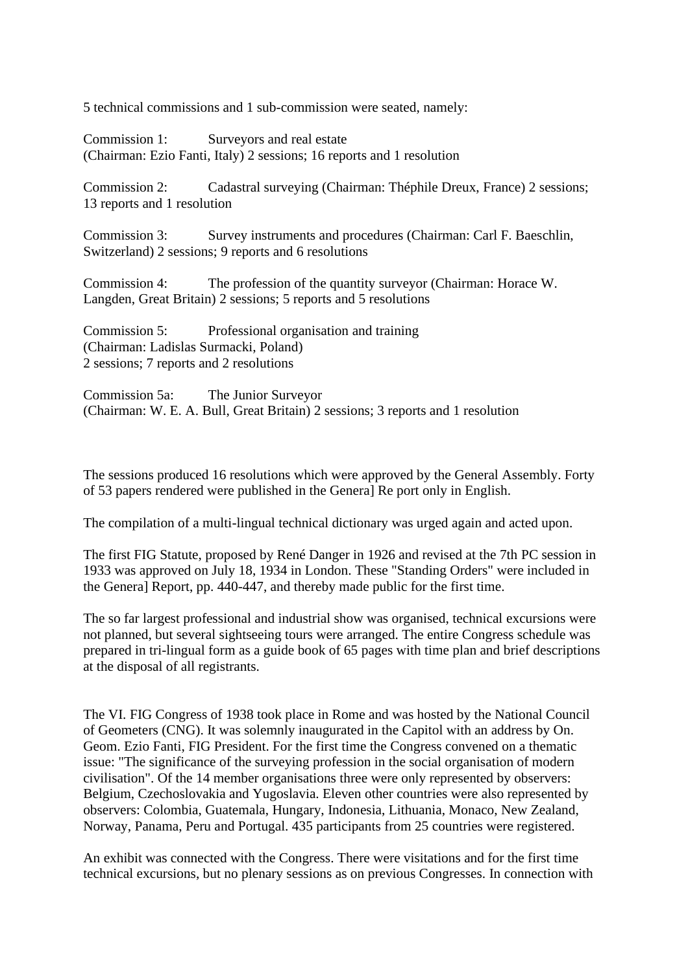5 technical commissions and 1 sub-commission were seated, namely:

Commission 1: Surveyors and real estate (Chairman: Ezio Fanti, Italy) 2 sessions; 16 reports and 1 resolution

Commission 2: Cadastral surveying (Chairman: Théphile Dreux, France) 2 sessions; 13 reports and 1 resolution

Commission 3: Survey instruments and procedures (Chairman: Carl F. Baeschlin, Switzerland) 2 sessions; 9 reports and 6 resolutions

Commission 4: The profession of the quantity surveyor (Chairman: Horace W. Langden, Great Britain) 2 sessions; 5 reports and 5 resolutions

Commission 5: Professional organisation and training (Chairman: Ladislas Surmacki, Poland) 2 sessions; 7 reports and 2 resolutions

Commission 5a: The Junior Surveyor (Chairman: W. E. A. Bull, Great Britain) 2 sessions; 3 reports and 1 resolution

The sessions produced 16 resolutions which were approved by the General Assembly. Forty of 53 papers rendered were published in the Genera] Re port only in English.

The compilation of a multi-lingual technical dictionary was urged again and acted upon.

The first FIG Statute, proposed by René Danger in 1926 and revised at the 7th PC session in 1933 was approved on July 18, 1934 in London. These "Standing Orders" were included in the Genera] Report, pp. 440-447, and thereby made public for the first time.

The so far largest professional and industrial show was organised, technical excursions were not planned, but several sightseeing tours were arranged. The entire Congress schedule was prepared in tri-lingual form as a guide book of 65 pages with time plan and brief descriptions at the disposal of all registrants.

The VI. FIG Congress of 1938 took place in Rome and was hosted by the National Council of Geometers (CNG). It was solemnly inaugurated in the Capitol with an address by On. Geom. Ezio Fanti, FIG President. For the first time the Congress convened on a thematic issue: "The significance of the surveying profession in the social organisation of modern civilisation". Of the 14 member organisations three were only represented by observers: Belgium, Czechoslovakia and Yugoslavia. Eleven other countries were also represented by observers: Colombia, Guatemala, Hungary, Indonesia, Lithuania, Monaco, New Zealand, Norway, Panama, Peru and Portugal. 435 participants from 25 countries were registered.

An exhibit was connected with the Congress. There were visitations and for the first time technical excursions, but no plenary sessions as on previous Congresses. In connection with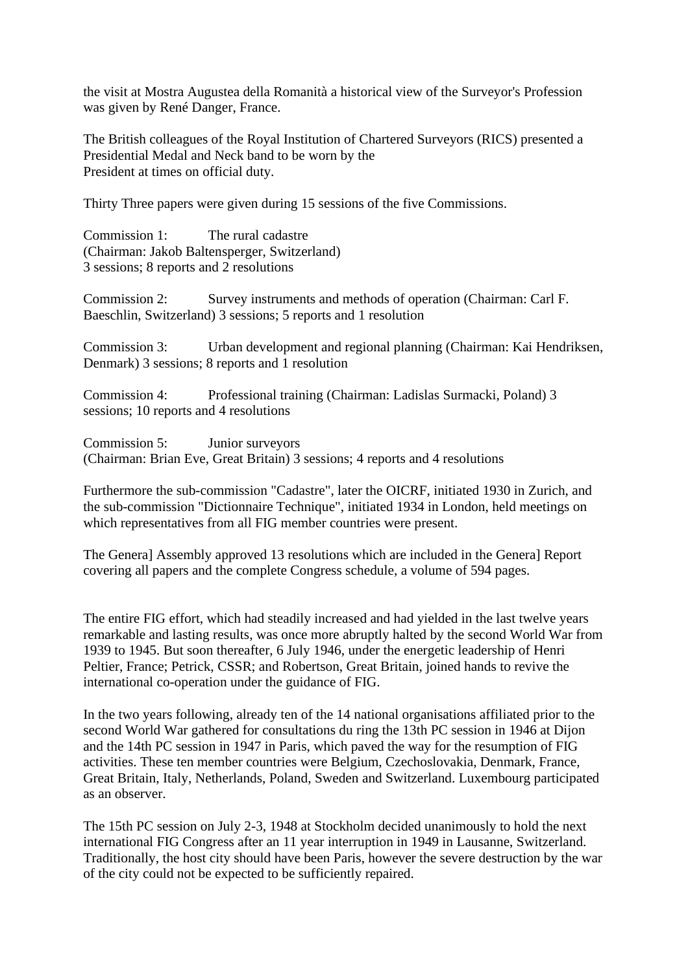the visit at Mostra Augustea della Romanità a historical view of the Surveyor's Profession was given by René Danger, France.

The British colleagues of the Royal Institution of Chartered Surveyors (RICS) presented a Presidential Medal and Neck band to be worn by the President at times on official duty.

Thirty Three papers were given during 15 sessions of the five Commissions.

Commission 1: The rural cadastre (Chairman: Jakob Baltensperger, Switzerland) 3 sessions; 8 reports and 2 resolutions

Commission 2: Survey instruments and methods of operation (Chairman: Carl F. Baeschlin, Switzerland) 3 sessions; 5 reports and 1 resolution

Commission 3: Urban development and regional planning (Chairman: Kai Hendriksen, Denmark) 3 sessions; 8 reports and 1 resolution

Commission 4: Professional training (Chairman: Ladislas Surmacki, Poland) 3 sessions; 10 reports and 4 resolutions

Commission 5: Junior surveyors (Chairman: Brian Eve, Great Britain) 3 sessions; 4 reports and 4 resolutions

Furthermore the sub-commission "Cadastre", later the OICRF, initiated 1930 in Zurich, and the sub-commission "Dictionnaire Technique", initiated 1934 in London, held meetings on which representatives from all FIG member countries were present.

The Genera] Assembly approved 13 resolutions which are included in the Genera] Report covering all papers and the complete Congress schedule, a volume of 594 pages.

The entire FIG effort, which had steadily increased and had yielded in the last twelve years remarkable and lasting results, was once more abruptly halted by the second World War from 1939 to 1945. But soon thereafter, 6 July 1946, under the energetic leadership of Henri Peltier, France; Petrick, CSSR; and Robertson, Great Britain, joined hands to revive the international co-operation under the guidance of FIG.

In the two years following, already ten of the 14 national organisations affiliated prior to the second World War gathered for consultations du ring the 13th PC session in 1946 at Dijon and the 14th PC session in 1947 in Paris, which paved the way for the resumption of FIG activities. These ten member countries were Belgium, Czechoslovakia, Denmark, France, Great Britain, Italy, Netherlands, Poland, Sweden and Switzerland. Luxembourg participated as an observer.

The 15th PC session on July 2-3, 1948 at Stockholm decided unanimously to hold the next international FIG Congress after an 11 year interruption in 1949 in Lausanne, Switzerland. Traditionally, the host city should have been Paris, however the severe destruction by the war of the city could not be expected to be sufficiently repaired.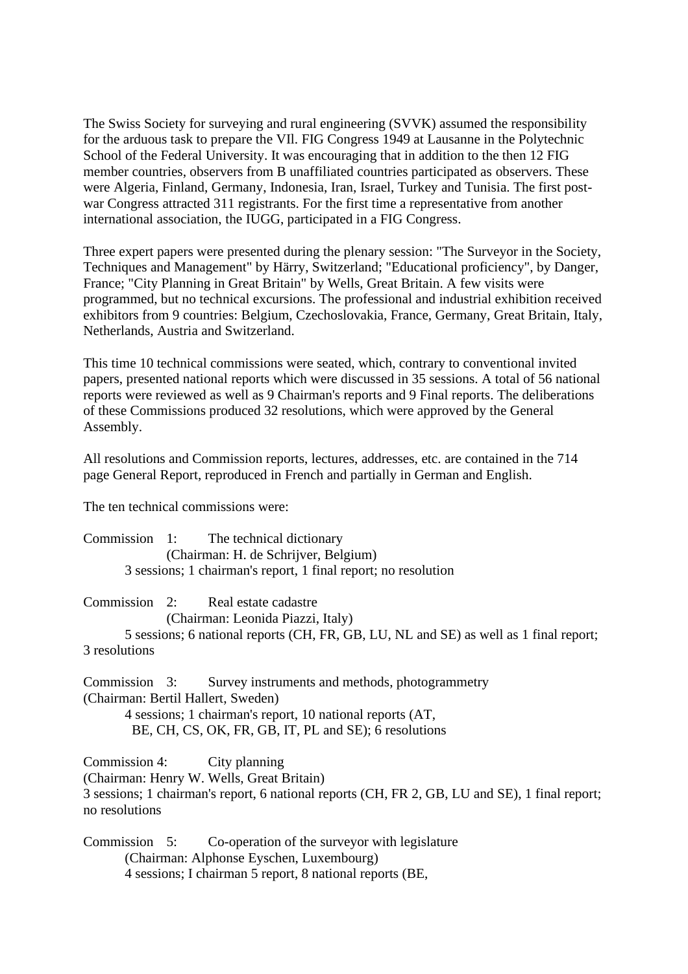The Swiss Society for surveying and rural engineering (SVVK) assumed the responsibility for the arduous task to prepare the VIl. FIG Congress 1949 at Lausanne in the Polytechnic School of the Federal University. It was encouraging that in addition to the then 12 FIG member countries, observers from B unaffiliated countries participated as observers. These were Algeria, Finland, Germany, Indonesia, Iran, Israel, Turkey and Tunisia. The first postwar Congress attracted 311 registrants. For the first time a representative from another international association, the IUGG, participated in a FIG Congress.

Three expert papers were presented during the plenary session: "The Surveyor in the Society, Techniques and Management" by Härry, Switzerland; "Educational proficiency", by Danger, France; "City Planning in Great Britain" by Wells, Great Britain. A few visits were programmed, but no technical excursions. The professional and industrial exhibition received exhibitors from 9 countries: Belgium, Czechoslovakia, France, Germany, Great Britain, Italy, Netherlands, Austria and Switzerland.

This time 10 technical commissions were seated, which, contrary to conventional invited papers, presented national reports which were discussed in 35 sessions. A total of 56 national reports were reviewed as well as 9 Chairman's reports and 9 Final reports. The deliberations of these Commissions produced 32 resolutions, which were approved by the General Assembly.

All resolutions and Commission reports, lectures, addresses, etc. are contained in the 714 page General Report, reproduced in French and partially in German and English.

The ten technical commissions were:

| Commission 1: | The technical dictionary                                       |
|---------------|----------------------------------------------------------------|
|               | (Chairman: H. de Schrijver, Belgium)                           |
|               | 3 sessions; 1 chairman's report, 1 final report; no resolution |

Commission 2: Real estate cadastre

(Chairman: Leonida Piazzi, Italy)

5 sessions; 6 national reports (CH, FR, GB, LU, NL and SE) as well as 1 final report; 3 resolutions

Commission 3: Survey instruments and methods, photogrammetry (Chairman: Bertil Hallert, Sweden) 4 sessions; 1 chairman's report, 10 national reports (AT, BE, CH, CS, OK, FR, GB, IT, PL and SE); 6 resolutions

Commission 4: City planning (Chairman: Henry W. Wells, Great Britain) 3 sessions; 1 chairman's report, 6 national reports (CH, FR 2, GB, LU and SE), 1 final report; no resolutions

Commission 5: Co-operation of the surveyor with legislature (Chairman: Alphonse Eyschen, Luxembourg) 4 sessions; I chairman 5 report, 8 national reports (BE,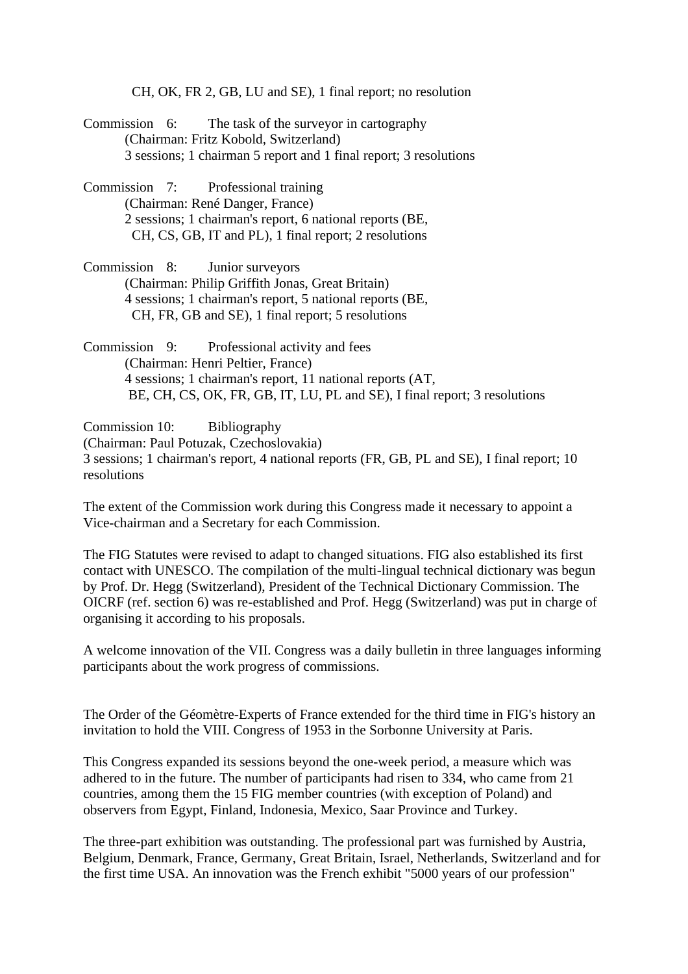CH, OK, FR 2, GB, LU and SE), 1 final report; no resolution

- Commission 6: The task of the surveyor in cartography (Chairman: Fritz Kobold, Switzerland) 3 sessions; 1 chairman 5 report and 1 final report; 3 resolutions
- Commission 7: Professional training (Chairman: René Danger, France) 2 sessions; 1 chairman's report, 6 national reports (BE, CH, CS, GB, IT and PL), 1 final report; 2 resolutions
- Commission 8: Junior surveyors (Chairman: Philip Griffith Jonas, Great Britain) 4 sessions; 1 chairman's report, 5 national reports (BE, CH, FR, GB and SE), 1 final report; 5 resolutions
- Commission 9: Professional activity and fees (Chairman: Henri Peltier, France) 4 sessions; 1 chairman's report, 11 national reports (AT, BE, CH, CS, OK, FR, GB, IT, LU, PL and SE), I final report; 3 resolutions

Commission 10: Bibliography (Chairman: Paul Potuzak, Czechoslovakia) 3 sessions; 1 chairman's report, 4 national reports (FR, GB, PL and SE), I final report; 10 resolutions

The extent of the Commission work during this Congress made it necessary to appoint a Vice-chairman and a Secretary for each Commission.

The FIG Statutes were revised to adapt to changed situations. FIG also established its first contact with UNESCO. The compilation of the multi-lingual technical dictionary was begun by Prof. Dr. Hegg (Switzerland), President of the Technical Dictionary Commission. The OICRF (ref. section 6) was re-established and Prof. Hegg (Switzerland) was put in charge of organising it according to his proposals.

A welcome innovation of the VII. Congress was a daily bulletin in three languages informing participants about the work progress of commissions.

The Order of the Géomètre-Experts of France extended for the third time in FIG's history an invitation to hold the VIII. Congress of 1953 in the Sorbonne University at Paris.

This Congress expanded its sessions beyond the one-week period, a measure which was adhered to in the future. The number of participants had risen to 334, who came from 21 countries, among them the 15 FIG member countries (with exception of Poland) and observers from Egypt, Finland, Indonesia, Mexico, Saar Province and Turkey.

The three-part exhibition was outstanding. The professional part was furnished by Austria, Belgium, Denmark, France, Germany, Great Britain, Israel, Netherlands, Switzerland and for the first time USA. An innovation was the French exhibit "5000 years of our profession"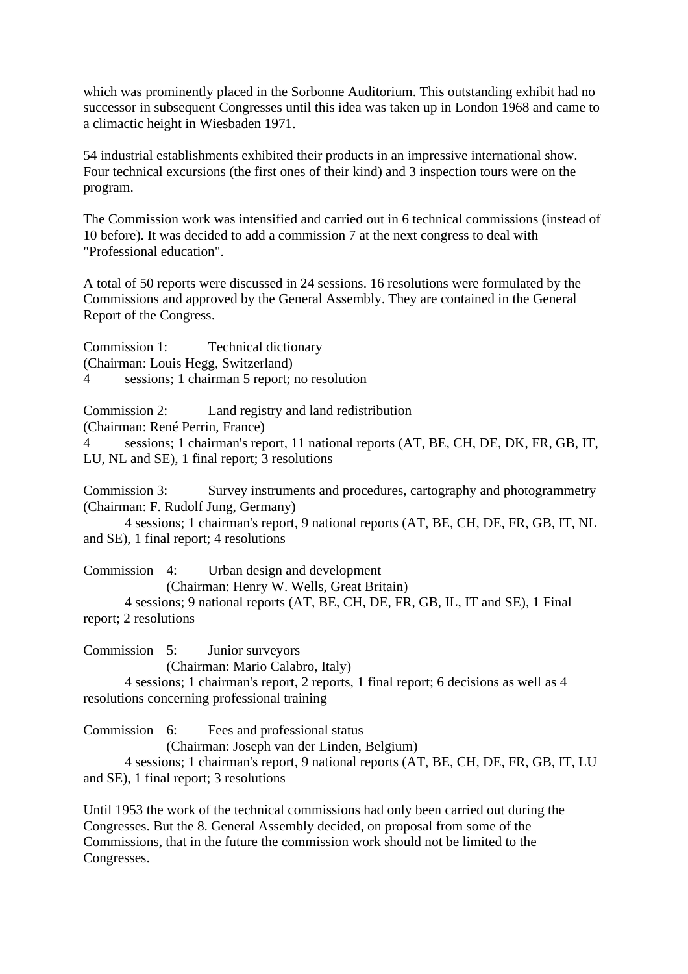which was prominently placed in the Sorbonne Auditorium. This outstanding exhibit had no successor in subsequent Congresses until this idea was taken up in London 1968 and came to a climactic height in Wiesbaden 1971.

54 industrial establishments exhibited their products in an impressive international show. Four technical excursions (the first ones of their kind) and 3 inspection tours were on the program.

The Commission work was intensified and carried out in 6 technical commissions (instead of 10 before). It was decided to add a commission 7 at the next congress to deal with "Professional education".

A total of 50 reports were discussed in 24 sessions. 16 resolutions were formulated by the Commissions and approved by the General Assembly. They are contained in the General Report of the Congress.

Commission 1: Technical dictionary (Chairman: Louis Hegg, Switzerland) 4 sessions; 1 chairman 5 report; no resolution

Commission 2: Land registry and land redistribution

(Chairman: René Perrin, France)

4 sessions; 1 chairman's report, 11 national reports (AT, BE, CH, DE, DK, FR, GB, IT, LU, NL and SE), 1 final report; 3 resolutions

Commission 3: Survey instruments and procedures, cartography and photogrammetry (Chairman: F. Rudolf Jung, Germany)

4 sessions; 1 chairman's report, 9 national reports (AT, BE, CH, DE, FR, GB, IT, NL and SE), 1 final report; 4 resolutions

Commission 4: Urban design and development

(Chairman: Henry W. Wells, Great Britain)

4 sessions; 9 national reports (AT, BE, CH, DE, FR, GB, IL, IT and SE), 1 Final report; 2 resolutions

Commission 5: Junior surveyors

(Chairman: Mario Calabro, Italy)

4 sessions; 1 chairman's report, 2 reports, 1 final report; 6 decisions as well as 4 resolutions concerning professional training

Commission 6: Fees and professional status

(Chairman: Joseph van der Linden, Belgium)

4 sessions; 1 chairman's report, 9 national reports (AT, BE, CH, DE, FR, GB, IT, LU and SE), 1 final report; 3 resolutions

Until 1953 the work of the technical commissions had only been carried out during the Congresses. But the 8. General Assembly decided, on proposal from some of the Commissions, that in the future the commission work should not be limited to the Congresses.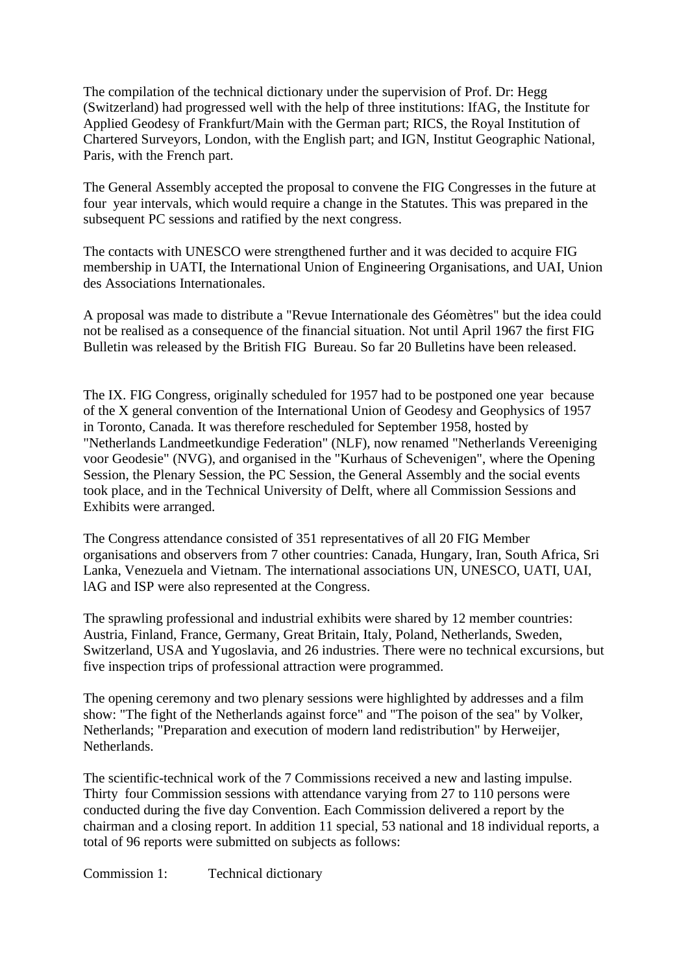The compilation of the technical dictionary under the supervision of Prof. Dr: Hegg (Switzerland) had progressed well with the help of three institutions: IfAG, the Institute for Applied Geodesy of Frankfurt/Main with the German part; RICS, the Royal Institution of Chartered Surveyors, London, with the English part; and IGN, Institut Geographic National, Paris, with the French part.

The General Assembly accepted the proposal to convene the FIG Congresses in the future at four year intervals, which would require a change in the Statutes. This was prepared in the subsequent PC sessions and ratified by the next congress.

The contacts with UNESCO were strengthened further and it was decided to acquire FIG membership in UATI, the International Union of Engineering Organisations, and UAI, Union des Associations Internationales.

A proposal was made to distribute a "Revue Internationale des Géomètres" but the idea could not be realised as a consequence of the financial situation. Not until April 1967 the first FIG Bulletin was released by the British FIG Bureau. So far 20 Bulletins have been released.

The IX. FIG Congress, originally scheduled for 1957 had to be postponed one year because of the X general convention of the International Union of Geodesy and Geophysics of 1957 in Toronto, Canada. It was therefore rescheduled for September 1958, hosted by "Netherlands Landmeetkundige Federation" (NLF), now renamed "Netherlands Vereeniging voor Geodesie" (NVG), and organised in the "Kurhaus of Schevenigen", where the Opening Session, the Plenary Session, the PC Session, the General Assembly and the social events took place, and in the Technical University of Delft, where all Commission Sessions and Exhibits were arranged.

The Congress attendance consisted of 351 representatives of all 20 FIG Member organisations and observers from 7 other countries: Canada, Hungary, Iran, South Africa, Sri Lanka, Venezuela and Vietnam. The international associations UN, UNESCO, UATI, UAI, lAG and ISP were also represented at the Congress.

The sprawling professional and industrial exhibits were shared by 12 member countries: Austria, Finland, France, Germany, Great Britain, Italy, Poland, Netherlands, Sweden, Switzerland, USA and Yugoslavia, and 26 industries. There were no technical excursions, but five inspection trips of professional attraction were programmed.

The opening ceremony and two plenary sessions were highlighted by addresses and a film show: "The fight of the Netherlands against force" and "The poison of the sea" by Volker, Netherlands; "Preparation and execution of modern land redistribution" by Herweijer, Netherlands.

The scientific-technical work of the 7 Commissions received a new and lasting impulse. Thirty four Commission sessions with attendance varying from 27 to 110 persons were conducted during the five day Convention. Each Commission delivered a report by the chairman and a closing report. In addition 11 special, 53 national and 18 individual reports, a total of 96 reports were submitted on subjects as follows:

Commission 1: Technical dictionary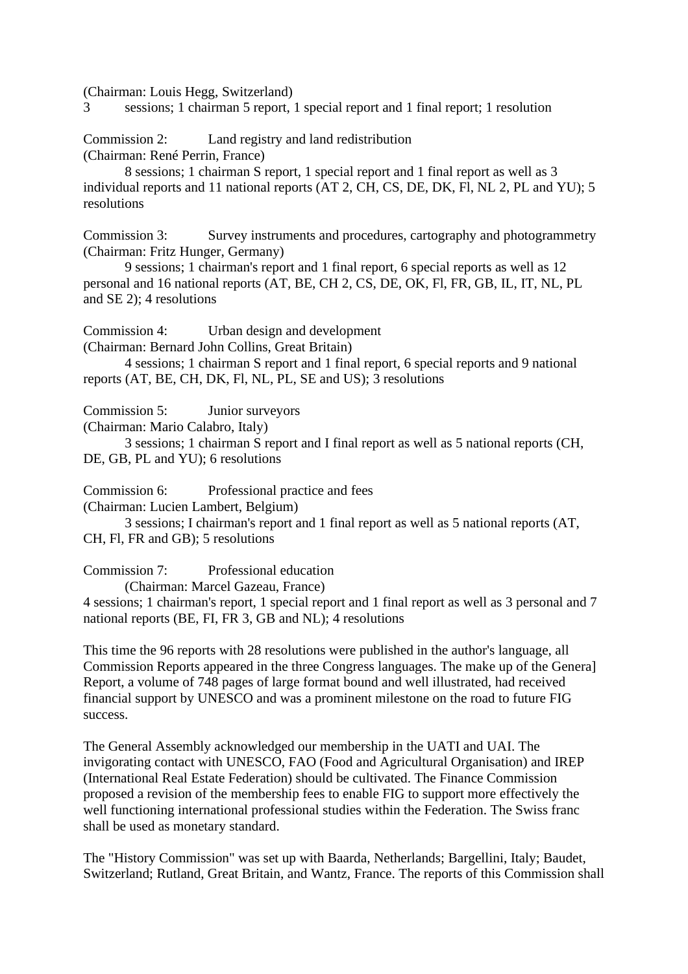(Chairman: Louis Hegg, Switzerland)

3 sessions; 1 chairman 5 report, 1 special report and 1 final report; 1 resolution

Commission 2: Land registry and land redistribution (Chairman: René Perrin, France)

8 sessions; 1 chairman S report, 1 special report and 1 final report as well as 3 individual reports and 11 national reports (AT 2, CH, CS, DE, DK, Fl, NL 2, PL and YU); 5 resolutions

Commission 3: Survey instruments and procedures, cartography and photogrammetry (Chairman: Fritz Hunger, Germany)

9 sessions; 1 chairman's report and 1 final report, 6 special reports as well as 12 personal and 16 national reports (AT, BE, CH 2, CS, DE, OK, Fl, FR, GB, IL, IT, NL, PL and SE 2); 4 resolutions

Commission 4: Urban design and development

(Chairman: Bernard John Collins, Great Britain)

4 sessions; 1 chairman S report and 1 final report, 6 special reports and 9 national reports (AT, BE, CH, DK, Fl, NL, PL, SE and US); 3 resolutions

Commission 5: Junior surveyors

(Chairman: Mario Calabro, Italy)

3 sessions; 1 chairman S report and I final report as well as 5 national reports (CH, DE, GB, PL and YU); 6 resolutions

Commission 6: Professional practice and fees

(Chairman: Lucien Lambert, Belgium)

3 sessions; I chairman's report and 1 final report as well as 5 national reports (AT, CH, Fl, FR and GB); 5 resolutions

Commission 7: Professional education

(Chairman: Marcel Gazeau, France)

4 sessions; 1 chairman's report, 1 special report and 1 final report as well as 3 personal and 7 national reports (BE, FI, FR 3, GB and NL); 4 resolutions

This time the 96 reports with 28 resolutions were published in the author's language, all Commission Reports appeared in the three Congress languages. The make up of the Genera] Report, a volume of 748 pages of large format bound and well illustrated, had received financial support by UNESCO and was a prominent milestone on the road to future FIG success.

The General Assembly acknowledged our membership in the UATI and UAI. The invigorating contact with UNESCO, FAO (Food and Agricultural Organisation) and IREP (International Real Estate Federation) should be cultivated. The Finance Commission proposed a revision of the membership fees to enable FIG to support more effectively the well functioning international professional studies within the Federation. The Swiss franc shall be used as monetary standard.

The "History Commission" was set up with Baarda, Netherlands; Bargellini, Italy; Baudet, Switzerland; Rutland, Great Britain, and Wantz, France. The reports of this Commission shall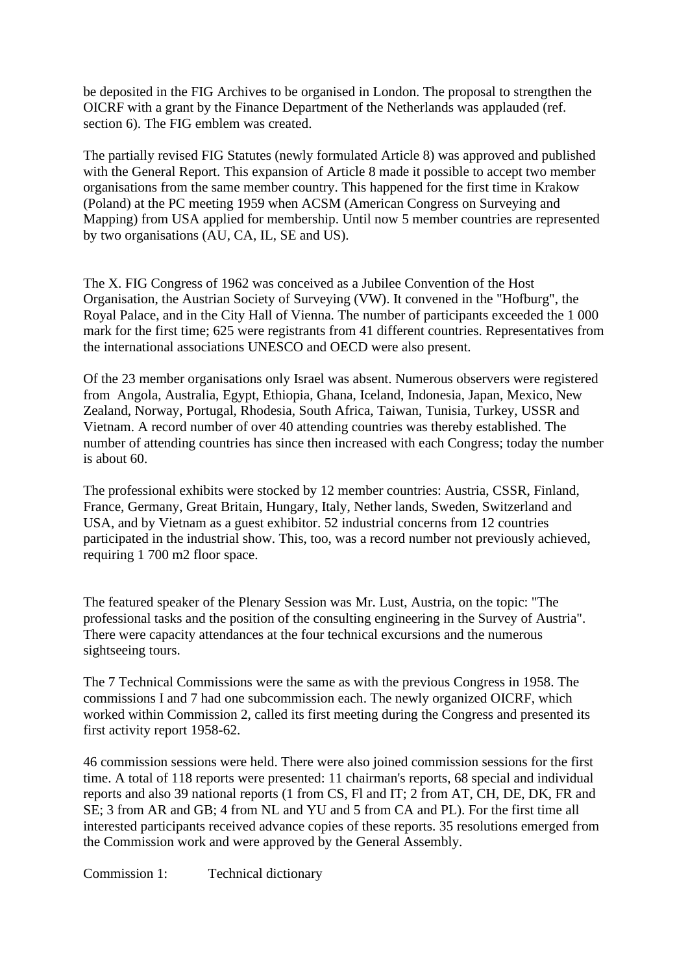be deposited in the FIG Archives to be organised in London. The proposal to strengthen the OICRF with a grant by the Finance Department of the Netherlands was applauded (ref. section 6). The FIG emblem was created.

The partially revised FIG Statutes (newly formulated Article 8) was approved and published with the General Report. This expansion of Article 8 made it possible to accept two member organisations from the same member country. This happened for the first time in Krakow (Poland) at the PC meeting 1959 when ACSM (American Congress on Surveying and Mapping) from USA applied for membership. Until now 5 member countries are represented by two organisations (AU, CA, IL, SE and US).

The X. FIG Congress of 1962 was conceived as a Jubilee Convention of the Host Organisation, the Austrian Society of Surveying (VW). It convened in the "Hofburg", the Royal Palace, and in the City Hall of Vienna. The number of participants exceeded the 1 000 mark for the first time; 625 were registrants from 41 different countries. Representatives from the international associations UNESCO and OECD were also present.

Of the 23 member organisations only Israel was absent. Numerous observers were registered from Angola, Australia, Egypt, Ethiopia, Ghana, Iceland, Indonesia, Japan, Mexico, New Zealand, Norway, Portugal, Rhodesia, South Africa, Taiwan, Tunisia, Turkey, USSR and Vietnam. A record number of over 40 attending countries was thereby established. The number of attending countries has since then increased with each Congress; today the number is about 60.

The professional exhibits were stocked by 12 member countries: Austria, CSSR, Finland, France, Germany, Great Britain, Hungary, Italy, Nether lands, Sweden, Switzerland and USA, and by Vietnam as a guest exhibitor. 52 industrial concerns from 12 countries participated in the industrial show. This, too, was a record number not previously achieved, requiring 1 700 m2 floor space.

The featured speaker of the Plenary Session was Mr. Lust, Austria, on the topic: "The professional tasks and the position of the consulting engineering in the Survey of Austria". There were capacity attendances at the four technical excursions and the numerous sightseeing tours.

The 7 Technical Commissions were the same as with the previous Congress in 1958. The commissions I and 7 had one subcommission each. The newly organized OICRF, which worked within Commission 2, called its first meeting during the Congress and presented its first activity report 1958-62.

46 commission sessions were held. There were also joined commission sessions for the first time. A total of 118 reports were presented: 11 chairman's reports, 68 special and individual reports and also 39 national reports (1 from CS, Fl and IT; 2 from AT, CH, DE, DK, FR and SE; 3 from AR and GB; 4 from NL and YU and 5 from CA and PL). For the first time all interested participants received advance copies of these reports. 35 resolutions emerged from the Commission work and were approved by the General Assembly.

Commission 1: Technical dictionary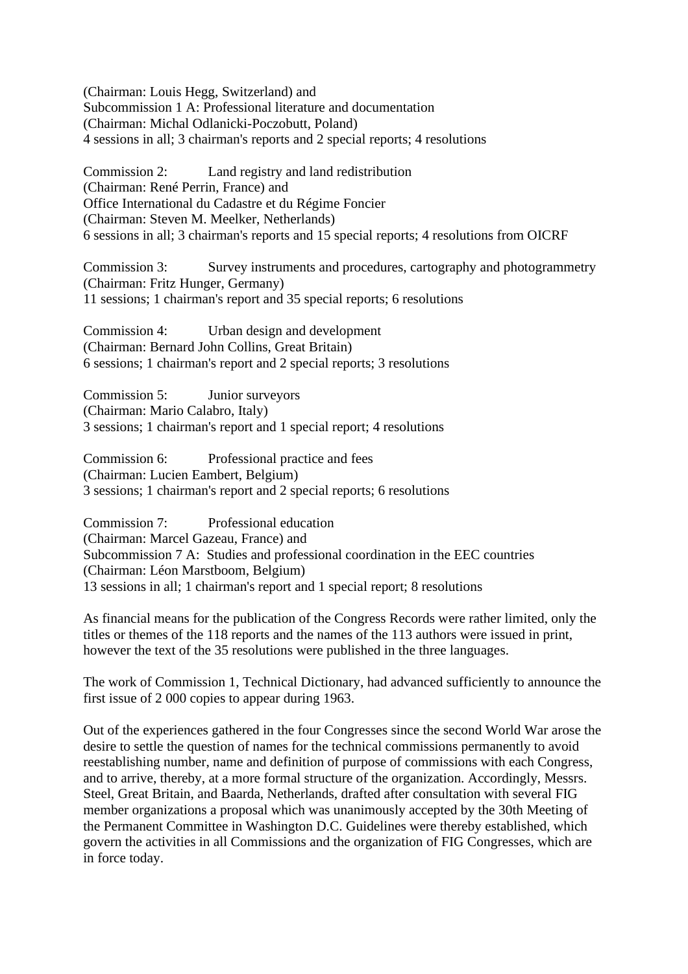(Chairman: Louis Hegg, Switzerland) and Subcommission 1 A: Professional literature and documentation (Chairman: Michal Odlanicki-Poczobutt, Poland) 4 sessions in all; 3 chairman's reports and 2 special reports; 4 resolutions

Commission 2: Land registry and land redistribution (Chairman: René Perrin, France) and Office International du Cadastre et du Régime Foncier (Chairman: Steven M. Meelker, Netherlands) 6 sessions in all; 3 chairman's reports and 15 special reports; 4 resolutions from OICRF

Commission 3: Survey instruments and procedures, cartography and photogrammetry (Chairman: Fritz Hunger, Germany) 11 sessions; 1 chairman's report and 35 special reports; 6 resolutions

Commission 4: Urban design and development (Chairman: Bernard John Collins, Great Britain) 6 sessions; 1 chairman's report and 2 special reports; 3 resolutions

Commission 5: Junior surveyors (Chairman: Mario Calabro, Italy) 3 sessions; 1 chairman's report and 1 special report; 4 resolutions

Commission 6: Professional practice and fees (Chairman: Lucien Eambert, Belgium) 3 sessions; 1 chairman's report and 2 special reports; 6 resolutions

Commission 7: Professional education (Chairman: Marcel Gazeau, France) and Subcommission 7 A: Studies and professional coordination in the EEC countries (Chairman: Léon Marstboom, Belgium) 13 sessions in all; 1 chairman's report and 1 special report; 8 resolutions

As financial means for the publication of the Congress Records were rather limited, only the titles or themes of the 118 reports and the names of the 113 authors were issued in print, however the text of the 35 resolutions were published in the three languages.

The work of Commission 1, Technical Dictionary, had advanced sufficiently to announce the first issue of 2 000 copies to appear during 1963.

Out of the experiences gathered in the four Congresses since the second World War arose the desire to settle the question of names for the technical commissions permanently to avoid reestablishing number, name and definition of purpose of commissions with each Congress, and to arrive, thereby, at a more formal structure of the organization. Accordingly, Messrs. Steel, Great Britain, and Baarda, Netherlands, drafted after consultation with several FIG member organizations a proposal which was unanimously accepted by the 30th Meeting of the Permanent Committee in Washington D.C. Guidelines were thereby established, which govern the activities in all Commissions and the organization of FIG Congresses, which are in force today.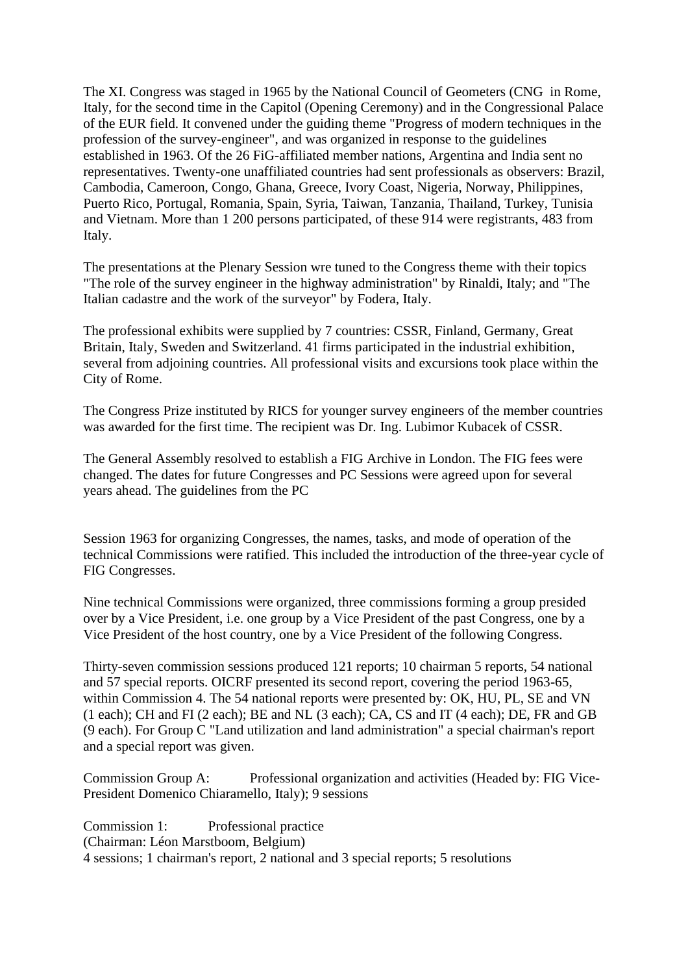The XI. Congress was staged in 1965 by the National Council of Geometers (CNG in Rome, Italy, for the second time in the Capitol (Opening Ceremony) and in the Congressional Palace of the EUR field. It convened under the guiding theme "Progress of modern techniques in the profession of the survey-engineer", and was organized in response to the guidelines established in 1963. Of the 26 FiG-affiliated member nations, Argentina and India sent no representatives. Twenty-one unaffiliated countries had sent professionals as observers: Brazil, Cambodia, Cameroon, Congo, Ghana, Greece, Ivory Coast, Nigeria, Norway, Philippines, Puerto Rico, Portugal, Romania, Spain, Syria, Taiwan, Tanzania, Thailand, Turkey, Tunisia and Vietnam. More than 1 200 persons participated, of these 914 were registrants, 483 from Italy.

The presentations at the Plenary Session wre tuned to the Congress theme with their topics "The role of the survey engineer in the highway administration" by Rinaldi, Italy; and "The Italian cadastre and the work of the surveyor" by Fodera, Italy.

The professional exhibits were supplied by 7 countries: CSSR, Finland, Germany, Great Britain, Italy, Sweden and Switzerland. 41 firms participated in the industrial exhibition, several from adjoining countries. All professional visits and excursions took place within the City of Rome.

The Congress Prize instituted by RICS for younger survey engineers of the member countries was awarded for the first time. The recipient was Dr. Ing. Lubimor Kubacek of CSSR.

The General Assembly resolved to establish a FIG Archive in London. The FIG fees were changed. The dates for future Congresses and PC Sessions were agreed upon for several years ahead. The guidelines from the PC

Session 1963 for organizing Congresses, the names, tasks, and mode of operation of the technical Commissions were ratified. This included the introduction of the three-year cycle of FIG Congresses.

Nine technical Commissions were organized, three commissions forming a group presided over by a Vice President, i.e. one group by a Vice President of the past Congress, one by a Vice President of the host country, one by a Vice President of the following Congress.

Thirty-seven commission sessions produced 121 reports; 10 chairman 5 reports, 54 national and 57 special reports. OICRF presented its second report, covering the period 1963-65, within Commission 4. The 54 national reports were presented by: OK, HU, PL, SE and VN (1 each); CH and FI (2 each); BE and NL (3 each); CA, CS and IT (4 each); DE, FR and GB (9 each). For Group C "Land utilization and land administration" a special chairman's report and a special report was given.

Commission Group A: Professional organization and activities (Headed by: FIG Vice-President Domenico Chiaramello, Italy); 9 sessions

Commission 1: Professional practice (Chairman: Léon Marstboom, Belgium) 4 sessions; 1 chairman's report, 2 national and 3 special reports; 5 resolutions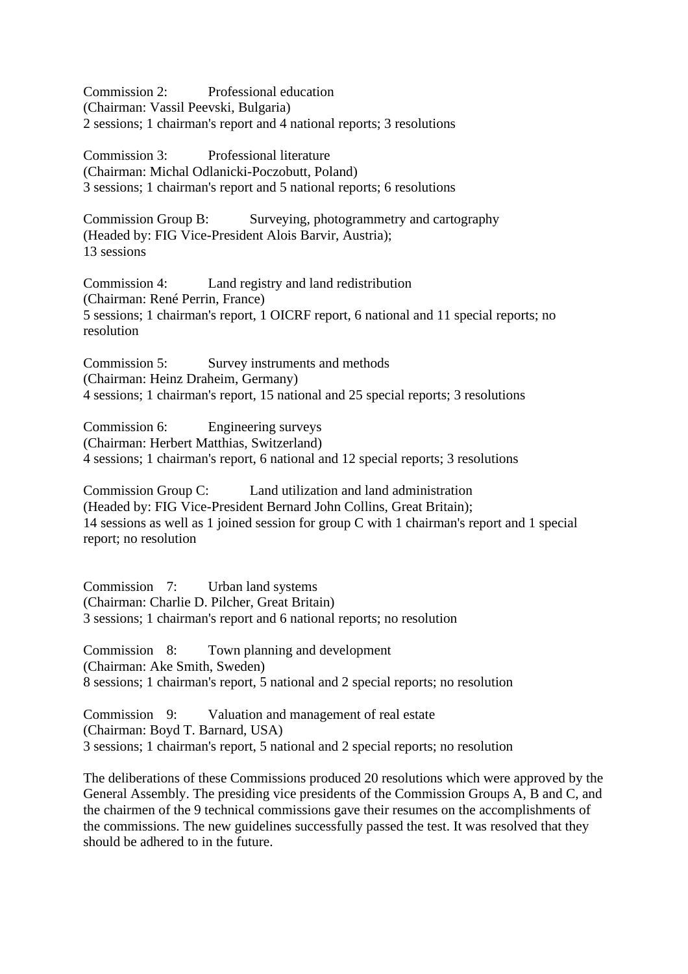Commission 2: Professional education

(Chairman: Vassil Peevski, Bulgaria) 2 sessions; 1 chairman's report and 4 national reports; 3 resolutions

Commission 3: Professional literature (Chairman: Michal Odlanicki-Poczobutt, Poland) 3 sessions; 1 chairman's report and 5 national reports; 6 resolutions

Commission Group B: Surveying, photogrammetry and cartography (Headed by: FIG Vice-President Alois Barvir, Austria); 13 sessions

Commission 4: Land registry and land redistribution (Chairman: René Perrin, France) 5 sessions; 1 chairman's report, 1 OICRF report, 6 national and 11 special reports; no resolution

Commission 5: Survey instruments and methods (Chairman: Heinz Draheim, Germany) 4 sessions; 1 chairman's report, 15 national and 25 special reports; 3 resolutions

Commission 6: Engineering surveys (Chairman: Herbert Matthias, Switzerland) 4 sessions; 1 chairman's report, 6 national and 12 special reports; 3 resolutions

Commission Group C: Land utilization and land administration (Headed by: FIG Vice-President Bernard John Collins, Great Britain); 14 sessions as well as 1 joined session for group C with 1 chairman's report and 1 special report; no resolution

Commission 7: Urban land systems (Chairman: Charlie D. Pilcher, Great Britain) 3 sessions; 1 chairman's report and 6 national reports; no resolution

Commission 8: Town planning and development (Chairman: Ake Smith, Sweden) 8 sessions; 1 chairman's report, 5 national and 2 special reports; no resolution

Commission 9: Valuation and management of real estate (Chairman: Boyd T. Barnard, USA) 3 sessions; 1 chairman's report, 5 national and 2 special reports; no resolution

The deliberations of these Commissions produced 20 resolutions which were approved by the General Assembly. The presiding vice presidents of the Commission Groups A, B and C, and the chairmen of the 9 technical commissions gave their resumes on the accomplishments of the commissions. The new guidelines successfully passed the test. It was resolved that they should be adhered to in the future.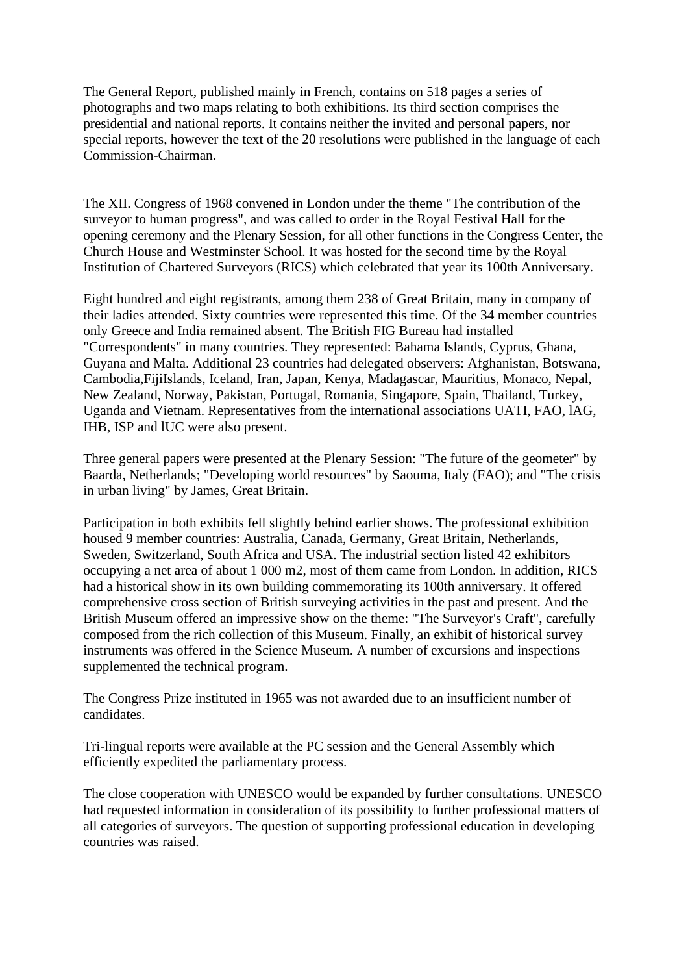The General Report, published mainly in French, contains on 518 pages a series of photographs and two maps relating to both exhibitions. Its third section comprises the presidential and national reports. It contains neither the invited and personal papers, nor special reports, however the text of the 20 resolutions were published in the language of each Commission-Chairman.

The XII. Congress of 1968 convened in London under the theme "The contribution of the surveyor to human progress", and was called to order in the Royal Festival Hall for the opening ceremony and the Plenary Session, for all other functions in the Congress Center, the Church House and Westminster School. It was hosted for the second time by the Royal Institution of Chartered Surveyors (RICS) which celebrated that year its 100th Anniversary.

Eight hundred and eight registrants, among them 238 of Great Britain, many in company of their ladies attended. Sixty countries were represented this time. Of the 34 member countries only Greece and India remained absent. The British FIG Bureau had installed "Correspondents" in many countries. They represented: Bahama Islands, Cyprus, Ghana, Guyana and Malta. Additional 23 countries had delegated observers: Afghanistan, Botswana, Cambodia,FijiIslands, Iceland, Iran, Japan, Kenya, Madagascar, Mauritius, Monaco, Nepal, New Zealand, Norway, Pakistan, Portugal, Romania, Singapore, Spain, Thailand, Turkey, Uganda and Vietnam. Representatives from the international associations UATI, FAO, lAG, IHB, ISP and lUC were also present.

Three general papers were presented at the Plenary Session: "The future of the geometer" by Baarda, Netherlands; "Developing world resources" by Saouma, Italy (FAO); and "The crisis in urban living" by James, Great Britain.

Participation in both exhibits fell slightly behind earlier shows. The professional exhibition housed 9 member countries: Australia, Canada, Germany, Great Britain, Netherlands, Sweden, Switzerland, South Africa and USA. The industrial section listed 42 exhibitors occupying a net area of about 1 000 m2, most of them came from London. In addition, RICS had a historical show in its own building commemorating its 100th anniversary. It offered comprehensive cross section of British surveying activities in the past and present. And the British Museum offered an impressive show on the theme: "The Surveyor's Craft", carefully composed from the rich collection of this Museum. Finally, an exhibit of historical survey instruments was offered in the Science Museum. A number of excursions and inspections supplemented the technical program.

The Congress Prize instituted in 1965 was not awarded due to an insufficient number of candidates.

Tri-lingual reports were available at the PC session and the General Assembly which efficiently expedited the parliamentary process.

The close cooperation with UNESCO would be expanded by further consultations. UNESCO had requested information in consideration of its possibility to further professional matters of all categories of surveyors. The question of supporting professional education in developing countries was raised.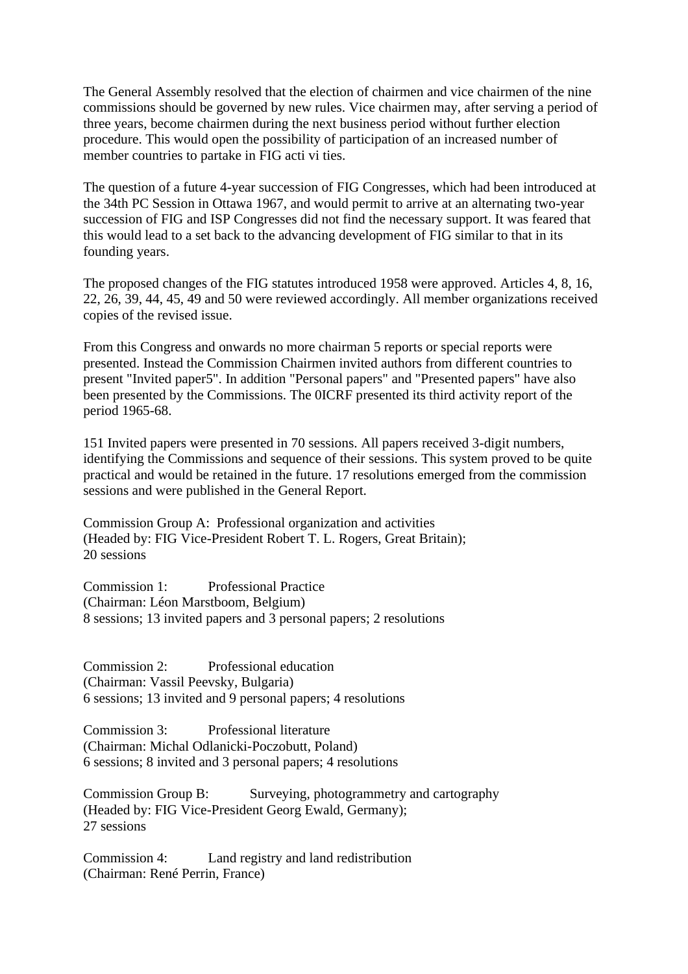The General Assembly resolved that the election of chairmen and vice chairmen of the nine commissions should be governed by new rules. Vice chairmen may, after serving a period of three years, become chairmen during the next business period without further election procedure. This would open the possibility of participation of an increased number of member countries to partake in FIG acti vi ties.

The question of a future 4-year succession of FIG Congresses, which had been introduced at the 34th PC Session in Ottawa 1967, and would permit to arrive at an alternating two-year succession of FIG and ISP Congresses did not find the necessary support. It was feared that this would lead to a set back to the advancing development of FIG similar to that in its founding years.

The proposed changes of the FIG statutes introduced 1958 were approved. Articles 4, 8, 16, 22, 26, 39, 44, 45, 49 and 50 were reviewed accordingly. All member organizations received copies of the revised issue.

From this Congress and onwards no more chairman 5 reports or special reports were presented. Instead the Commission Chairmen invited authors from different countries to present "Invited paper5". In addition "Personal papers" and "Presented papers" have also been presented by the Commissions. The 0ICRF presented its third activity report of the period 1965-68.

151 Invited papers were presented in 70 sessions. All papers received 3-digit numbers, identifying the Commissions and sequence of their sessions. This system proved to be quite practical and would be retained in the future. 17 resolutions emerged from the commission sessions and were published in the General Report.

Commission Group A: Professional organization and activities (Headed by: FIG Vice-President Robert T. L. Rogers, Great Britain); 20 sessions

Commission 1: Professional Practice (Chairman: Léon Marstboom, Belgium) 8 sessions; 13 invited papers and 3 personal papers; 2 resolutions

Commission 2: Professional education (Chairman: Vassil Peevsky, Bulgaria) 6 sessions; 13 invited and 9 personal papers; 4 resolutions

Commission 3: Professional literature (Chairman: Michal Odlanicki-Poczobutt, Poland) 6 sessions; 8 invited and 3 personal papers; 4 resolutions

Commission Group B: Surveying, photogrammetry and cartography (Headed by: FIG Vice-President Georg Ewald, Germany); 27 sessions

Commission 4: Land registry and land redistribution (Chairman: René Perrin, France)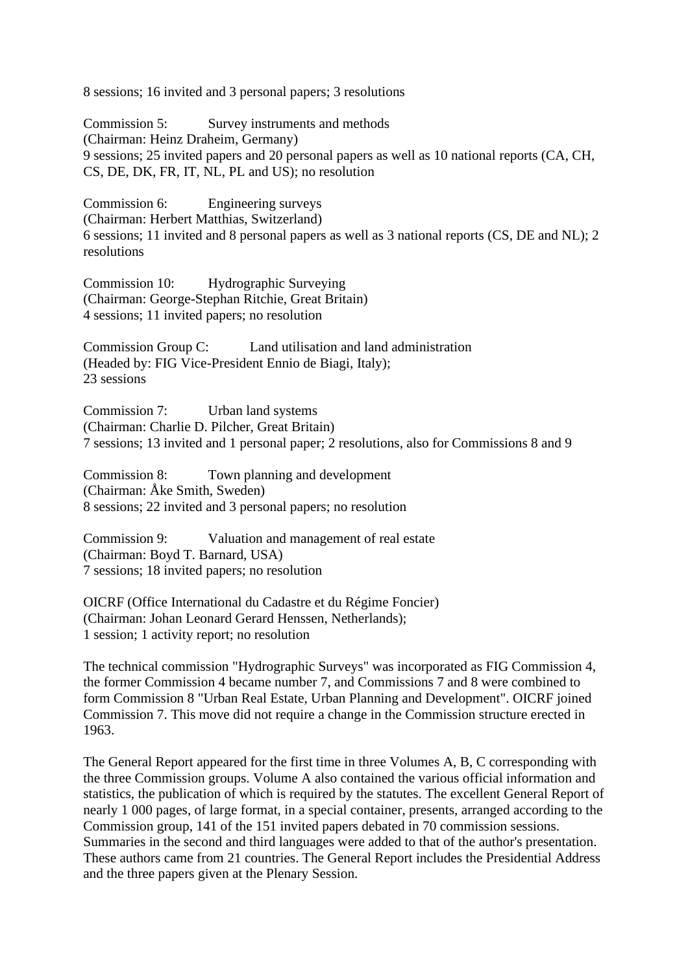8 sessions; 16 invited and 3 personal papers; 3 resolutions

Commission 5: Survey instruments and methods (Chairman: Heinz Draheim, Germany) 9 sessions; 25 invited papers and 20 personal papers as well as 10 national reports (CA, CH, CS, DE, DK, FR, IT, NL, PL and US); no resolution

Commission 6: Engineering surveys (Chairman: Herbert Matthias, Switzerland) 6 sessions; 11 invited and 8 personal papers as well as 3 national reports (CS, DE and NL); 2 resolutions

Commission 10: Hydrographic Surveying (Chairman: George-Stephan Ritchie, Great Britain) 4 sessions; 11 invited papers; no resolution

Commission Group C: Land utilisation and land administration (Headed by: FIG Vice-President Ennio de Biagi, Italy); 23 sessions

Commission 7: Urban land systems (Chairman: Charlie D. Pilcher, Great Britain) 7 sessions; 13 invited and 1 personal paper; 2 resolutions, also for Commissions 8 and 9

Commission 8: Town planning and development (Chairman: Åke Smith, Sweden) 8 sessions; 22 invited and 3 personal papers; no resolution

Commission 9: Valuation and management of real estate (Chairman: Boyd T. Barnard, USA) 7 sessions; 18 invited papers; no resolution

OICRF (Office International du Cadastre et du Régime Foncier) (Chairman: Johan Leonard Gerard Henssen, Netherlands); 1 session; 1 activity report; no resolution

The technical commission "Hydrographic Surveys" was incorporated as FIG Commission 4, the former Commission 4 became number 7, and Commissions 7 and 8 were combined to form Commission 8 "Urban Real Estate, Urban Planning and Development". OICRF joined Commission 7. This move did not require a change in the Commission structure erected in 1963.

The General Report appeared for the first time in three Volumes A, B, C corresponding with the three Commission groups. Volume A also contained the various official information and statistics, the publication of which is required by the statutes. The excellent General Report of nearly 1 000 pages, of large format, in a special container, presents, arranged according to the Commission group, 141 of the 151 invited papers debated in 70 commission sessions. Summaries in the second and third languages were added to that of the author's presentation. These authors came from 21 countries. The General Report includes the Presidential Address and the three papers given at the Plenary Session.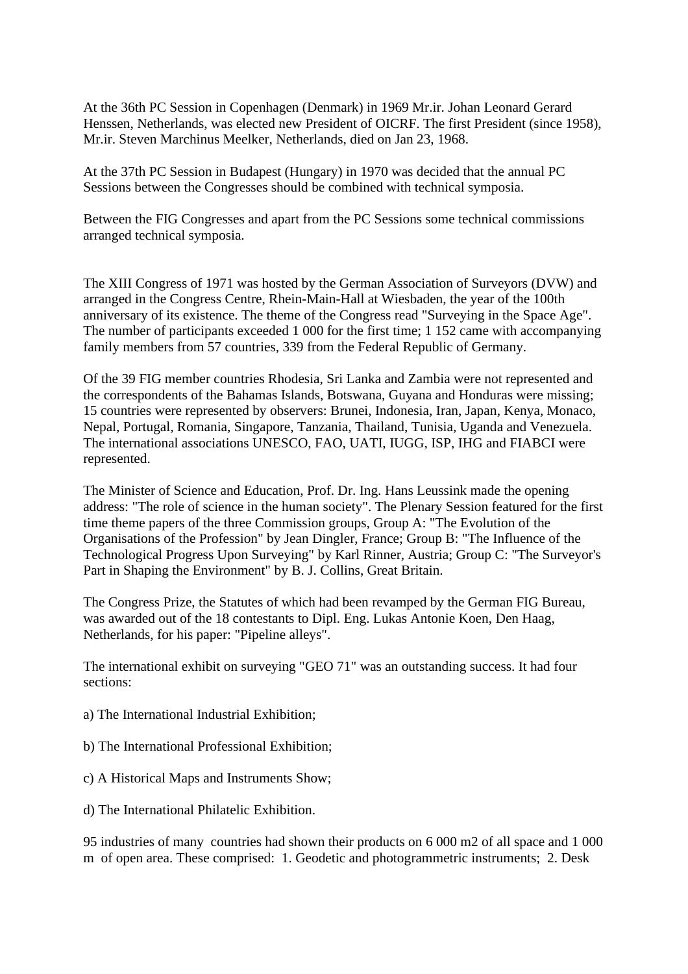At the 36th PC Session in Copenhagen (Denmark) in 1969 Mr.ir. Johan Leonard Gerard Henssen, Netherlands, was elected new President of OICRF. The first President (since 1958), Mr.ir. Steven Marchinus Meelker, Netherlands, died on Jan 23, 1968.

At the 37th PC Session in Budapest (Hungary) in 1970 was decided that the annual PC Sessions between the Congresses should be combined with technical symposia.

Between the FIG Congresses and apart from the PC Sessions some technical commissions arranged technical symposia.

The XIII Congress of 1971 was hosted by the German Association of Surveyors (DVW) and arranged in the Congress Centre, Rhein-Main-Hall at Wiesbaden, the year of the 100th anniversary of its existence. The theme of the Congress read "Surveying in the Space Age". The number of participants exceeded 1 000 for the first time; 1 152 came with accompanying family members from 57 countries, 339 from the Federal Republic of Germany.

Of the 39 FIG member countries Rhodesia, Sri Lanka and Zambia were not represented and the correspondents of the Bahamas Islands, Botswana, Guyana and Honduras were missing; 15 countries were represented by observers: Brunei, Indonesia, Iran, Japan, Kenya, Monaco, Nepal, Portugal, Romania, Singapore, Tanzania, Thailand, Tunisia, Uganda and Venezuela. The international associations UNESCO, FAO, UATI, IUGG, ISP, IHG and FIABCI were represented.

The Minister of Science and Education, Prof. Dr. Ing. Hans Leussink made the opening address: "The role of science in the human society". The Plenary Session featured for the first time theme papers of the three Commission groups, Group A: "The Evolution of the Organisations of the Profession" by Jean Dingler, France; Group B: "The Influence of the Technological Progress Upon Surveying" by Karl Rinner, Austria; Group C: "The Surveyor's Part in Shaping the Environment" by B. J. Collins, Great Britain.

The Congress Prize, the Statutes of which had been revamped by the German FIG Bureau, was awarded out of the 18 contestants to Dipl. Eng. Lukas Antonie Koen, Den Haag, Netherlands, for his paper: "Pipeline alleys".

The international exhibit on surveying "GEO 71" was an outstanding success. It had four sections:

- a) The International Industrial Exhibition;
- b) The International Professional Exhibition;
- c) A Historical Maps and Instruments Show;
- d) The International Philatelic Exhibition.

95 industries of many countries had shown their products on 6 000 m2 of all space and 1 000 m of open area. These comprised: 1. Geodetic and photogrammetric instruments; 2. Desk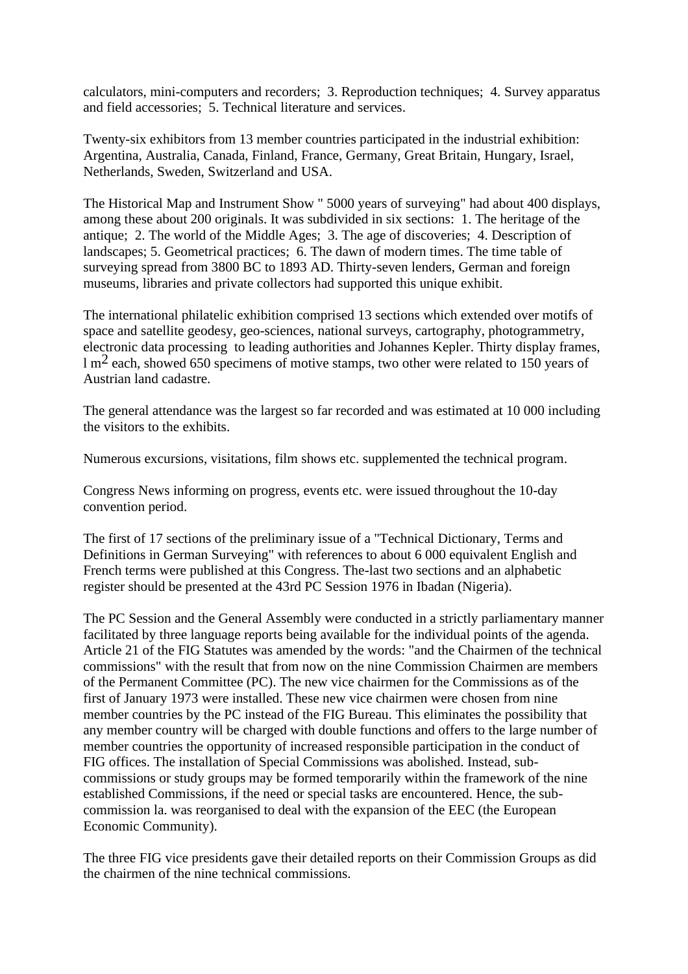calculators, mini-computers and recorders; 3. Reproduction techniques; 4. Survey apparatus and field accessories; 5. Technical literature and services.

Twenty-six exhibitors from 13 member countries participated in the industrial exhibition: Argentina, Australia, Canada, Finland, France, Germany, Great Britain, Hungary, Israel, Netherlands, Sweden, Switzerland and USA.

The Historical Map and Instrument Show " 5000 years of surveying" had about 400 displays, among these about 200 originals. It was subdivided in six sections: 1. The heritage of the antique; 2. The world of the Middle Ages; 3. The age of discoveries; 4. Description of landscapes; 5. Geometrical practices; 6. The dawn of modern times. The time table of surveying spread from 3800 BC to 1893 AD. Thirty-seven lenders, German and foreign museums, libraries and private collectors had supported this unique exhibit.

The international philatelic exhibition comprised 13 sections which extended over motifs of space and satellite geodesy, geo-sciences, national surveys, cartography, photogrammetry, electronic data processing to leading authorities and Johannes Kepler. Thirty display frames, l m2 each, showed 650 specimens of motive stamps, two other were related to 150 years of Austrian land cadastre.

The general attendance was the largest so far recorded and was estimated at 10 000 including the visitors to the exhibits.

Numerous excursions, visitations, film shows etc. supplemented the technical program.

Congress News informing on progress, events etc. were issued throughout the 10-day convention period.

The first of 17 sections of the preliminary issue of a "Technical Dictionary, Terms and Definitions in German Surveying" with references to about 6 000 equivalent English and French terms were published at this Congress. The-last two sections and an alphabetic register should be presented at the 43rd PC Session 1976 in Ibadan (Nigeria).

The PC Session and the General Assembly were conducted in a strictly parliamentary manner facilitated by three language reports being available for the individual points of the agenda. Article 21 of the FIG Statutes was amended by the words: "and the Chairmen of the technical commissions" with the result that from now on the nine Commission Chairmen are members of the Permanent Committee (PC). The new vice chairmen for the Commissions as of the first of January 1973 were installed. These new vice chairmen were chosen from nine member countries by the PC instead of the FIG Bureau. This eliminates the possibility that any member country will be charged with double functions and offers to the large number of member countries the opportunity of increased responsible participation in the conduct of FIG offices. The installation of Special Commissions was abolished. Instead, subcommissions or study groups may be formed temporarily within the framework of the nine established Commissions, if the need or special tasks are encountered. Hence, the subcommission la. was reorganised to deal with the expansion of the EEC (the European Economic Community).

The three FIG vice presidents gave their detailed reports on their Commission Groups as did the chairmen of the nine technical commissions.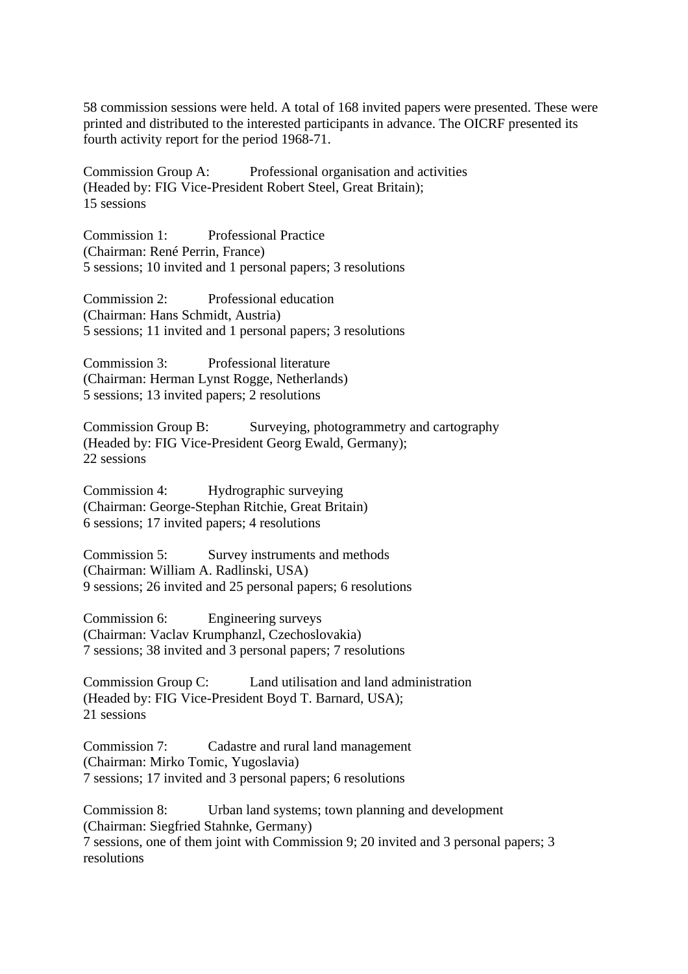58 commission sessions were held. A total of 168 invited papers were presented. These were printed and distributed to the interested participants in advance. The OICRF presented its fourth activity report for the period 1968-71.

Commission Group A: Professional organisation and activities (Headed by: FIG Vice-President Robert Steel, Great Britain); 15 sessions

Commission 1: Professional Practice (Chairman: René Perrin, France) 5 sessions; 10 invited and 1 personal papers; 3 resolutions

Commission 2: Professional education (Chairman: Hans Schmidt, Austria) 5 sessions; 11 invited and 1 personal papers; 3 resolutions

Commission 3: Professional literature (Chairman: Herman Lynst Rogge, Netherlands) 5 sessions; 13 invited papers; 2 resolutions

Commission Group B: Surveying, photogrammetry and cartography (Headed by: FIG Vice-President Georg Ewald, Germany); 22 sessions

Commission 4: Hydrographic surveying (Chairman: George-Stephan Ritchie, Great Britain) 6 sessions; 17 invited papers; 4 resolutions

Commission 5: Survey instruments and methods (Chairman: William A. Radlinski, USA) 9 sessions; 26 invited and 25 personal papers; 6 resolutions

Commission 6: Engineering surveys (Chairman: Vaclav Krumphanzl, Czechoslovakia) 7 sessions; 38 invited and 3 personal papers; 7 resolutions

Commission Group C: Land utilisation and land administration (Headed by: FIG Vice-President Boyd T. Barnard, USA); 21 sessions

Commission 7: Cadastre and rural land management (Chairman: Mirko Tomic, Yugoslavia) 7 sessions; 17 invited and 3 personal papers; 6 resolutions

Commission 8: Urban land systems; town planning and development (Chairman: Siegfried Stahnke, Germany) 7 sessions, one of them joint with Commission 9; 20 invited and 3 personal papers; 3 resolutions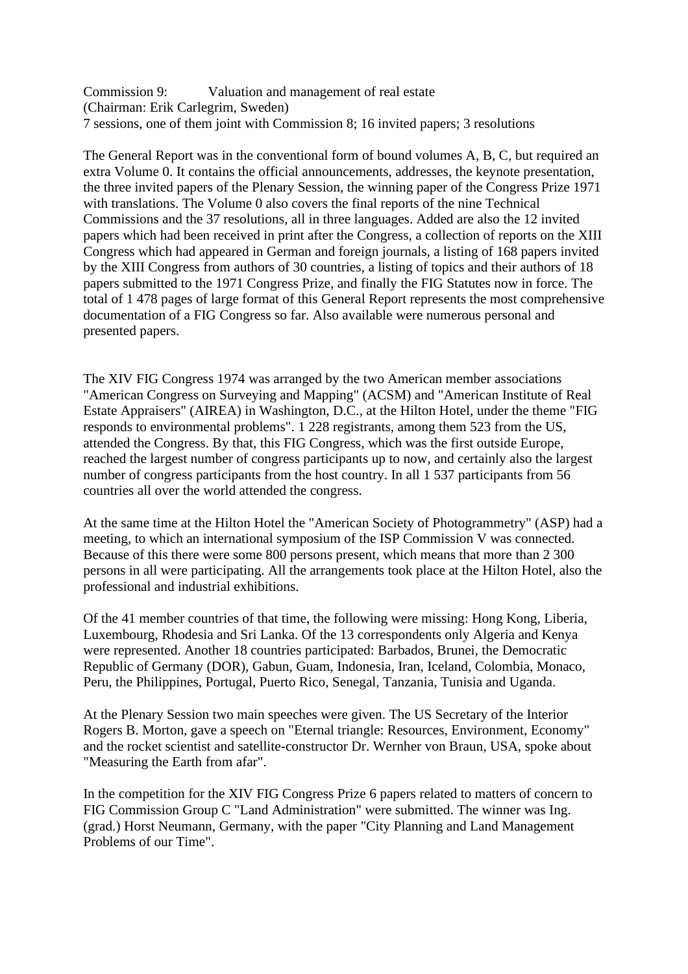Commission 9: Valuation and management of real estate (Chairman: Erik Carlegrim, Sweden) 7 sessions, one of them joint with Commission 8; 16 invited papers; 3 resolutions

The General Report was in the conventional form of bound volumes A, B, C, but required an extra Volume 0. It contains the official announcements, addresses, the keynote presentation, the three invited papers of the Plenary Session, the winning paper of the Congress Prize 1971 with translations. The Volume 0 also covers the final reports of the nine Technical Commissions and the 37 resolutions, all in three languages. Added are also the 12 invited papers which had been received in print after the Congress, a collection of reports on the XIII Congress which had appeared in German and foreign journals, a listing of 168 papers invited by the XIII Congress from authors of 30 countries, a listing of topics and their authors of 18 papers submitted to the 1971 Congress Prize, and finally the FIG Statutes now in force. The total of 1 478 pages of large format of this General Report represents the most comprehensive documentation of a FIG Congress so far. Also available were numerous personal and presented papers.

The XIV FIG Congress 1974 was arranged by the two American member associations "American Congress on Surveying and Mapping" (ACSM) and "American Institute of Real Estate Appraisers" (AIREA) in Washington, D.C., at the Hilton Hotel, under the theme "FIG responds to environmental problems". 1 228 registrants, among them 523 from the US, attended the Congress. By that, this FIG Congress, which was the first outside Europe, reached the largest number of congress participants up to now, and certainly also the largest number of congress participants from the host country. In all 1 537 participants from 56 countries all over the world attended the congress.

At the same time at the Hilton Hotel the "American Society of Photogrammetry" (ASP) had a meeting, to which an international symposium of the ISP Commission V was connected. Because of this there were some 800 persons present, which means that more than 2 300 persons in all were participating. All the arrangements took place at the Hilton Hotel, also the professional and industrial exhibitions.

Of the 41 member countries of that time, the following were missing: Hong Kong, Liberia, Luxembourg, Rhodesia and Sri Lanka. Of the 13 correspondents only Algeria and Kenya were represented. Another 18 countries participated: Barbados, Brunei, the Democratic Republic of Germany (DOR), Gabun, Guam, Indonesia, Iran, Iceland, Colombia, Monaco, Peru, the Philippines, Portugal, Puerto Rico, Senegal, Tanzania, Tunisia and Uganda.

At the Plenary Session two main speeches were given. The US Secretary of the Interior Rogers B. Morton, gave a speech on "Eternal triangle: Resources, Environment, Economy" and the rocket scientist and satellite-constructor Dr. Wernher von Braun, USA, spoke about "Measuring the Earth from afar".

In the competition for the XIV FIG Congress Prize 6 papers related to matters of concern to FIG Commission Group C "Land Administration" were submitted. The winner was Ing. (grad.) Horst Neumann, Germany, with the paper "City Planning and Land Management Problems of our Time".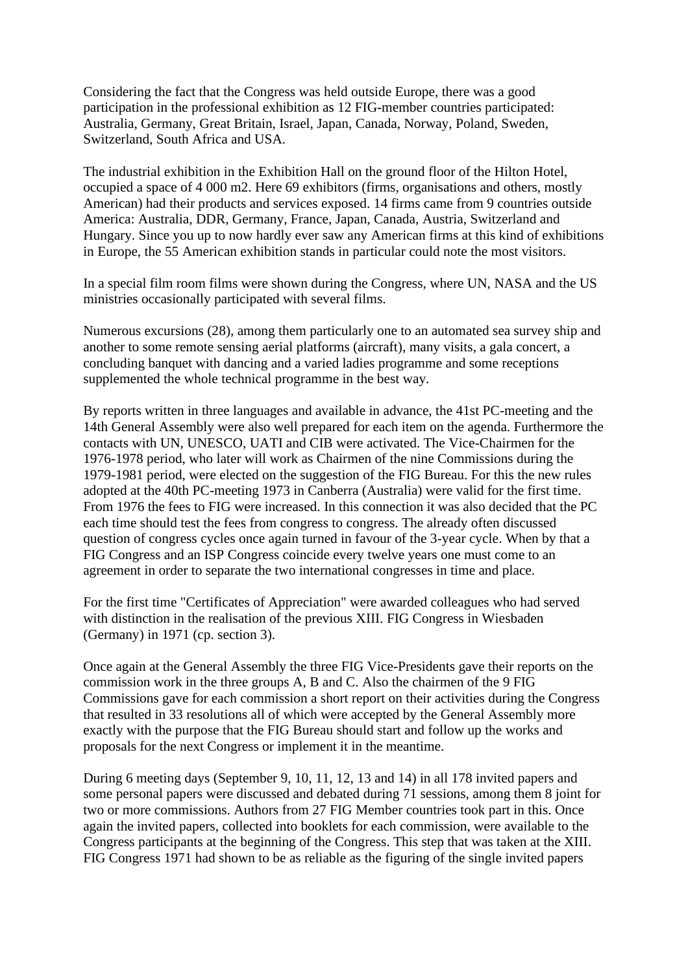Considering the fact that the Congress was held outside Europe, there was a good participation in the professional exhibition as 12 FIG-member countries participated: Australia, Germany, Great Britain, Israel, Japan, Canada, Norway, Poland, Sweden, Switzerland, South Africa and USA.

The industrial exhibition in the Exhibition Hall on the ground floor of the Hilton Hotel, occupied a space of 4 000 m2. Here 69 exhibitors (firms, organisations and others, mostly American) had their products and services exposed. 14 firms came from 9 countries outside America: Australia, DDR, Germany, France, Japan, Canada, Austria, Switzerland and Hungary. Since you up to now hardly ever saw any American firms at this kind of exhibitions in Europe, the 55 American exhibition stands in particular could note the most visitors.

In a special film room films were shown during the Congress, where UN, NASA and the US ministries occasionally participated with several films.

Numerous excursions (28), among them particularly one to an automated sea survey ship and another to some remote sensing aerial platforms (aircraft), many visits, a gala concert, a concluding banquet with dancing and a varied ladies programme and some receptions supplemented the whole technical programme in the best way.

By reports written in three languages and available in advance, the 41st PC-meeting and the 14th General Assembly were also well prepared for each item on the agenda. Furthermore the contacts with UN, UNESCO, UATI and CIB were activated. The Vice-Chairmen for the 1976-1978 period, who later will work as Chairmen of the nine Commissions during the 1979-1981 period, were elected on the suggestion of the FIG Bureau. For this the new rules adopted at the 40th PC-meeting 1973 in Canberra (Australia) were valid for the first time. From 1976 the fees to FIG were increased. In this connection it was also decided that the PC each time should test the fees from congress to congress. The already often discussed question of congress cycles once again turned in favour of the 3-year cycle. When by that a FIG Congress and an ISP Congress coincide every twelve years one must come to an agreement in order to separate the two international congresses in time and place.

For the first time "Certificates of Appreciation" were awarded colleagues who had served with distinction in the realisation of the previous XIII. FIG Congress in Wiesbaden (Germany) in 1971 (cp. section 3).

Once again at the General Assembly the three FIG Vice-Presidents gave their reports on the commission work in the three groups A, B and C. Also the chairmen of the 9 FIG Commissions gave for each commission a short report on their activities during the Congress that resulted in 33 resolutions all of which were accepted by the General Assembly more exactly with the purpose that the FIG Bureau should start and follow up the works and proposals for the next Congress or implement it in the meantime.

During 6 meeting days (September 9, 10, 11, 12, 13 and 14) in all 178 invited papers and some personal papers were discussed and debated during 71 sessions, among them 8 joint for two or more commissions. Authors from 27 FIG Member countries took part in this. Once again the invited papers, collected into booklets for each commission, were available to the Congress participants at the beginning of the Congress. This step that was taken at the XIII. FIG Congress 1971 had shown to be as reliable as the figuring of the single invited papers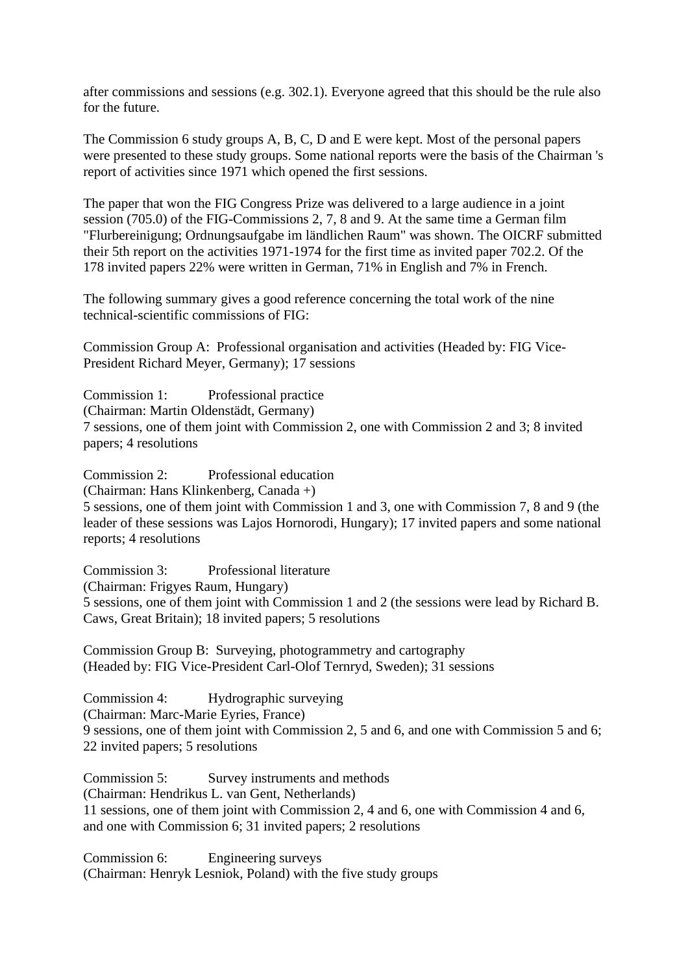after commissions and sessions (e.g. 302.1). Everyone agreed that this should be the rule also for the future.

The Commission 6 study groups A, B, C, D and E were kept. Most of the personal papers were presented to these study groups. Some national reports were the basis of the Chairman 's report of activities since 1971 which opened the first sessions.

The paper that won the FIG Congress Prize was delivered to a large audience in a joint session (705.0) of the FIG-Commissions 2, 7, 8 and 9. At the same time a German film "Flurbereinigung; Ordnungsaufgabe im ländlichen Raum" was shown. The OICRF submitted their 5th report on the activities 1971-1974 for the first time as invited paper 702.2. Of the 178 invited papers 22% were written in German, 71% in English and 7% in French.

The following summary gives a good reference concerning the total work of the nine technical-scientific commissions of FIG:

Commission Group A: Professional organisation and activities (Headed by: FIG Vice-President Richard Meyer, Germany); 17 sessions

Commission 1: Professional practice (Chairman: Martin Oldenstädt, Germany) 7 sessions, one of them joint with Commission 2, one with Commission 2 and 3; 8 invited papers; 4 resolutions

Commission 2: Professional education (Chairman: Hans Klinkenberg, Canada +) 5 sessions, one of them joint with Commission 1 and 3, one with Commission 7, 8 and 9 (the leader of these sessions was Lajos Hornorodi, Hungary); 17 invited papers and some national reports; 4 resolutions

Commission 3: Professional literature (Chairman: Frigyes Raum, Hungary) 5 sessions, one of them joint with Commission 1 and 2 (the sessions were lead by Richard B. Caws, Great Britain); 18 invited papers; 5 resolutions

Commission Group B: Surveying, photogrammetry and cartography (Headed by: FIG Vice-President Carl-Olof Ternryd, Sweden); 31 sessions

Commission 4: Hydrographic surveying (Chairman: Marc-Marie Eyries, France) 9 sessions, one of them joint with Commission 2, 5 and 6, and one with Commission 5 and 6; 22 invited papers; 5 resolutions

Commission 5: Survey instruments and methods (Chairman: Hendrikus L. van Gent, Netherlands) 11 sessions, one of them joint with Commission 2, 4 and 6, one with Commission 4 and 6, and one with Commission 6; 31 invited papers; 2 resolutions

Commission 6: Engineering surveys (Chairman: Henryk Lesniok, Poland) with the five study groups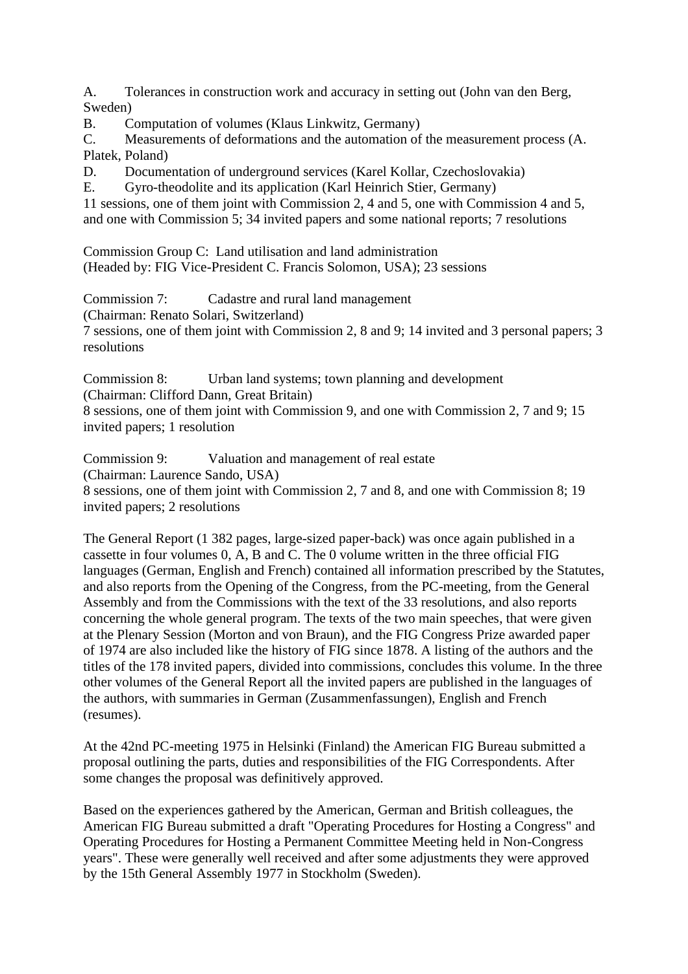A. Tolerances in construction work and accuracy in setting out (John van den Berg, Sweden)

B. Computation of volumes (Klaus Linkwitz, Germany)

C. Measurements of deformations and the automation of the measurement process (A. Platek, Poland)

D. Documentation of underground services (Karel Kollar, Czechoslovakia)<br>E. Gyro-theodolite and its annication (Karl Heinrich Stier, Germany)

E. Gyro-theodolite and its application (Karl Heinrich Stier, Germany)

11 sessions, one of them joint with Commission 2, 4 and 5, one with Commission 4 and 5, and one with Commission 5; 34 invited papers and some national reports; 7 resolutions

Commission Group C: Land utilisation and land administration (Headed by: FIG Vice-President C. Francis Solomon, USA); 23 sessions

Commission 7: Cadastre and rural land management (Chairman: Renato Solari, Switzerland) 7 sessions, one of them joint with Commission 2, 8 and 9; 14 invited and 3 personal papers; 3 resolutions

Commission 8: Urban land systems; town planning and development (Chairman: Clifford Dann, Great Britain) 8 sessions, one of them joint with Commission 9, and one with Commission 2, 7 and 9; 15 invited papers; 1 resolution

Commission 9: Valuation and management of real estate (Chairman: Laurence Sando, USA) 8 sessions, one of them joint with Commission 2, 7 and 8, and one with Commission 8; 19 invited papers; 2 resolutions

The General Report (1 382 pages, large-sized paper-back) was once again published in a cassette in four volumes 0, A, B and C. The 0 volume written in the three official FIG languages (German, English and French) contained all information prescribed by the Statutes, and also reports from the Opening of the Congress, from the PC-meeting, from the General Assembly and from the Commissions with the text of the 33 resolutions, and also reports concerning the whole general program. The texts of the two main speeches, that were given at the Plenary Session (Morton and von Braun), and the FIG Congress Prize awarded paper of 1974 are also included like the history of FIG since 1878. A listing of the authors and the titles of the 178 invited papers, divided into commissions, concludes this volume. In the three other volumes of the General Report all the invited papers are published in the languages of the authors, with summaries in German (Zusammenfassungen), English and French (resumes).

At the 42nd PC-meeting 1975 in Helsinki (Finland) the American FIG Bureau submitted a proposal outlining the parts, duties and responsibilities of the FIG Correspondents. After some changes the proposal was definitively approved.

Based on the experiences gathered by the American, German and British colleagues, the American FIG Bureau submitted a draft "Operating Procedures for Hosting a Congress" and Operating Procedures for Hosting a Permanent Committee Meeting held in Non-Congress years". These were generally well received and after some adjustments they were approved by the 15th General Assembly 1977 in Stockholm (Sweden).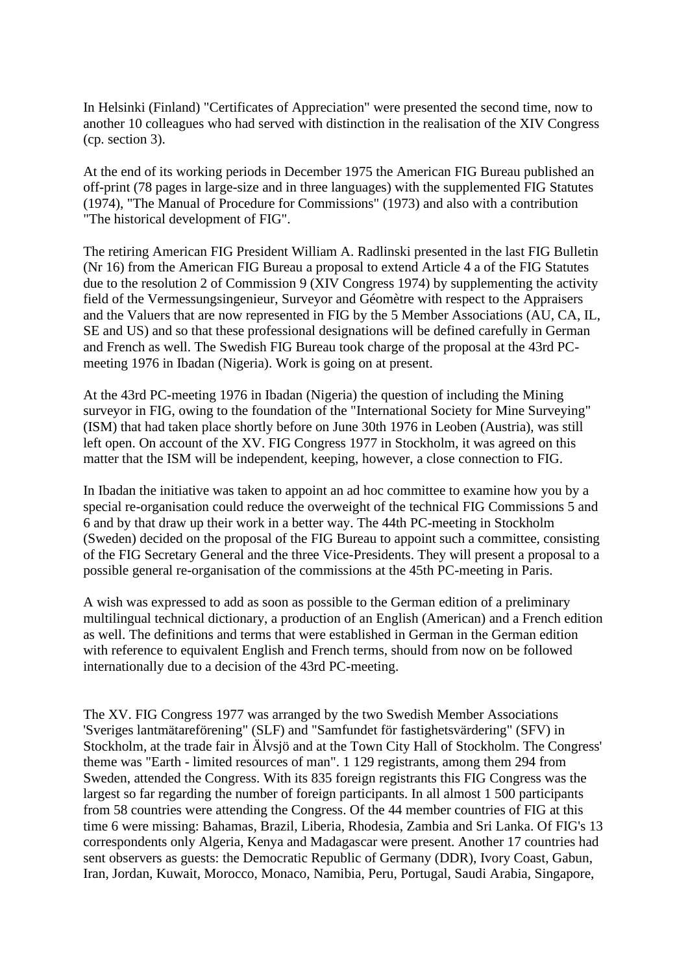In Helsinki (Finland) "Certificates of Appreciation" were presented the second time, now to another 10 colleagues who had served with distinction in the realisation of the XIV Congress (cp. section 3).

At the end of its working periods in December 1975 the American FIG Bureau published an off-print (78 pages in large-size and in three languages) with the supplemented FIG Statutes (1974), "The Manual of Procedure for Commissions" (1973) and also with a contribution "The historical development of FIG".

The retiring American FIG President William A. Radlinski presented in the last FIG Bulletin (Nr 16) from the American FIG Bureau a proposal to extend Article 4 a of the FIG Statutes due to the resolution 2 of Commission 9 (XIV Congress 1974) by supplementing the activity field of the Vermessungsingenieur, Surveyor and Géomètre with respect to the Appraisers and the Valuers that are now represented in FIG by the 5 Member Associations (AU, CA, IL, SE and US) and so that these professional designations will be defined carefully in German and French as well. The Swedish FIG Bureau took charge of the proposal at the 43rd PCmeeting 1976 in Ibadan (Nigeria). Work is going on at present.

At the 43rd PC-meeting 1976 in Ibadan (Nigeria) the question of including the Mining surveyor in FIG, owing to the foundation of the "International Society for Mine Surveying" (ISM) that had taken place shortly before on June 30th 1976 in Leoben (Austria), was still left open. On account of the XV. FIG Congress 1977 in Stockholm, it was agreed on this matter that the ISM will be independent, keeping, however, a close connection to FIG.

In Ibadan the initiative was taken to appoint an ad hoc committee to examine how you by a special re-organisation could reduce the overweight of the technical FIG Commissions 5 and 6 and by that draw up their work in a better way. The 44th PC-meeting in Stockholm (Sweden) decided on the proposal of the FIG Bureau to appoint such a committee, consisting of the FIG Secretary General and the three Vice-Presidents. They will present a proposal to a possible general re-organisation of the commissions at the 45th PC-meeting in Paris.

A wish was expressed to add as soon as possible to the German edition of a preliminary multilingual technical dictionary, a production of an English (American) and a French edition as well. The definitions and terms that were established in German in the German edition with reference to equivalent English and French terms, should from now on be followed internationally due to a decision of the 43rd PC-meeting.

The XV. FIG Congress 1977 was arranged by the two Swedish Member Associations 'Sveriges lantmätareförening" (SLF) and "Samfundet för fastighetsvärdering" (SFV) in Stockholm, at the trade fair in Älvsjö and at the Town City Hall of Stockholm. The Congress' theme was "Earth - limited resources of man". 1 129 registrants, among them 294 from Sweden, attended the Congress. With its 835 foreign registrants this FIG Congress was the largest so far regarding the number of foreign participants. In all almost 1 500 participants from 58 countries were attending the Congress. Of the 44 member countries of FIG at this time 6 were missing: Bahamas, Brazil, Liberia, Rhodesia, Zambia and Sri Lanka. Of FIG's 13 correspondents only Algeria, Kenya and Madagascar were present. Another 17 countries had sent observers as guests: the Democratic Republic of Germany (DDR), Ivory Coast, Gabun, Iran, Jordan, Kuwait, Morocco, Monaco, Namibia, Peru, Portugal, Saudi Arabia, Singapore,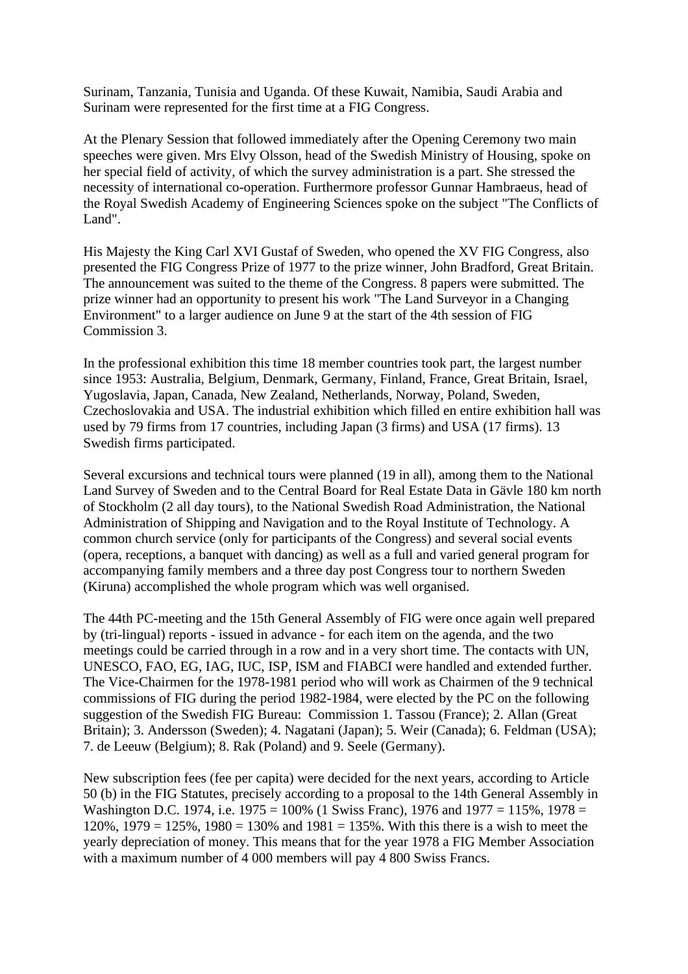Surinam, Tanzania, Tunisia and Uganda. Of these Kuwait, Namibia, Saudi Arabia and Surinam were represented for the first time at a FIG Congress.

At the Plenary Session that followed immediately after the Opening Ceremony two main speeches were given. Mrs Elvy Olsson, head of the Swedish Ministry of Housing, spoke on her special field of activity, of which the survey administration is a part. She stressed the necessity of international co-operation. Furthermore professor Gunnar Hambraeus, head of the Royal Swedish Academy of Engineering Sciences spoke on the subject "The Conflicts of Land".

His Majesty the King Carl XVI Gustaf of Sweden, who opened the XV FIG Congress, also presented the FIG Congress Prize of 1977 to the prize winner, John Bradford, Great Britain. The announcement was suited to the theme of the Congress. 8 papers were submitted. The prize winner had an opportunity to present his work "The Land Surveyor in a Changing Environment" to a larger audience on June 9 at the start of the 4th session of FIG Commission 3.

In the professional exhibition this time 18 member countries took part, the largest number since 1953: Australia, Belgium, Denmark, Germany, Finland, France, Great Britain, Israel, Yugoslavia, Japan, Canada, New Zealand, Netherlands, Norway, Poland, Sweden, Czechoslovakia and USA. The industrial exhibition which filled en entire exhibition hall was used by 79 firms from 17 countries, including Japan (3 firms) and USA (17 firms). 13 Swedish firms participated.

Several excursions and technical tours were planned (19 in all), among them to the National Land Survey of Sweden and to the Central Board for Real Estate Data in Gävle 180 km north of Stockholm (2 all day tours), to the National Swedish Road Administration, the National Administration of Shipping and Navigation and to the Royal Institute of Technology. A common church service (only for participants of the Congress) and several social events (opera, receptions, a banquet with dancing) as well as a full and varied general program for accompanying family members and a three day post Congress tour to northern Sweden (Kiruna) accomplished the whole program which was well organised.

The 44th PC-meeting and the 15th General Assembly of FIG were once again well prepared by (tri-lingual) reports - issued in advance - for each item on the agenda, and the two meetings could be carried through in a row and in a very short time. The contacts with UN, UNESCO, FAO, EG, IAG, IUC, ISP, ISM and FIABCI were handled and extended further. The Vice-Chairmen for the 1978-1981 period who will work as Chairmen of the 9 technical commissions of FIG during the period 1982-1984, were elected by the PC on the following suggestion of the Swedish FIG Bureau: Commission 1. Tassou (France); 2. Allan (Great Britain); 3. Andersson (Sweden); 4. Nagatani (Japan); 5. Weir (Canada); 6. Feldman (USA); 7. de Leeuw (Belgium); 8. Rak (Poland) and 9. Seele (Germany).

New subscription fees (fee per capita) were decided for the next years, according to Article 50 (b) in the FIG Statutes, precisely according to a proposal to the 14th General Assembly in Washington D.C. 1974, i.e. 1975 = 100% (1 Swiss Franc), 1976 and 1977 = 115%, 1978 = 120%, 1979 = 125%, 1980 = 130% and 1981 = 135%. With this there is a wish to meet the yearly depreciation of money. This means that for the year 1978 a FIG Member Association with a maximum number of 4 000 members will pay 4 800 Swiss Francs.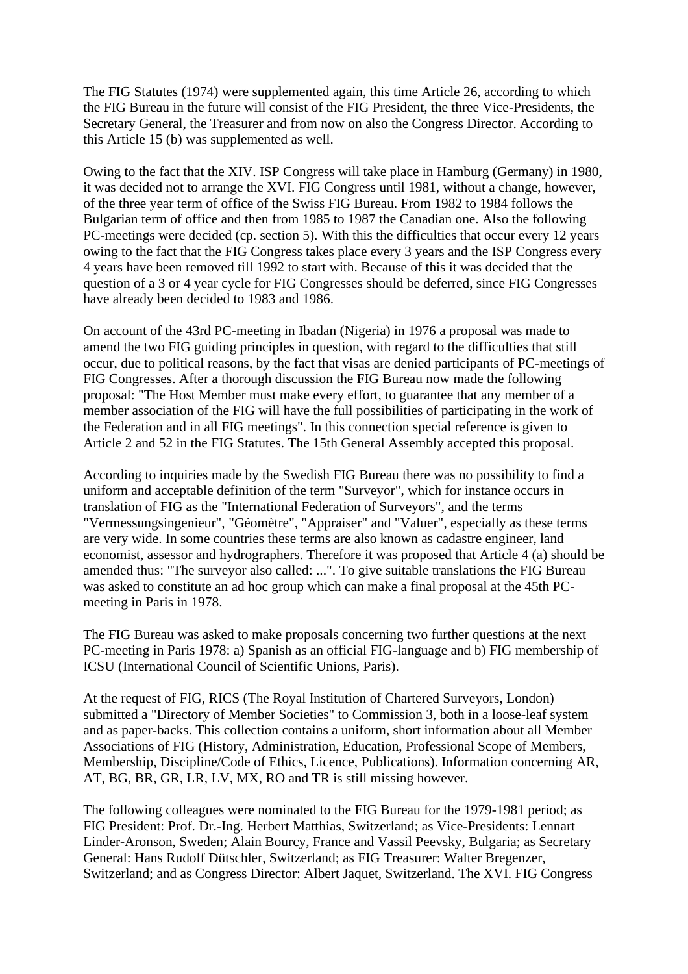The FIG Statutes (1974) were supplemented again, this time Article 26, according to which the FIG Bureau in the future will consist of the FIG President, the three Vice-Presidents, the Secretary General, the Treasurer and from now on also the Congress Director. According to this Article 15 (b) was supplemented as well.

Owing to the fact that the XIV. ISP Congress will take place in Hamburg (Germany) in 1980, it was decided not to arrange the XVI. FIG Congress until 1981, without a change, however, of the three year term of office of the Swiss FIG Bureau. From 1982 to 1984 follows the Bulgarian term of office and then from 1985 to 1987 the Canadian one. Also the following PC-meetings were decided (cp. section 5). With this the difficulties that occur every 12 years owing to the fact that the FIG Congress takes place every 3 years and the ISP Congress every 4 years have been removed till 1992 to start with. Because of this it was decided that the question of a 3 or 4 year cycle for FIG Congresses should be deferred, since FIG Congresses have already been decided to 1983 and 1986.

On account of the 43rd PC-meeting in Ibadan (Nigeria) in 1976 a proposal was made to amend the two FIG guiding principles in question, with regard to the difficulties that still occur, due to political reasons, by the fact that visas are denied participants of PC-meetings of FIG Congresses. After a thorough discussion the FIG Bureau now made the following proposal: "The Host Member must make every effort, to guarantee that any member of a member association of the FIG will have the full possibilities of participating in the work of the Federation and in all FIG meetings". In this connection special reference is given to Article 2 and 52 in the FIG Statutes. The 15th General Assembly accepted this proposal.

According to inquiries made by the Swedish FIG Bureau there was no possibility to find a uniform and acceptable definition of the term "Surveyor", which for instance occurs in translation of FIG as the "International Federation of Surveyors", and the terms "Vermessungsingenieur", "Géomètre", "Appraiser" and "Valuer", especially as these terms are very wide. In some countries these terms are also known as cadastre engineer, land economist, assessor and hydrographers. Therefore it was proposed that Article 4 (a) should be amended thus: "The surveyor also called: ...". To give suitable translations the FIG Bureau was asked to constitute an ad hoc group which can make a final proposal at the 45th PCmeeting in Paris in 1978.

The FIG Bureau was asked to make proposals concerning two further questions at the next PC-meeting in Paris 1978: a) Spanish as an official FIG-language and b) FIG membership of ICSU (International Council of Scientific Unions, Paris).

At the request of FIG, RICS (The Royal Institution of Chartered Surveyors, London) submitted a "Directory of Member Societies" to Commission 3, both in a loose-leaf system and as paper-backs. This collection contains a uniform, short information about all Member Associations of FIG (History, Administration, Education, Professional Scope of Members, Membership, Discipline/Code of Ethics, Licence, Publications). Information concerning AR, AT, BG, BR, GR, LR, LV, MX, RO and TR is still missing however.

The following colleagues were nominated to the FIG Bureau for the 1979-1981 period; as FIG President: Prof. Dr.-Ing. Herbert Matthias, Switzerland; as Vice-Presidents: Lennart Linder-Aronson, Sweden; Alain Bourcy, France and Vassil Peevsky, Bulgaria; as Secretary General: Hans Rudolf Dütschler, Switzerland; as FIG Treasurer: Walter Bregenzer, Switzerland; and as Congress Director: Albert Jaquet, Switzerland. The XVI. FIG Congress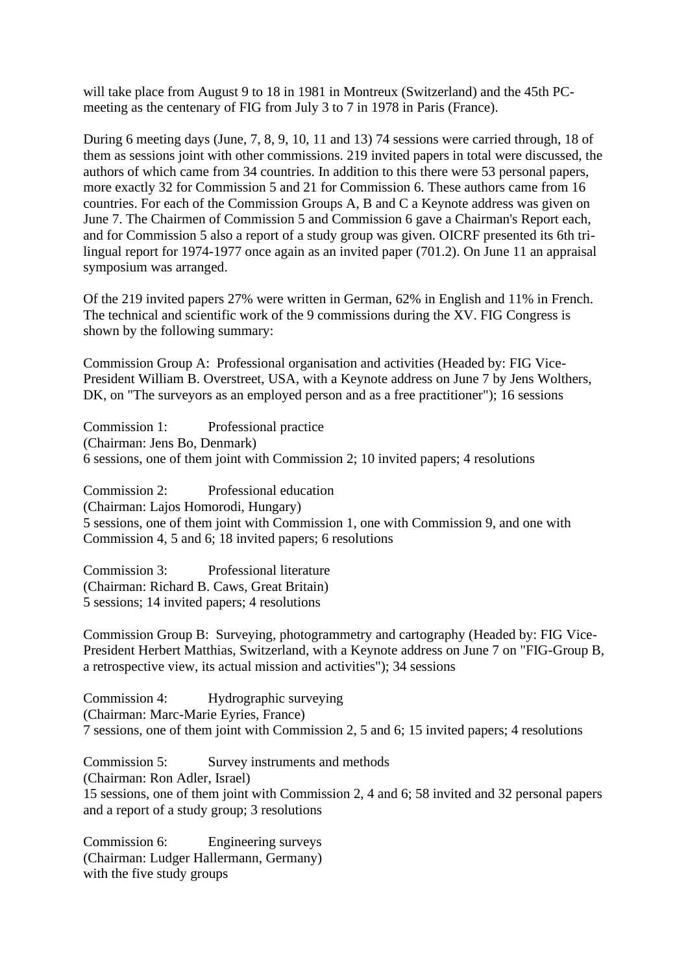will take place from August 9 to 18 in 1981 in Montreux (Switzerland) and the 45th PCmeeting as the centenary of FIG from July 3 to 7 in 1978 in Paris (France).

During 6 meeting days (June, 7, 8, 9, 10, 11 and 13) 74 sessions were carried through, 18 of them as sessions joint with other commissions. 219 invited papers in total were discussed, the authors of which came from 34 countries. In addition to this there were 53 personal papers, more exactly 32 for Commission 5 and 21 for Commission 6. These authors came from 16 countries. For each of the Commission Groups A, B and C a Keynote address was given on June 7. The Chairmen of Commission 5 and Commission 6 gave a Chairman's Report each, and for Commission 5 also a report of a study group was given. OICRF presented its 6th trilingual report for 1974-1977 once again as an invited paper (701.2). On June 11 an appraisal symposium was arranged.

Of the 219 invited papers 27% were written in German, 62% in English and 11% in French. The technical and scientific work of the 9 commissions during the XV. FIG Congress is shown by the following summary:

Commission Group A: Professional organisation and activities (Headed by: FIG Vice-President William B. Overstreet, USA, with a Keynote address on June 7 by Jens Wolthers, DK, on "The surveyors as an employed person and as a free practitioner"); 16 sessions

Commission 1: Professional practice (Chairman: Jens Bo, Denmark) 6 sessions, one of them joint with Commission 2; 10 invited papers; 4 resolutions

Commission 2: Professional education (Chairman: Lajos Homorodi, Hungary) 5 sessions, one of them joint with Commission 1, one with Commission 9, and one with Commission 4, 5 and 6; 18 invited papers; 6 resolutions

Commission 3: Professional literature (Chairman: Richard B. Caws, Great Britain) 5 sessions; 14 invited papers; 4 resolutions

Commission Group B: Surveying, photogrammetry and cartography (Headed by: FIG Vice-President Herbert Matthias, Switzerland, with a Keynote address on June 7 on "FIG-Group B, a retrospective view, its actual mission and activities"); 34 sessions

Commission 4: Hydrographic surveying (Chairman: Marc-Marie Eyries, France) 7 sessions, one of them joint with Commission 2, 5 and 6; 15 invited papers; 4 resolutions

Commission 5: Survey instruments and methods (Chairman: Ron Adler, Israel)

15 sessions, one of them joint with Commission 2, 4 and 6; 58 invited and 32 personal papers and a report of a study group; 3 resolutions

Commission 6: Engineering surveys (Chairman: Ludger Hallermann, Germany) with the five study groups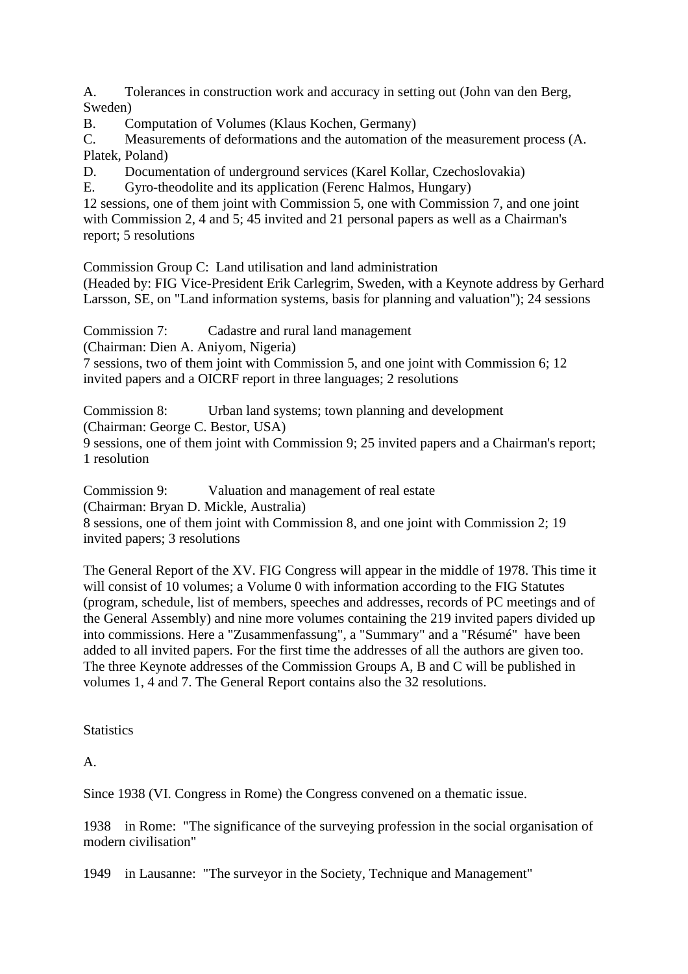A. Tolerances in construction work and accuracy in setting out (John van den Berg, Sweden)

B. Computation of Volumes (Klaus Kochen, Germany)

C. Measurements of deformations and the automation of the measurement process (A. Platek, Poland)

D. Documentation of underground services (Karel Kollar, Czechoslovakia)<br>E. Gyro-theodolite and its application (Ferenc Halmos Hungary)

E. Gyro-theodolite and its application (Ferenc Halmos, Hungary)

12 sessions, one of them joint with Commission 5, one with Commission 7, and one joint with Commission 2, 4 and 5; 45 invited and 21 personal papers as well as a Chairman's report; 5 resolutions

Commission Group C: Land utilisation and land administration

(Headed by: FIG Vice-President Erik Carlegrim, Sweden, with a Keynote address by Gerhard Larsson, SE, on "Land information systems, basis for planning and valuation"); 24 sessions

Commission 7: Cadastre and rural land management

(Chairman: Dien A. Aniyom, Nigeria)

7 sessions, two of them joint with Commission 5, and one joint with Commission 6; 12 invited papers and a OICRF report in three languages; 2 resolutions

Commission 8: Urban land systems; town planning and development (Chairman: George C. Bestor, USA)

9 sessions, one of them joint with Commission 9; 25 invited papers and a Chairman's report; 1 resolution

Commission 9: Valuation and management of real estate

(Chairman: Bryan D. Mickle, Australia)

8 sessions, one of them joint with Commission 8, and one joint with Commission 2; 19 invited papers; 3 resolutions

The General Report of the XV. FIG Congress will appear in the middle of 1978. This time it will consist of 10 volumes; a Volume 0 with information according to the FIG Statutes (program, schedule, list of members, speeches and addresses, records of PC meetings and of the General Assembly) and nine more volumes containing the 219 invited papers divided up into commissions. Here a "Zusammenfassung", a "Summary" and a "Résumé" have been added to all invited papers. For the first time the addresses of all the authors are given too. The three Keynote addresses of the Commission Groups A, B and C will be published in volumes 1, 4 and 7. The General Report contains also the 32 resolutions.

**Statistics** 

A.

Since 1938 (VI. Congress in Rome) the Congress convened on a thematic issue.

1938 in Rome: "The significance of the surveying profession in the social organisation of modern civilisation"

1949 in Lausanne: "The surveyor in the Society, Technique and Management"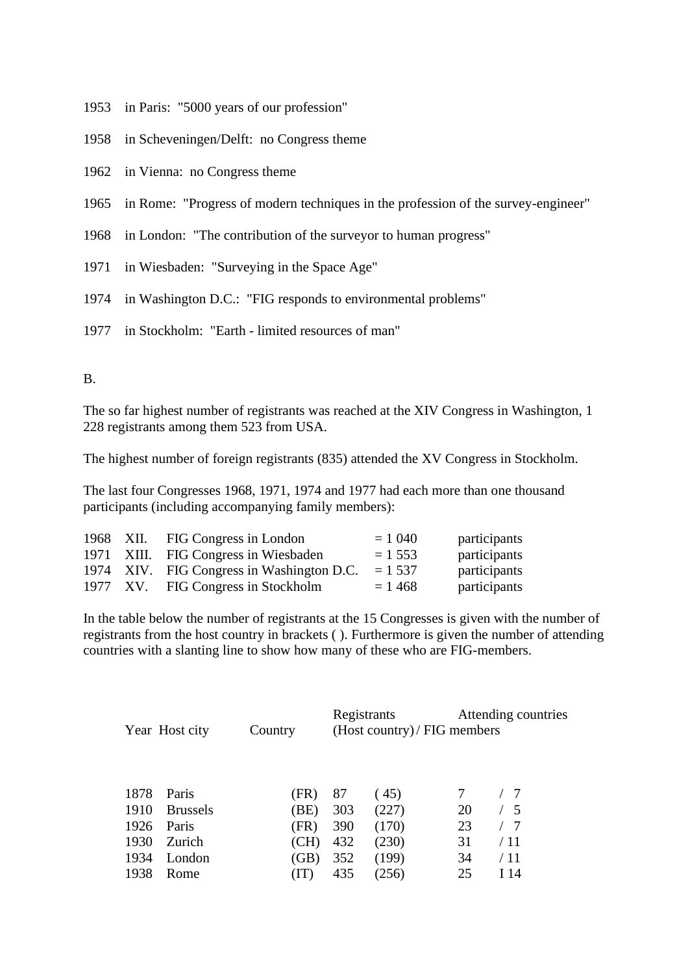in Paris: "5000 years of our profession"

- in Scheveningen/Delft: no Congress theme
- in Vienna: no Congress theme

in Rome: "Progress of modern techniques in the profession of the survey-engineer"

- in London: "The contribution of the surveyor to human progress"
- in Wiesbaden: "Surveying in the Space Age"
- in Washington D.C.: "FIG responds to environmental problems"
- in Stockholm: "Earth limited resources of man"

#### B.

The so far highest number of registrants was reached at the XIV Congress in Washington, 1 228 registrants among them 523 from USA.

The highest number of foreign registrants (835) attended the XV Congress in Stockholm.

The last four Congresses 1968, 1971, 1974 and 1977 had each more than one thousand participants (including accompanying family members):

|  | 1968 XII. FIG Congress in London          | $= 1040$  | participants |
|--|-------------------------------------------|-----------|--------------|
|  | 1971 XIII. FIG Congress in Wiesbaden      | $= 1.553$ | participants |
|  | 1974 XIV. FIG Congress in Washington D.C. | $= 1.537$ | participants |
|  | 1977 XV. FIG Congress in Stockholm        | $= 1468$  | participants |

In the table below the number of registrants at the 15 Congresses is given with the number of registrants from the host country in brackets ( ). Furthermore is given the number of attending countries with a slanting line to show how many of these who are FIG-members.

| Year Host city |                 | Country |     | Registrants | (Host country) / FIG members | Attending countries |  |  |  |  |
|----------------|-----------------|---------|-----|-------------|------------------------------|---------------------|--|--|--|--|
|                |                 |         |     |             |                              |                     |  |  |  |  |
| 1878           | Paris           | (FR)    | 87  | (45)        |                              | $^{\prime}$ 7       |  |  |  |  |
| 1910           | <b>Brussels</b> | (BE)    | 303 | (227)       | 20                           | $\frac{1}{5}$       |  |  |  |  |
| 1926           | Paris           | (FR)    | 390 | (170)       | 23                           | $\overline{7}$      |  |  |  |  |
| 1930           | Zurich          | (CH)    | 432 | (230)       | 31                           | / 11                |  |  |  |  |
| 1934           | London          | (GB)    | 352 | (199)       | 34                           | / 11                |  |  |  |  |
| 1938           | Rome            | (TT)    | 435 | (256)       | 25                           | I 14                |  |  |  |  |
|                |                 |         |     |             |                              |                     |  |  |  |  |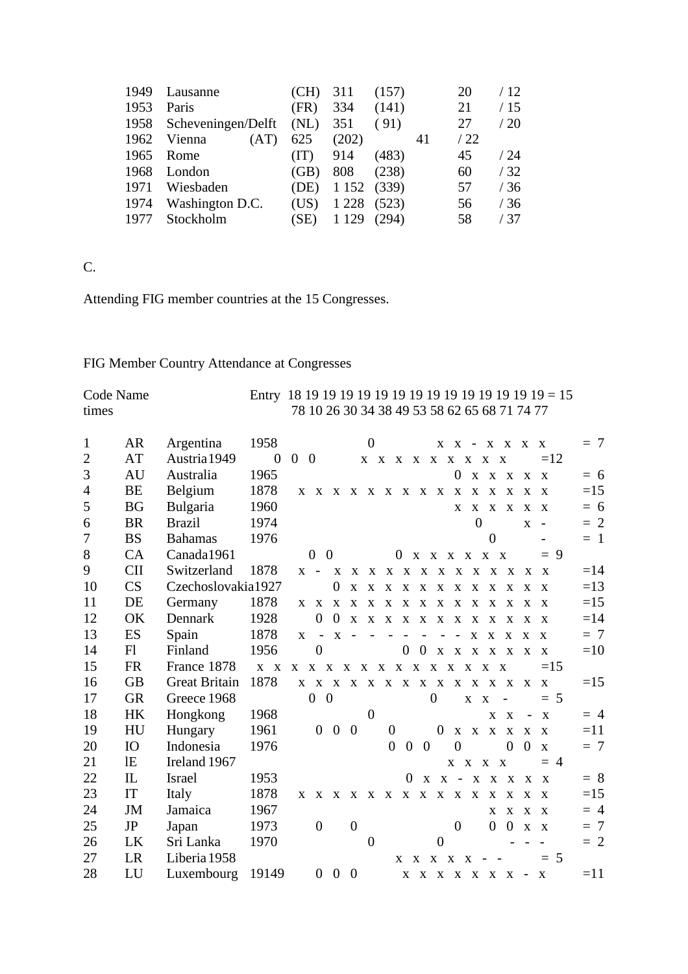| 1949 | Lausanne                | (CH) | 311     | (157) |    | 20  | / 12 |
|------|-------------------------|------|---------|-------|----|-----|------|
| 1953 | Paris                   | (FR) | 334     | (141) |    | 21  | /15  |
|      | 1958 Scheveningen/Delft | (NL) | 351     | (91)  |    | 27  | /20  |
| 1962 | Vienna<br>(AT)          | 625  | (202)   |       | 41 | /22 |      |
| 1965 | Rome                    | (TT) | 914     | (483) |    | 45  | / 24 |
| 1968 | London                  | (GB) | 808     | (238) |    | 60  | /32  |
| 1971 | Wiesbaden               | (DE) | 1 1 5 2 | (339) |    | 57  | /36  |
| 1974 | Washington D.C.         | (US) | 1 2 2 8 | (523) |    | 56  | /36  |
| 1977 | Stockholm               | (SE) | 1 1 2 9 | (294) |    | 58  | /37  |

## C.

Attending FIG member countries at the 15 Congresses.

## FIG Member Country Attendance at Congresses

| Code Name      |                                 |                      |              |              |                             |                   |                  |                |                  |                          |                |                  |                          |                     |                |                                              |                          |              |       |
|----------------|---------------------------------|----------------------|--------------|--------------|-----------------------------|-------------------|------------------|----------------|------------------|--------------------------|----------------|------------------|--------------------------|---------------------|----------------|----------------------------------------------|--------------------------|--------------|-------|
| times          |                                 |                      |              |              |                             |                   |                  |                |                  |                          |                |                  |                          |                     |                | 78 10 26 30 34 38 49 53 58 62 65 68 71 74 77 |                          |              |       |
| $\mathbf{1}$   | AR                              | Argentina            | 1958         |              |                             |                   |                  | $\overline{0}$ |                  |                          |                |                  |                          |                     |                | $X$ $X$ - $X$ $X$ $X$ $X$                    |                          |              | $= 7$ |
| $\mathfrak{2}$ | AT                              | Austria 1949         | $\mathbf{0}$ | $0\quad 0$   |                             |                   |                  |                |                  |                          |                |                  |                          | X X X X X X X X X X |                |                                              |                          | $=12$        |       |
| 3              | AU                              | Australia            | 1965         |              |                             |                   |                  |                |                  |                          |                |                  | $\overline{0}$           |                     |                | X X X                                        |                          | X X          | $= 6$ |
| $\overline{4}$ | BE                              | Belgium              | 1878         |              |                             |                   |                  |                |                  |                          |                |                  |                          |                     |                | X X X X X X X X X X X X X X X X              |                          |              | $=15$ |
| 5              | <b>BG</b>                       | Bulgaria             | 1960         |              |                             |                   |                  |                |                  |                          |                |                  | X                        |                     |                | X X X X X                                    |                          |              | $= 6$ |
| 6              | <b>BR</b>                       | <b>Brazil</b>        | 1974         |              |                             |                   |                  |                |                  |                          |                |                  |                          | $\theta$            |                |                                              |                          | $X -$        | $= 2$ |
| 7              | <b>BS</b>                       | <b>Bahamas</b>       | 1976         |              |                             |                   |                  |                |                  |                          |                |                  |                          |                     | $\theta$       |                                              |                          |              | $= 1$ |
| 8              | CA                              | Canada1961           |              |              | $0\quad 0$                  |                   |                  |                |                  |                          |                |                  |                          | 0 x x x x x x       |                |                                              |                          | $= 9$        |       |
| 9              | <b>CII</b>                      | Switzerland          | 1878         |              | $X -$                       |                   |                  |                |                  |                          |                |                  |                          |                     |                | X X X X X X X X X X X X X X                  |                          |              | $=14$ |
| 10             | CS                              | Czechoslovakia1927   |              |              |                             | $\boldsymbol{0}$  | $\mathbf X$      | X              | $\mathbf{X}$     | $\mathbf{X}$             |                | $X \ X$          | $\mathbf{X}$             | $\mathbf{X}$        | $\mathbf{X}$   | $\mathbf{X}$                                 | $\mathbf{x}$             | $\mathbf{X}$ | $=13$ |
| 11             | DE                              | Germany              | 1878         |              |                             |                   |                  |                |                  |                          |                |                  |                          |                     |                | X X X X X X X X X X X X X X X X              |                          |              | $=15$ |
| 12             | OK                              | Dennark              | 1928         |              | $\theta$                    | $\overline{0}$    | $\mathbf{x}$     |                |                  |                          |                |                  |                          | X X X X X X X X X   |                |                                              | X X                      | $\mathbf{X}$ | $=14$ |
| 13             | ES                              | Spain                | 1878         | $\mathbf{X}$ | $\overline{\phantom{a}}$    |                   | $X -$            |                |                  | $\overline{\phantom{a}}$ |                |                  | $\overline{\phantom{a}}$ |                     | $X \tX$        | $\mathbf{X}$                                 | $\mathbf{X}$             | $\mathbf{X}$ | $= 7$ |
| 14             | F1                              | Finland              | 1956         |              | $\theta$                    |                   |                  |                |                  | $\overline{0}$           | $\overline{0}$ | $\mathbf{X}$     |                          |                     |                | X X X X X X                                  |                          |              | $=10$ |
| 15             | <b>FR</b>                       | France 1878          | $X \tX$      |              | X X X X X X X X X X X X X X |                   |                  |                |                  |                          |                |                  |                          |                     |                |                                              |                          | $=15$        |       |
| 16             | <b>GB</b>                       | <b>Great Britain</b> | 1878         |              |                             |                   |                  |                |                  |                          |                |                  |                          |                     |                | X X X X X X X X X X X X X X X X              |                          |              | $=15$ |
| 17             | <b>GR</b>                       | Greece 1968          |              |              | $0\quad 0$                  |                   |                  |                |                  |                          |                | $\overline{0}$   |                          | X X                 |                |                                              |                          | $= 5$        |       |
| 18             | HK                              | Hongkong             | 1968         |              |                             |                   |                  | $\theta$       |                  |                          |                |                  |                          |                     |                | X X                                          | $\overline{\phantom{a}}$ | $\mathbf{X}$ | $=4$  |
| 19             | HU                              | Hungary              | 1961         |              |                             | $0\quad 0$        | $\overline{0}$   |                | $\boldsymbol{0}$ |                          |                | $\boldsymbol{0}$ |                          |                     |                | X X X X X X                                  |                          |              | $=11$ |
| 20             | <b>IO</b>                       | Indonesia            | 1976         |              |                             |                   |                  |                | $\overline{0}$   | $\mathbf{0}$             | $\overline{0}$ |                  | $\overline{0}$           |                     |                | $\overline{0}$                               | $\boldsymbol{0}$         | $\mathbf X$  | $= 7$ |
| 21             | lE                              | Ireland 1967         |              |              |                             |                   |                  |                |                  |                          |                |                  |                          | X X X X             |                |                                              |                          | $= 4$        |       |
| 22             | $\mathop{\mathrm{IL}}\nolimits$ | <b>Israel</b>        | 1953         |              |                             |                   |                  |                |                  |                          | $\mathbf{X}$   |                  |                          |                     |                | $X - X X X$                                  |                          | $X \times X$ | $= 8$ |
| 23             | IT                              | Italy                | 1878         |              | X X X X X X X X X X X X     |                   |                  |                |                  |                          |                |                  |                          |                     | $\mathbf{X}$   | $\mathbf{X}$                                 | $\mathbf{x}$             | $\mathbf{x}$ | $=15$ |
| 24             | <b>JM</b>                       | Jamaica              | 1967         |              |                             |                   |                  |                |                  |                          |                |                  |                          |                     | $\mathbf{X}$   | $\mathbf{X}$                                 |                          | $X \times X$ | $= 4$ |
| 25             | JP                              | Japan                | 1973         |              | $\boldsymbol{0}$            |                   | $\boldsymbol{0}$ |                |                  |                          |                |                  | $\overline{0}$           |                     | $\overline{0}$ | $\overline{0}$                               |                          | $X \times X$ | $= 7$ |
| 26             | LK                              | Sri Lanka            | 1970         |              |                             |                   |                  | $\overline{0}$ |                  |                          |                | $\overline{0}$   |                          |                     |                |                                              |                          |              | $= 2$ |
| 27             | LR                              | Liberia 1958         |              |              |                             |                   |                  |                |                  |                          |                |                  |                          | X X X X X           |                |                                              |                          | $= 5$        |       |
| 28             | LU                              | Luxembourg           | 19149        |              |                             | $0\quad 0\quad 0$ |                  |                |                  |                          |                |                  |                          |                     |                | X X X X X X X -                              |                          | $\mathbf{X}$ | $=11$ |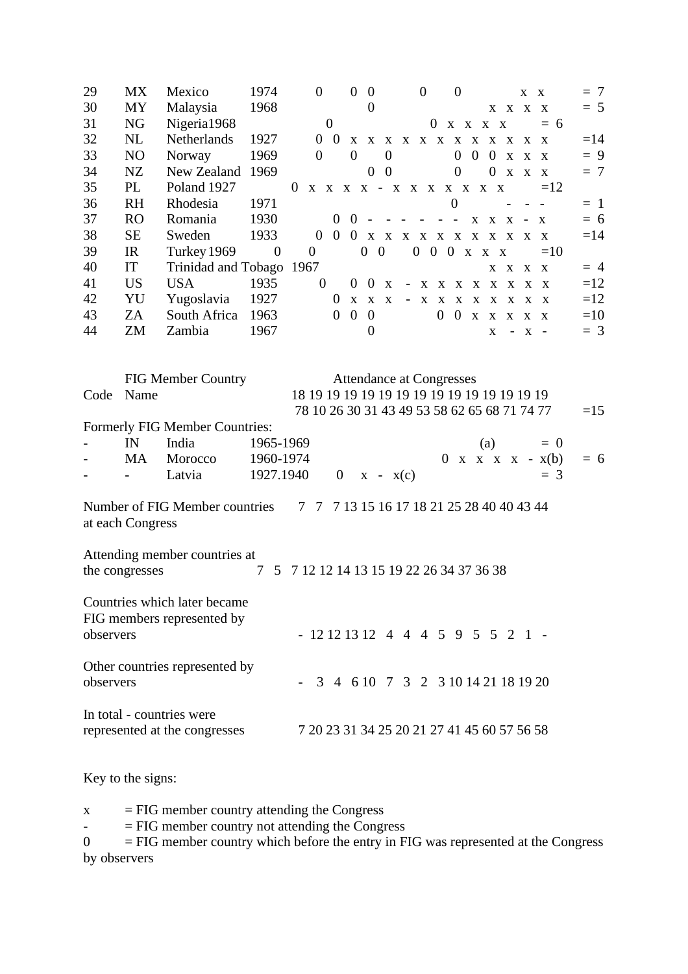| 29        | <b>MX</b>        | Mexico                         | 1974        | $\theta$                                     | $\overline{0}$                                                                              | $\mathbf{0}$   |                | $\theta$       | $\theta$                                                                  |                  |                                          | X            | $\mathbf{X}$                 | $= 7$ |
|-----------|------------------|--------------------------------|-------------|----------------------------------------------|---------------------------------------------------------------------------------------------|----------------|----------------|----------------|---------------------------------------------------------------------------|------------------|------------------------------------------|--------------|------------------------------|-------|
| 30        | MY               | Malaysia                       | 1968        |                                              |                                                                                             | $\overline{0}$ |                |                |                                                                           |                  | $X$ $X$ $X$ $X$                          |              |                              | $= 5$ |
| 31        | NG               | Nigeria1968                    |             |                                              | $\mathbf{0}$                                                                                |                |                | $\theta$       | $X$ $X$ $X$ $X$                                                           |                  |                                          |              | $= 6$                        |       |
| 32        | NL               | Netherlands                    | 1927        |                                              | $0\quad 0$                                                                                  |                |                |                | X X X X X X X X X X X                                                     |                  |                                          | $X \times X$ |                              | $=14$ |
| 33        | N <sub>O</sub>   | Norway                         | 1969        | $\theta$                                     | $\overline{0}$                                                                              |                | $\theta$       |                | $\overline{0}$                                                            | $\overline{0}$   | 0 x                                      | $X \times X$ |                              | $= 9$ |
| 34        | NZ               | New Zealand                    | 1969        |                                              |                                                                                             | $\overline{0}$ | $\overline{0}$ |                | $\boldsymbol{0}$                                                          | $\overline{0}$   | $\mathbf{X}$                             | $X \times X$ |                              | $= 7$ |
| 35        | PL               | Poland 1927                    |             | $\mathbf{0}$                                 | $X \quad X \quad X \quad X \quad - \quad X \quad X \quad X \quad X \quad X \quad X \quad X$ |                |                |                |                                                                           |                  |                                          |              | $=12$                        |       |
| 36        | <b>RH</b>        | Rhodesia                       | 1971        |                                              |                                                                                             |                |                |                | 0                                                                         |                  |                                          |              |                              | $=$ 1 |
| 37        | <b>RO</b>        | Romania                        | 1930        |                                              | $\overline{0}$                                                                              | $0 -$          |                |                | $\sim$ 10 $\sim$                                                          | $X \times X - X$ |                                          |              |                              | $= 6$ |
| 38        | <b>SE</b>        | Sweden                         | 1933        | $\theta$                                     | $\overline{0}$                                                                              |                |                |                | $0\quad x\quad x\quad x\quad x\quad x\quad x\quad x\quad x\quad x\quad x$ |                  |                                          | $X \times X$ |                              | $=14$ |
| 39        | IR               | Turkey 1969                    | $\theta$    | $\overline{0}$                               |                                                                                             | $0\quad 0$     |                |                | $0$ 0 0 x x x                                                             |                  |                                          |              | $=10$                        |       |
| 40        | IT               | Trinidad and Tobago 1967       |             |                                              |                                                                                             |                |                |                |                                                                           |                  | X X                                      | X X          |                              | $= 4$ |
| 41        | <b>US</b>        | <b>USA</b>                     | 1935        | $\mathbf{0}$                                 |                                                                                             | $0\quad 0$     | $\mathbf{X}$   |                | - X X X X X X X X X                                                       |                  |                                          |              |                              | $=12$ |
| 42        | YU               | Yugoslavia                     | 1927        |                                              | $\theta$<br>$\mathbf{X}$                                                                    | $X$ $X$        |                |                | - X X X X X X X X X                                                       |                  |                                          |              |                              | $=12$ |
| 43        | ZA               | South Africa                   | 1963        |                                              | $\overline{0}$<br>$\overline{0}$                                                            | $\overline{0}$ |                | $\overline{0}$ |                                                                           | $0$ x x x x x    |                                          |              |                              | $=10$ |
| 44        | ZM               | Zambia                         | 1967        |                                              |                                                                                             | $\overline{0}$ |                |                |                                                                           |                  | $\mathbf{X}$<br>$\overline{\phantom{a}}$ | $X -$        |                              | $=$ 3 |
|           |                  |                                |             |                                              |                                                                                             |                |                |                |                                                                           |                  |                                          |              |                              |       |
|           |                  |                                |             |                                              |                                                                                             |                |                |                |                                                                           |                  |                                          |              |                              |       |
|           |                  | <b>FIG Member Country</b>      |             |                                              |                                                                                             |                |                |                | <b>Attendance at Congresses</b>                                           |                  |                                          |              |                              |       |
| Code      | Name             |                                |             |                                              |                                                                                             |                |                |                |                                                                           |                  |                                          |              |                              |       |
|           |                  |                                |             | 78 10 26 30 31 43 49 53 58 62 65 68 71 74 77 |                                                                                             |                |                |                |                                                                           |                  |                                          |              |                              | $=15$ |
|           |                  | Formerly FIG Member Countries: |             |                                              |                                                                                             |                |                |                |                                                                           |                  |                                          |              |                              |       |
|           | IN               | India                          | 1965-1969   |                                              |                                                                                             |                |                |                |                                                                           | (a)              |                                          |              | $= 0$                        |       |
|           | <b>MA</b>        | Morocco                        | 1960-1974   |                                              |                                                                                             |                |                |                | $\mathbf{0}$                                                              |                  |                                          |              | $x \times x \times x - x(b)$ | $= 6$ |
|           |                  | Latvia                         | 1927.1940   |                                              | $\mathbf{0}$                                                                                | $X - X(c)$     |                |                |                                                                           |                  |                                          |              | $=$ 3                        |       |
|           |                  |                                |             |                                              |                                                                                             |                |                |                |                                                                           |                  |                                          |              |                              |       |
|           |                  | Number of FIG Member countries |             | 7 7 7 13 15 16 17 18 21 25 28 40 40 43 44    |                                                                                             |                |                |                |                                                                           |                  |                                          |              |                              |       |
|           | at each Congress |                                |             |                                              |                                                                                             |                |                |                |                                                                           |                  |                                          |              |                              |       |
|           |                  |                                |             |                                              |                                                                                             |                |                |                |                                                                           |                  |                                          |              |                              |       |
|           |                  | Attending member countries at  |             |                                              |                                                                                             |                |                |                |                                                                           |                  |                                          |              |                              |       |
|           | the congresses   |                                | $\tau$<br>5 | 7 12 12 14 13 15 19 22 26 34 37 36 38        |                                                                                             |                |                |                |                                                                           |                  |                                          |              |                              |       |
|           |                  |                                |             |                                              |                                                                                             |                |                |                |                                                                           |                  |                                          |              |                              |       |
|           |                  | Countries which later became   |             |                                              |                                                                                             |                |                |                |                                                                           |                  |                                          |              |                              |       |
|           |                  | FIG members represented by     |             |                                              |                                                                                             |                |                |                |                                                                           |                  |                                          |              |                              |       |
| observers |                  |                                |             |                                              | $-12121312$ 4 4 4 5 9 5 5 2 1 -                                                             |                |                |                |                                                                           |                  |                                          |              |                              |       |
|           |                  |                                |             |                                              |                                                                                             |                |                |                |                                                                           |                  |                                          |              |                              |       |
|           |                  | Other countries represented by |             |                                              |                                                                                             |                |                |                |                                                                           |                  |                                          |              |                              |       |
| observers |                  |                                |             |                                              | $-3$ 4 6 10 7 3 2 3 10 14 21 18 19 20                                                       |                |                |                |                                                                           |                  |                                          |              |                              |       |
|           |                  |                                |             |                                              |                                                                                             |                |                |                |                                                                           |                  |                                          |              |                              |       |
|           |                  | In total - countries were      |             |                                              |                                                                                             |                |                |                |                                                                           |                  |                                          |              |                              |       |
|           |                  | represented at the congresses  |             | 7 20 23 31 34 25 20 21 27 41 45 60 57 56 58  |                                                                                             |                |                |                |                                                                           |                  |                                          |              |                              |       |
|           |                  |                                |             |                                              |                                                                                             |                |                |                |                                                                           |                  |                                          |              |                              |       |

Key to the signs:

 $x = FIG$  member country attending the Congress

-  $=$  FIG member country not attending the Congress

 $0 = FIG$  member country which before the entry in FIG was represented at the Congress by observers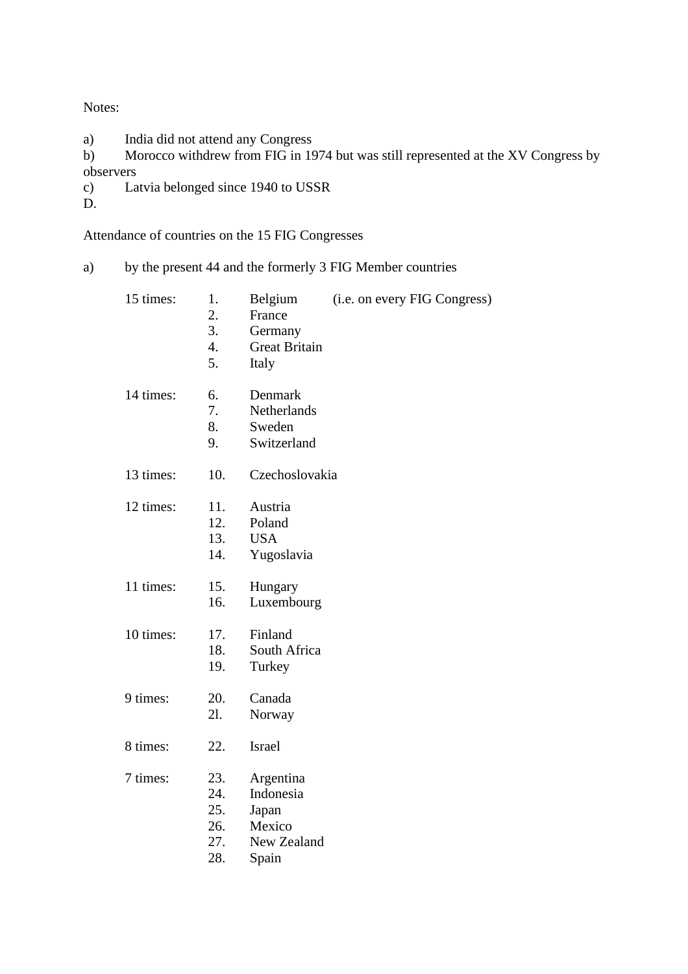Notes:

a) India did not attend any Congress

b) Morocco withdrew from FIG in 1974 but was still represented at the XV Congress by observers<br>c) La

Latvia belonged since 1940 to USSR

D.

Attendance of countries on the 15 FIG Congresses

a) by the present 44 and the formerly 3 FIG Member countries

| 15 times: | 1.<br>$\overline{2}$ .<br>3.<br>4.<br>5. | Belgium<br>France<br>Germany<br><b>Great Britain</b><br>Italy     | (i.e. on every FIG Congress) |
|-----------|------------------------------------------|-------------------------------------------------------------------|------------------------------|
| 14 times: | 6.<br>7.<br>8.<br>9.                     | Denmark<br>Netherlands<br>Sweden<br>Switzerland                   |                              |
| 13 times: | 10.                                      | Czechoslovakia                                                    |                              |
| 12 times: | 11.<br>12.<br>13.<br>14.                 | Austria<br>Poland<br><b>USA</b><br>Yugoslavia                     |                              |
| 11 times: | 15.<br>16.                               | Hungary<br>Luxembourg                                             |                              |
| 10 times: | 17.<br>18.<br>19.                        | Finland<br>South Africa<br>Turkey                                 |                              |
| 9 times:  | 20.<br>21.                               | Canada<br>Norway                                                  |                              |
| 8 times:  | 22.                                      | Israel                                                            |                              |
| 7 times:  | 23.<br>24.<br>25.<br>26.<br>27.<br>28.   | Argentina<br>Indonesia<br>Japan<br>Mexico<br>New Zealand<br>Spain |                              |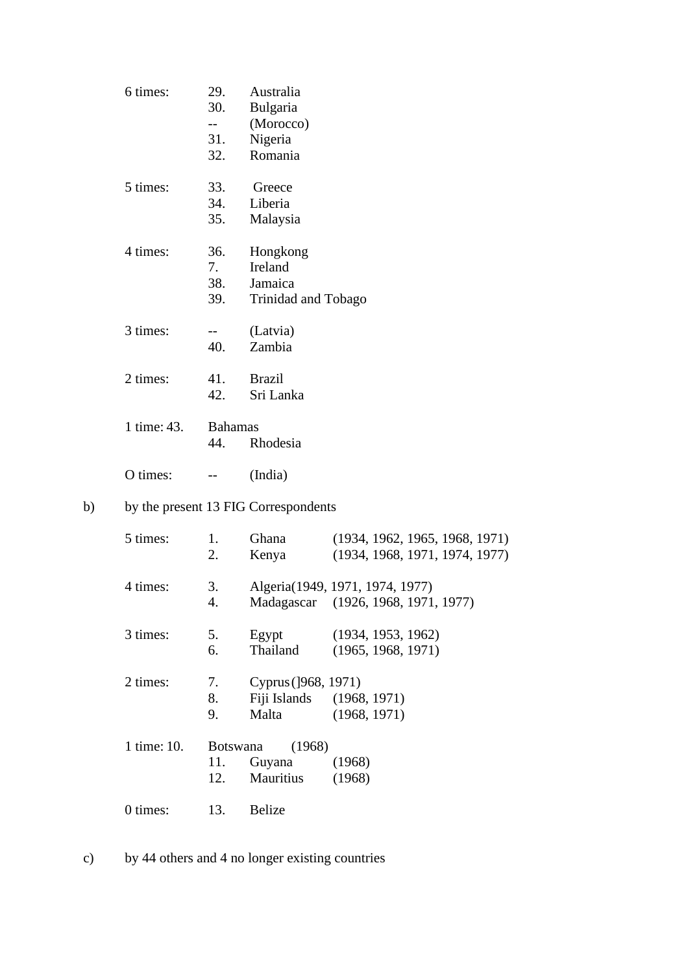|    | 6 times:    | 29.<br>30.<br>$--$<br>31.<br>32. | Australia<br>Bulgaria<br>(Morocco)<br>Nigeria<br>Romania |                                                                  |
|----|-------------|----------------------------------|----------------------------------------------------------|------------------------------------------------------------------|
|    | 5 times:    | 33.<br>34.<br>35.                | Greece<br>Liberia<br>Malaysia                            |                                                                  |
|    | 4 times:    | 36.<br>7.<br>38.<br>39.          | Hongkong<br>Ireland<br>Jamaica<br>Trinidad and Tobago    |                                                                  |
|    | 3 times:    | $-$<br>40.                       | (Latvia)<br>Zambia                                       |                                                                  |
|    | 2 times:    | 41.<br>42.                       | <b>Brazil</b><br>Sri Lanka                               |                                                                  |
|    | 1 time: 43. | <b>Bahamas</b><br>44.            | Rhodesia                                                 |                                                                  |
|    | O times:    |                                  | (India)                                                  |                                                                  |
| b) |             |                                  | by the present 13 FIG Correspondents                     |                                                                  |
|    | 5 times:    | 1.<br>2.                         | Ghana<br>Kenya                                           | (1934, 1962, 1965, 1968, 1971)<br>(1934, 1968, 1971, 1974, 1977) |
|    | 4 times:    | 3.<br>4.                         | Madagascar                                               | Algeria(1949, 1971, 1974, 1977)<br>(1926, 1968, 1971, 1977)      |
|    | 3 times:    | 5.<br>6.                         | Egypt<br>Thailand                                        | (1934, 1953, 1962)<br>(1965, 1968, 1971)                         |
|    | 2 times:    | 7.<br>8.<br>9.                   | Cyprus (]968, 1971)<br>Fiji Islands<br>Malta             | (1968, 1971)<br>(1968, 1971)                                     |
|    | 1 time: 10. | <b>Botswana</b><br>11.<br>12.    | (1968)<br>Guyana<br>Mauritius                            | (1968)<br>(1968)                                                 |
|    | 0 times:    | 13.                              | <b>Belize</b>                                            |                                                                  |
|    |             |                                  |                                                          |                                                                  |

c) by 44 others and 4 no longer existing countries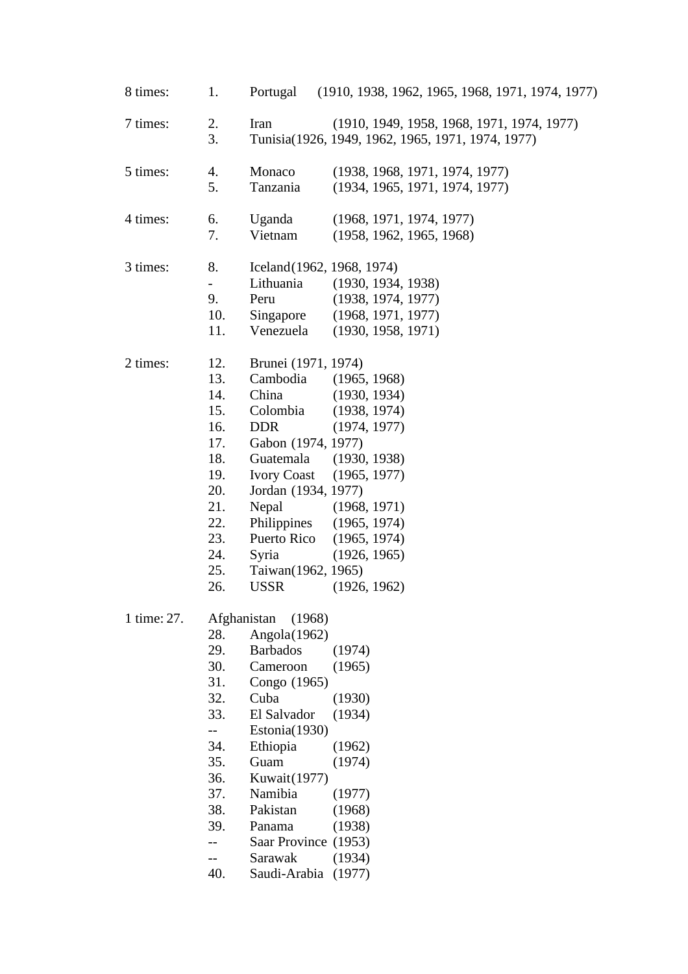| 8 times:    | 1.                                                                                                    | (1910, 1938, 1962, 1965, 1968, 1971, 1974, 1977)<br>Portugal                                                                                                                                                                                                                                                                                                                                                            |
|-------------|-------------------------------------------------------------------------------------------------------|-------------------------------------------------------------------------------------------------------------------------------------------------------------------------------------------------------------------------------------------------------------------------------------------------------------------------------------------------------------------------------------------------------------------------|
| 7 times:    | 2.<br>3.                                                                                              | (1910, 1949, 1958, 1968, 1971, 1974, 1977)<br>Iran<br>Tunisia(1926, 1949, 1962, 1965, 1971, 1974, 1977)                                                                                                                                                                                                                                                                                                                 |
| 5 times:    | 4.<br>5.                                                                                              | Monaco<br>(1938, 1968, 1971, 1974, 1977)<br>Tanzania<br>(1934, 1965, 1971, 1974, 1977)                                                                                                                                                                                                                                                                                                                                  |
| 4 times:    | 6.<br>7.                                                                                              | Uganda<br>(1968, 1971, 1974, 1977)<br>Vietnam<br>(1958, 1962, 1965, 1968)                                                                                                                                                                                                                                                                                                                                               |
| 3 times:    | 8.<br>$\overline{\phantom{0}}$<br>9.<br>10.<br>11.                                                    | Iceland(1962, 1968, 1974)<br>Lithuania<br>(1930, 1934, 1938)<br>Peru<br>(1938, 1974, 1977)<br>Singapore<br>(1968, 1971, 1977)<br>Venezuela<br>(1930, 1958, 1971)                                                                                                                                                                                                                                                        |
| 2 times:    | 12.<br>13.<br>14.<br>15.<br>16.<br>17.<br>18.<br>19.<br>20.<br>21.<br>22.<br>23.<br>24.<br>25.<br>26. | Brunei (1971, 1974)<br>Cambodia<br>(1965, 1968)<br>China<br>(1930, 1934)<br>Colombia<br>(1938, 1974)<br><b>DDR</b><br>(1974, 1977)<br>Gabon (1974, 1977)<br>Guatemala<br>(1930, 1938)<br><b>Ivory Coast</b><br>(1965, 1977)<br>Jordan (1934, 1977)<br>Nepal<br>(1968, 1971)<br>Philippines<br>(1965, 1974)<br>Puerto Rico<br>(1965, 1974)<br>Syria<br>(1926, 1965)<br>Taiwan(1962, 1965)<br><b>USSR</b><br>(1926, 1962) |
| 1 time: 27. | 28.<br>29.<br>30.<br>31.<br>32.<br>33.<br>34.<br>35.<br>36.<br>37.<br>38.<br>39.<br>40.               | Afghanistan<br>(1968)<br>Angola $(1962)$<br><b>Barbados</b><br>(1974)<br>Cameroon<br>(1965)<br>Congo (1965)<br>Cuba<br>(1930)<br>El Salvador<br>(1934)<br>Estonia(1930)<br>Ethiopia<br>(1962)<br>Guam<br>(1974)<br>Kuwait(1977)<br>Namibia<br>(1977)<br>Pakistan<br>(1968)<br>(1938)<br>Panama<br>Saar Province (1953)<br>Sarawak<br>(1934)<br>Saudi-Arabia (1977)                                                      |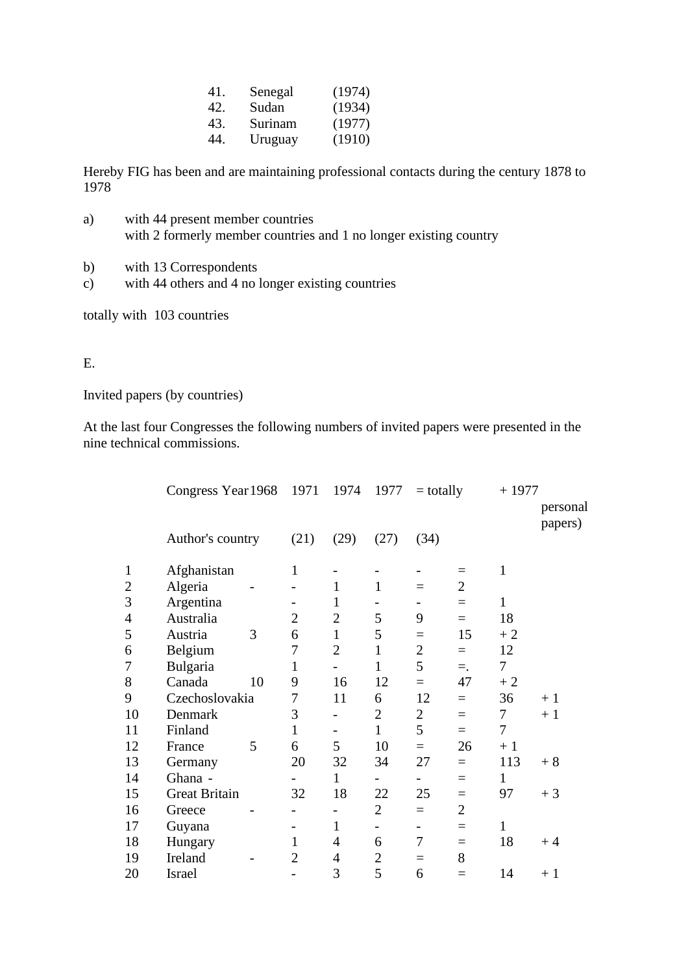| 41. | Senegal | (1974) |
|-----|---------|--------|
| 42. | Sudan   | (1934) |
| 43. | Surinam | (1977) |
| 44. | Uruguay | (1910) |

Hereby FIG has been and are maintaining professional contacts during the century 1878 to 1978

- a) with 44 present member countries with 2 formerly member countries and 1 no longer existing country
- b) with 13 Correspondents
- c) with 44 others and 4 no longer existing countries

totally with 103 countries

## E.

Invited papers (by countries)

At the last four Congresses the following numbers of invited papers were presented in the nine technical commissions.

|                | Congress Year 1968   |    |                | 1971<br>1974   |                | 1977<br>$=$ totally |                |              | $+1977$             |  |  |
|----------------|----------------------|----|----------------|----------------|----------------|---------------------|----------------|--------------|---------------------|--|--|
|                |                      |    |                |                |                |                     |                |              | personal<br>papers) |  |  |
|                | Author's country     |    | (21)           | (29)           | (27)           | (34)                |                |              |                     |  |  |
| $\mathbf{1}$   | Afghanistan          |    | $\mathbf{1}$   |                |                |                     | $=$            | 1            |                     |  |  |
| $\overline{2}$ | Algeria              |    |                | $\mathbf{1}$   | $\mathbf{1}$   | $=$                 | $\overline{2}$ |              |                     |  |  |
| 3              | Argentina            |    |                | 1              |                |                     | $=$            | 1            |                     |  |  |
| 4              | Australia            |    | $\overline{2}$ | $\overline{2}$ | 5              | 9                   | $=$            | 18           |                     |  |  |
| 5              | Austria              | 3  | 6              | $\mathbf{1}$   | 5              | $=$                 | 15             | $+2$         |                     |  |  |
| 6              | Belgium              |    | 7              | $\overline{2}$ | $\mathbf{1}$   | $\overline{2}$      | $=$            | 12           |                     |  |  |
| $\overline{7}$ | Bulgaria             |    | $\mathbf{1}$   |                | $\mathbf{1}$   | 5                   | $=$ .          | $\tau$       |                     |  |  |
| 8              | Canada               | 10 | 9              | 16             | 12             | $=$                 | 47             | $+2$         |                     |  |  |
| 9              | Czechoslovakia       |    | 7              | 11             | 6              | 12                  | $=$            | 36           | $+1$                |  |  |
| 10             | Denmark              |    | 3              |                | $\overline{2}$ | $\overline{2}$      | $=$            | 7            | $+1$                |  |  |
| 11             | Finland              |    | 1              |                | $\mathbf{1}$   | 5                   | $=$            | 7            |                     |  |  |
| 12             | France               | 5  | 6              | 5              | 10             | $=$                 | 26             | $+1$         |                     |  |  |
| 13             | Germany              |    | 20             | 32             | 34             | 27                  | $=$            | 113          | $+8$                |  |  |
| 14             | Ghana -              |    |                | $\mathbf{1}$   |                | -                   | $=$            | 1            |                     |  |  |
| 15             | <b>Great Britain</b> |    | 32             | 18             | 22             | 25                  | $=$            | 97           | $+3$                |  |  |
| 16             | Greece               |    |                |                | $\overline{2}$ | $\equiv$            | $\overline{2}$ |              |                     |  |  |
| 17             | Guyana               |    |                | 1              | -              | -                   | $=$            | $\mathbf{1}$ |                     |  |  |
| 18             | Hungary              |    | 1              | $\overline{4}$ | 6              | 7                   | $=$            | 18           | $+4$                |  |  |
| 19             | Ireland              |    | $\overline{2}$ | 4              | 2              | $=$                 | 8              |              |                     |  |  |
| 20             | Israel               |    | -              | 3              | 5              | 6                   | $=$            | 14           | $+1$                |  |  |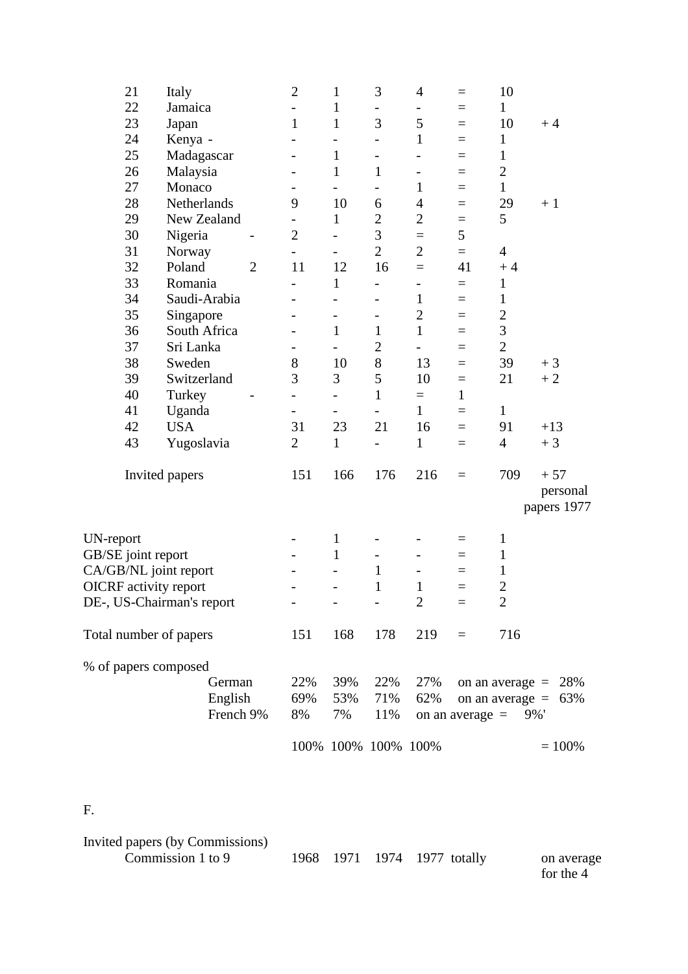| 21                           | Italy          |           |                | $\overline{2}$           | $\mathbf{1}$             | 3                        | $\overline{4}$               | $=$               | 10               |                         |
|------------------------------|----------------|-----------|----------------|--------------------------|--------------------------|--------------------------|------------------------------|-------------------|------------------|-------------------------|
| 22                           | Jamaica        |           |                |                          | $\mathbf{1}$             | $\overline{\phantom{0}}$ | -                            | $=$               | $\mathbf{1}$     |                         |
| 23                           | Japan          |           |                | $\mathbf{1}$             | $\mathbf{1}$             | 3                        | 5                            | $=$               | 10               | $+4$                    |
| 24                           | Kenya -        |           |                |                          | -                        |                          | $\mathbf{1}$                 | $=$               | $\mathbf{1}$     |                         |
| 25                           | Madagascar     |           |                |                          | $\mathbf{1}$             | $\qquad \qquad -$        |                              | $=$               | $\mathbf{1}$     |                         |
| 26                           | Malaysia       |           |                |                          | $\mathbf{1}$             | $\mathbf{1}$             | $\overline{\phantom{0}}$     | $=$               | $\overline{2}$   |                         |
| 27                           | Monaco         |           |                |                          | $\overline{a}$           | $\overline{\phantom{0}}$ | $\mathbf{1}$                 | $=$               | $\mathbf{1}$     |                         |
| 28                           | Netherlands    |           |                | 9                        | 10                       | 6                        | $\overline{4}$               | $=$               | 29               | $+1$                    |
| 29                           | New Zealand    |           |                |                          | $\mathbf{1}$             | $\mathbf{2}$             | $\overline{2}$               | $=$               | 5                |                         |
| 30                           | Nigeria        |           |                | $\overline{2}$           | $\overline{a}$           | 3                        | $=$                          | 5                 |                  |                         |
| 31                           | Norway         |           |                | $\overline{\phantom{0}}$ | $\overline{\phantom{0}}$ | $\overline{2}$           | $\overline{2}$               | $=$               | $\overline{4}$   |                         |
| 32                           | Poland         |           | $\overline{2}$ | 11                       | 12                       | 16                       | $=$                          | 41                | $+4$             |                         |
| 33                           | Romania        |           |                |                          | $\mathbf{1}$             | $\overline{\phantom{0}}$ | $\overline{\phantom{0}}$     | $=$               | $\mathbf{1}$     |                         |
| 34                           | Saudi-Arabia   |           |                |                          |                          |                          | $\mathbf{1}$                 | $=$               | 1                |                         |
| 35                           | Singapore      |           |                |                          | $\overline{\phantom{0}}$ | $\overline{\phantom{0}}$ | $\overline{2}$               | $=$               | $\boldsymbol{2}$ |                         |
| 36                           | South Africa   |           |                |                          | $\mathbf{1}$             | $\mathbf{1}$             | $\mathbf{1}$                 | $=$               | 3                |                         |
| 37                           | Sri Lanka      |           |                |                          | $\overline{\phantom{0}}$ | $\overline{2}$           | $\overline{\phantom{0}}$     | $=$               | $\overline{2}$   |                         |
| 38                           | Sweden         |           |                | 8                        | 10                       | 8                        | 13                           | $=$               | 39               | $+3$                    |
| 39                           | Switzerland    |           |                | 3                        | 3                        | 5                        | 10                           | $=$               | 21               | $+2$                    |
| 40                           | Turkey         |           |                | $\overline{\phantom{0}}$ | $\overline{\phantom{0}}$ | $\mathbf{1}$             | $\equiv$                     | $\mathbf{1}$      |                  |                         |
| 41                           | Uganda         |           |                | $\overline{\phantom{0}}$ | $\overline{\phantom{0}}$ | $\overline{\phantom{a}}$ | $\mathbf{1}$                 | $=$               | $\mathbf{1}$     |                         |
| 42                           | <b>USA</b>     |           |                | 31                       | 23                       | 21                       | 16                           | $=$               | 91               | $+13$                   |
| 43                           | Yugoslavia     |           |                | $\overline{2}$           | $\mathbf{1}$             |                          | 1                            | $=$               | $\overline{4}$   | $+3$                    |
|                              | Invited papers |           |                | 151                      | 166                      | 176                      | 216                          | $=$               | 709              | $+57$                   |
|                              |                |           |                |                          |                          |                          |                              |                   |                  | personal<br>papers 1977 |
| UN-report                    |                |           |                |                          | $\mathbf{1}$             |                          |                              | $=$               | $\mathbf{1}$     |                         |
| GB/SE joint report           |                |           |                |                          | $\mathbf{1}$             | $\overline{\phantom{0}}$ |                              | $=$               | 1                |                         |
| CA/GB/NL joint report        |                |           |                |                          |                          | $\mathbf{1}$             | $\qquad \qquad \blacksquare$ |                   | 1                |                         |
| <b>OICRF</b> activity report |                |           |                |                          |                          | $\mathbf{1}$             | $\mathbf{1}$                 | $\qquad \qquad =$ | $\overline{2}$   |                         |
| DE-, US-Chairman's report    |                |           |                |                          | -                        | $\overline{\phantom{a}}$ | $\overline{2}$               |                   | $\overline{2}$   |                         |
| Total number of papers       |                |           |                | 151                      | 168                      | 178                      | 219                          | $\equiv$          | 716              |                         |
| % of papers composed         |                |           |                |                          |                          |                          |                              |                   |                  |                         |
|                              |                | German    |                | 22%                      | 39%                      | 22%                      | 27%                          |                   |                  | on an average $= 28\%$  |
|                              |                | English   |                | 69%                      | 53%                      | 71%                      | 62%                          |                   |                  | on an average $= 63\%$  |
|                              |                | French 9% |                | 8%                       | 7%                       | 11%                      |                              | on an average $=$ | 9%'              |                         |
|                              |                |           |                |                          |                          | 100% 100% 100% 100%      |                              |                   |                  | $= 100\%$               |
|                              |                |           |                |                          |                          |                          |                              |                   |                  |                         |

F.

| Invited papers (by Commissions) |  |                             |                         |
|---------------------------------|--|-----------------------------|-------------------------|
| Commission 1 to 9               |  | 1968 1971 1974 1977 totally | on average<br>for the 4 |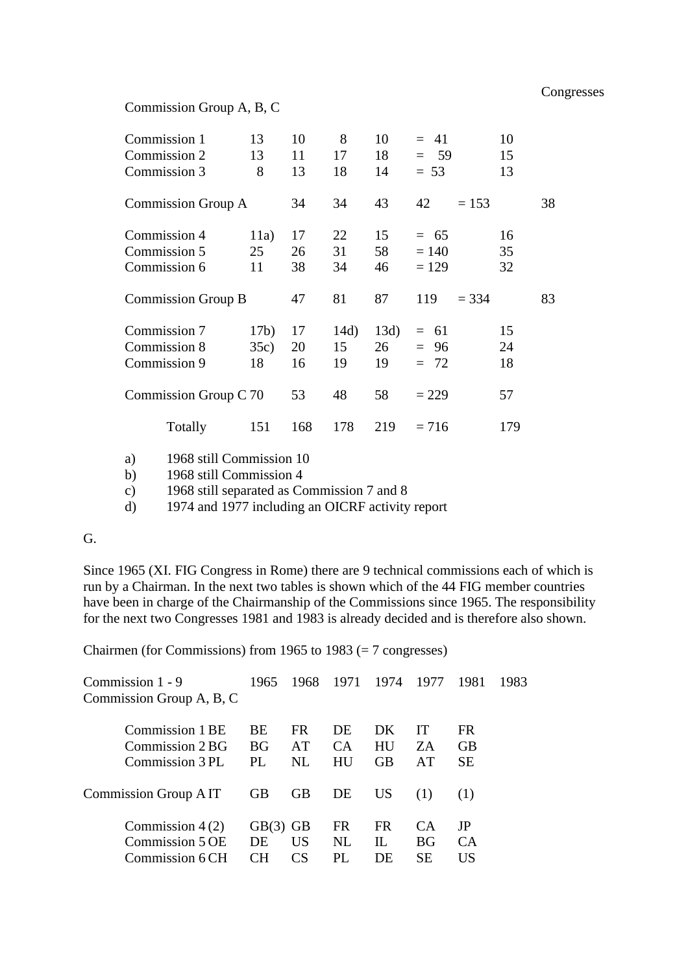#### Commission Group A, B, C

| Commission 1<br>Commission 2<br>Commission 3 | 13<br>13<br>8      | 10<br>11<br>13 | 8<br>17<br>18    | 10<br>18<br>14   | $= 41$<br>$= 59$<br>$= 53$   |         | 10<br>15<br>13 |    |
|----------------------------------------------|--------------------|----------------|------------------|------------------|------------------------------|---------|----------------|----|
| Commission Group A                           |                    | 34             | 34               | 43               | 42                           | $= 153$ |                | 38 |
| Commission 4<br>Commission 5<br>Commission 6 | 11a)<br>25<br>11   | 17<br>26<br>38 | 22<br>31<br>34   | 15<br>58<br>46   | $= 65$<br>$= 140$<br>$= 129$ |         | 16<br>35<br>32 |    |
| Commission Group B                           |                    | 47             | 81               | 87               | 119                          | $= 334$ |                | 83 |
| Commission 7<br>Commission 8<br>Commission 9 | 17b)<br>35c)<br>18 | 17<br>20<br>16 | 14d)<br>15<br>19 | 13d)<br>26<br>19 | $= 61$<br>$= 96$<br>$= 72$   |         | 15<br>24<br>18 |    |
| Commission Group C 70                        |                    | 53             | 48               | 58               | $= 229$                      |         | 57             |    |
| Totally                                      | 151                | 168            | 178              | 219              | $= 716$                      |         | 179            |    |

a) 1968 still Commission 10

b) 1968 still Commission 4

c) 1968 still separated as Commission 7 and 8

d) 1974 and 1977 including an OICRF activity report

## G.

Since 1965 (XI. FIG Congress in Rome) there are 9 technical commissions each of which is run by a Chairman. In the next two tables is shown which of the 44 FIG member countries have been in charge of the Chairmanship of the Commissions since 1965. The responsibility for the next two Congresses 1981 and 1983 is already decided and is therefore also shown.

Chairmen (for Commissions) from 1965 to 1983 (= 7 congresses)

| Commission 1 - 9         | 1965       |           | 1968 1971 1974 1977 |           |     | -1981           | 1983 |
|--------------------------|------------|-----------|---------------------|-----------|-----|-----------------|------|
| Commission Group A, B, C |            |           |                     |           |     |                 |      |
|                          |            |           |                     |           |     |                 |      |
| Commission 1 BE          | <b>BE</b>  | <b>FR</b> | DE                  | DK        | IТ  | FR.             |      |
| Commission 2 BG          | <b>BG</b>  | AT        | CA <sup>.</sup>     | HU        | ZA  | <b>GB</b>       |      |
| Commission 3 PL          | PI.        | NL        | HU                  | <b>GB</b> | AT  | <b>SE</b>       |      |
| Commission Group AIT     | <b>GB</b>  | <b>GB</b> | DE                  | US        | (1) | (1)             |      |
| Commission $4(2)$        | $GB(3)$ GB |           | <b>FR</b>           | <b>FR</b> | CА  | JP              |      |
| Commission 5 OE          | DE         | US        | NL                  | П.        | BG  | CA <sup>.</sup> |      |
| Commission 6 CH          | CН         | CS        |                     | DE        | SЕ  | US              |      |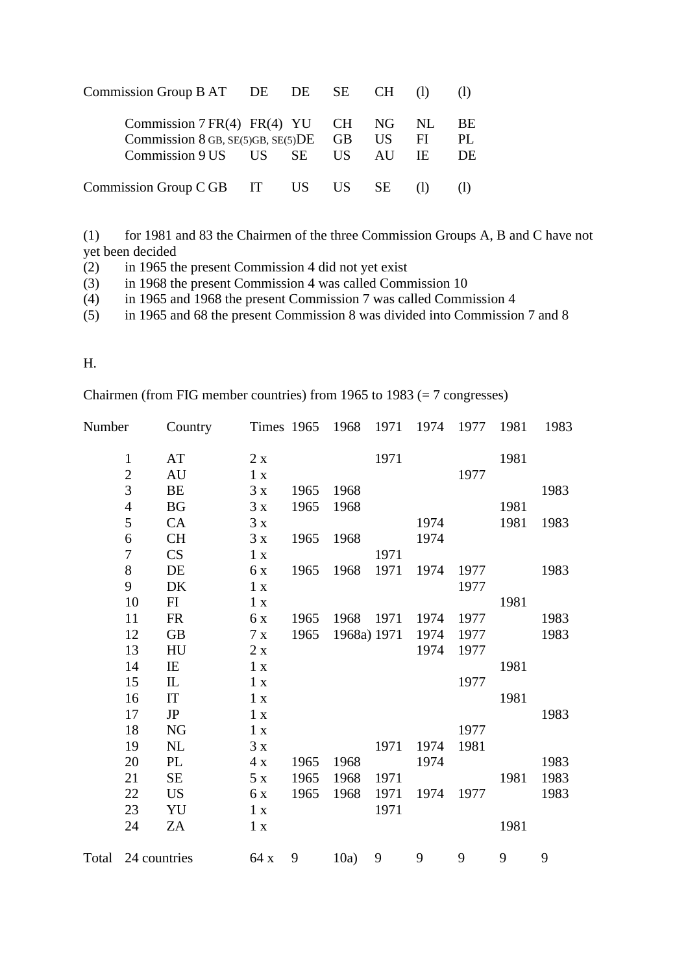| Commission Group $BAT$ DE DE SE CH (1)                                                                                     |  |  |                 |
|----------------------------------------------------------------------------------------------------------------------------|--|--|-----------------|
| Commission $7FR(4) FR(4) YU CH NG NL$<br>Commission 8 GB, $SE(5)GB$ , $SE(5)DE$ GB US FI<br>Commission 9 US US SE US AU IE |  |  | BE<br>PL.<br>DE |
| Commission Group C GB IT US US SE                                                                                          |  |  |                 |

(1) for 1981 and 83 the Chairmen of the three Commission Groups A, B and C have not yet been decided<br>(2) in 1965 th

in 1965 the present Commission 4 did not yet exist

(3) in 1968 the present Commission 4 was called Commission 10

(4) in 1965 and 1968 the present Commission 7 was called Commission 4

(5) in 1965 and 68 the present Commission 8 was divided into Commission 7 and 8

## H.

Chairmen (from FIG member countries) from 1965 to 1983 (= 7 congresses)

| Number |                  | Country                |                 | Times 1965 1968 |             | 1971 | 1974 | 1977 | 1981 | 1983 |
|--------|------------------|------------------------|-----------------|-----------------|-------------|------|------|------|------|------|
|        | $\mathbf{1}$     | AT                     | 2x              |                 |             | 1971 |      |      | 1981 |      |
|        | $\overline{c}$   | AU                     | 1 x             |                 |             |      |      | 1977 |      |      |
|        | 3                | BE                     | 3x              | 1965            | 1968        |      |      |      |      | 1983 |
|        | $\overline{4}$   | <b>BG</b>              | 3x              | 1965            | 1968        |      |      |      | 1981 |      |
|        | 5                | CA                     | 3x              |                 |             |      | 1974 |      | 1981 | 1983 |
|        | 6                | CH                     | 3x              | 1965            | 1968        |      | 1974 |      |      |      |
|        | $\boldsymbol{7}$ | CS                     | 1 x             |                 |             | 1971 |      |      |      |      |
|        | 8                | DE                     | 6 x             | 1965            | 1968        | 1971 | 1974 | 1977 |      | 1983 |
|        | 9                | DK                     | 1 x             |                 |             |      |      | 1977 |      |      |
|        | 10               | FI                     | 1 x             |                 |             |      |      |      | 1981 |      |
|        | 11               | <b>FR</b>              | 6 x             | 1965            | 1968        | 1971 | 1974 | 1977 |      | 1983 |
|        | 12               | GB                     | 7x              | 1965            | 1968a) 1971 |      | 1974 | 1977 |      | 1983 |
|        | 13               | HU                     | 2x              |                 |             |      | 1974 | 1977 |      |      |
|        | 14               | IE                     | 1 x             |                 |             |      |      |      | 1981 |      |
|        | 15               | ${\rm IL}$             | $1\ \mathrm{x}$ |                 |             |      |      | 1977 |      |      |
|        | 16               | $\mathop{\mathrm{IT}}$ | 1 x             |                 |             |      |      |      | 1981 |      |
|        | 17               | <b>JP</b>              | 1 x             |                 |             |      |      |      |      | 1983 |
|        | 18               | NG                     | 1 x             |                 |             |      |      | 1977 |      |      |
|        | 19               | NL                     | 3x              |                 |             | 1971 | 1974 | 1981 |      |      |
|        | 20               | PL                     | 4x              | 1965            | 1968        |      | 1974 |      |      | 1983 |
|        | 21               | SE                     | $5x$            | 1965            | 1968        | 1971 |      |      | 1981 | 1983 |
|        | 22               | <b>US</b>              | 6x              | 1965            | 1968        | 1971 | 1974 | 1977 |      | 1983 |
|        | 23               | YU                     | 1 x             |                 |             | 1971 |      |      |      |      |
|        | 24               | ZA                     | 1 x             |                 |             |      |      |      | 1981 |      |
| Total  |                  | 24 countries           | 64 x            | 9               | 10a)        | 9    | 9    | 9    | 9    | 9    |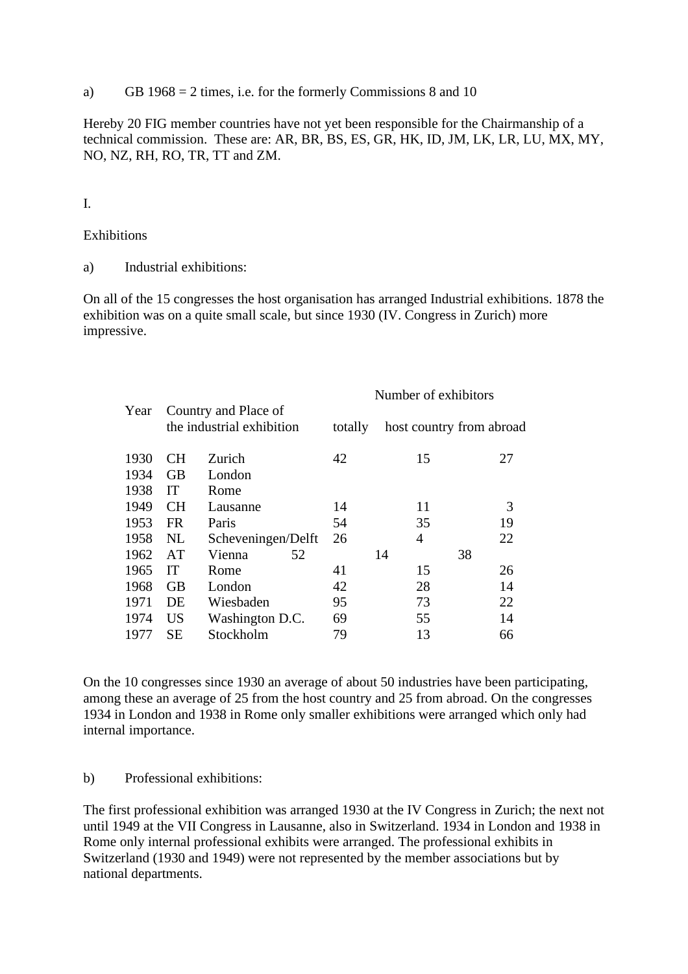a) GB 1968 = 2 times, i.e. for the formerly Commissions 8 and 10

Hereby 20 FIG member countries have not yet been responsible for the Chairmanship of a technical commission. These are: AR, BR, BS, ES, GR, HK, ID, JM, LK, LR, LU, MX, MY, NO, NZ, RH, RO, TR, TT and ZM.

#### I.

#### Exhibitions

a) Industrial exhibitions:

On all of the 15 congresses the host organisation has arranged Industrial exhibitions. 1878 the exhibition was on a quite small scale, but since 1930 (IV. Congress in Zurich) more impressive.

|      |           |                                                   | Number of exhibitors |    |                          |  |  |  |
|------|-----------|---------------------------------------------------|----------------------|----|--------------------------|--|--|--|
| Year |           | Country and Place of<br>the industrial exhibition | totally              |    | host country from abroad |  |  |  |
| 1930 | <b>CH</b> | Zurich                                            | 42                   | 15 | 27                       |  |  |  |
| 1934 | <b>GB</b> | London                                            |                      |    |                          |  |  |  |
| 1938 | IT        | Rome                                              |                      |    |                          |  |  |  |
| 1949 | <b>CH</b> | Lausanne                                          | 14                   | 11 | 3                        |  |  |  |
| 1953 | <b>FR</b> | Paris                                             | 54                   | 35 | 19                       |  |  |  |
| 1958 | NL.       | Scheveningen/Delft                                | 26                   | 4  | 22                       |  |  |  |
| 1962 | AT        | Vienna<br>52                                      |                      | 14 | 38                       |  |  |  |
| 1965 | IT        | Rome                                              | 41                   | 15 | 26                       |  |  |  |
| 1968 | <b>GB</b> | London                                            | 42                   | 28 | 14                       |  |  |  |
| 1971 | DE        | Wiesbaden                                         | 95                   | 73 | 22                       |  |  |  |
| 1974 | <b>US</b> | Washington D.C.                                   | 69                   | 55 | 14                       |  |  |  |
| 1977 | <b>SE</b> | Stockholm                                         | 79                   | 13 | 66                       |  |  |  |

On the 10 congresses since 1930 an average of about 50 industries have been participating, among these an average of 25 from the host country and 25 from abroad. On the congresses 1934 in London and 1938 in Rome only smaller exhibitions were arranged which only had internal importance.

#### b) Professional exhibitions:

The first professional exhibition was arranged 1930 at the IV Congress in Zurich; the next not until 1949 at the VII Congress in Lausanne, also in Switzerland. 1934 in London and 1938 in Rome only internal professional exhibits were arranged. The professional exhibits in Switzerland (1930 and 1949) were not represented by the member associations but by national departments.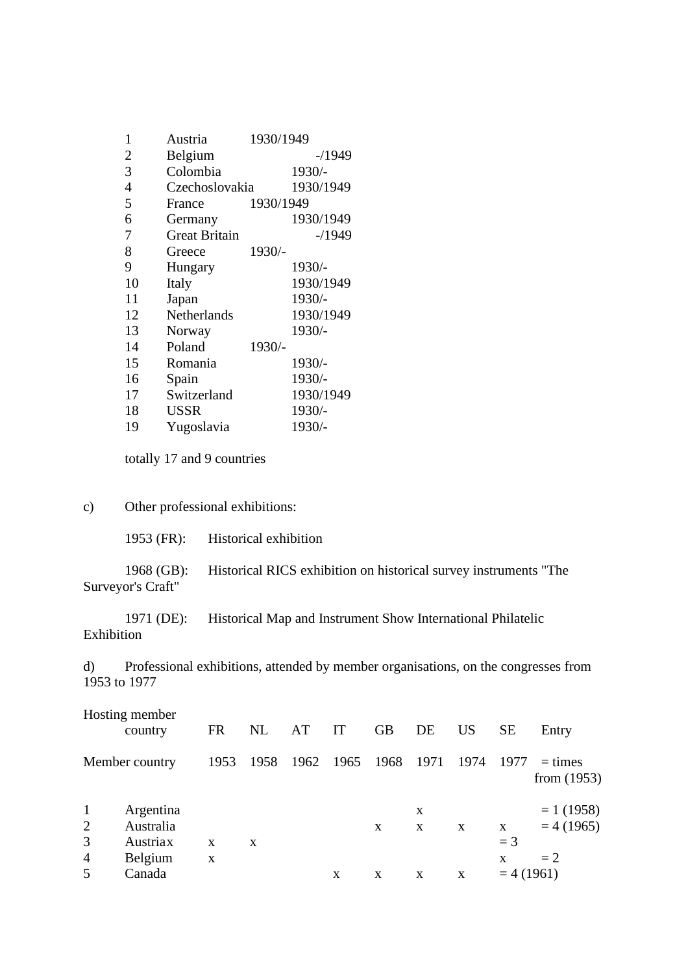| 1              | Austria              | 1930/1949 |           |
|----------------|----------------------|-----------|-----------|
| $\overline{2}$ | Belgium              |           | $-1949$   |
| 3              | Colombia             |           | 1930/-    |
| $\overline{4}$ | Czechoslovakia       |           | 1930/1949 |
| 5              | France               | 1930/1949 |           |
| 6              | Germany              |           | 1930/1949 |
| 7              | <b>Great Britain</b> |           | $-1949$   |
| 8              | Greece               | 1930/-    |           |
| 9              | Hungary              |           | 1930/-    |
| 10             | Italy                |           | 1930/1949 |
| 11             | Japan                |           | 1930/-    |
| 12             | <b>Netherlands</b>   |           | 1930/1949 |
| 13             | Norway               |           | 1930/-    |
| 14             | Poland               | 1930/-    |           |
| 15             | Romania              |           | 1930/-    |
| 16             | Spain                |           | 1930/-    |
| 17             | Switzerland          |           | 1930/1949 |
| 18             | <b>USSR</b>          |           | 1930/-    |
| 19             | Yugoslavia           |           | 1930/-    |

totally 17 and 9 countries

## c) Other professional exhibitions:

1953 (FR): Historical exhibition

1968 (GB): Historical RICS exhibition on historical survey instruments "The Surveyor's Craft"

1971 (DE): Historical Map and Instrument Show International Philatelic Exhibition

d) Professional exhibitions, attended by member organisations, on the congresses from 1953 to 1977

|                        | Hosting member<br>country          | <b>FR</b> | NL   | AT             | IT | <b>GB</b> | DE     | <b>US</b> | <b>SE</b>        | Entry                      |
|------------------------|------------------------------------|-----------|------|----------------|----|-----------|--------|-----------|------------------|----------------------------|
|                        | Member country                     | 1953      | 1958 | 1962 1965 1968 |    |           | 1971   | 1974      | 1977             | $=$ times<br>from $(1953)$ |
| $\mathbf{1}$<br>2<br>3 | Argentina<br>Australia<br>Austriax | X         | X    |                |    | X         | X<br>X | X         | X<br>$=$ 3       | $= 1(1958)$<br>$= 4(1965)$ |
| $\overline{4}$<br>5    | Belgium<br>Canada                  | X         |      |                | X  | X         | X      | X         | X<br>$= 4(1961)$ | $=2$                       |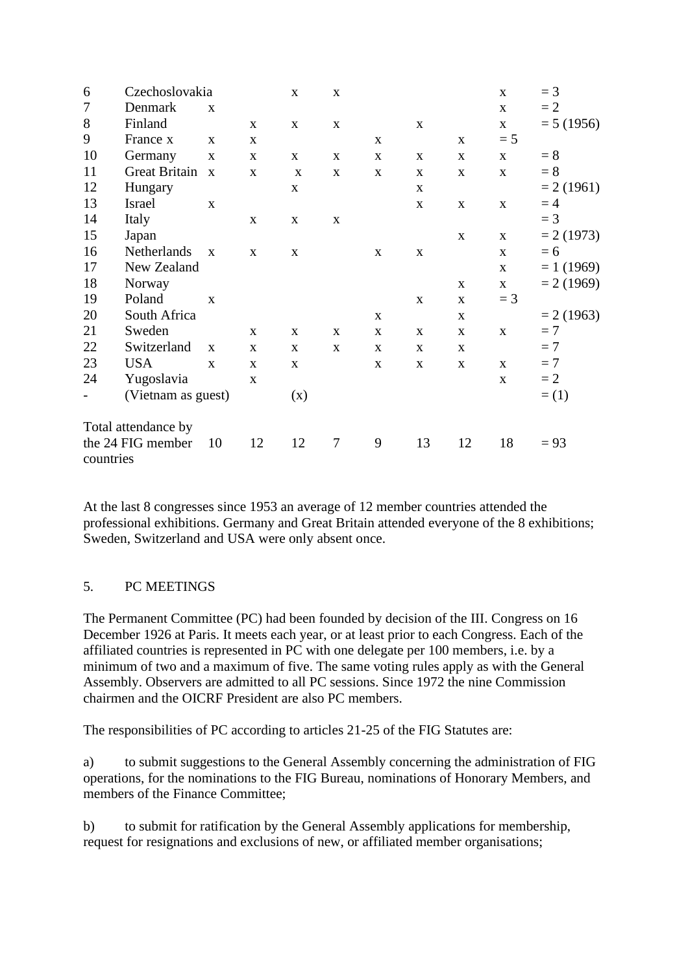| 6         | Czechoslovakia       |              |              | $\mathbf X$ | $\mathbf X$ |   |             |              | $\mathbf{X}$ | $=$ 3        |
|-----------|----------------------|--------------|--------------|-------------|-------------|---|-------------|--------------|--------------|--------------|
| 7         | Denmark              | $\mathbf{x}$ |              |             |             |   |             |              | $\mathbf{X}$ | $=2$         |
| 8         | Finland              |              | $\mathbf{X}$ | X           | $\mathbf X$ |   | $\mathbf X$ |              | $\mathbf X$  | $= 5(1956)$  |
| 9         | France x             | X            | X            |             |             | X |             | $\mathbf{X}$ | $= 5$        |              |
| 10        | Germany              | $\mathbf X$  | X            | X           | X           | X | X           | X            | $\mathbf X$  | $= 8$        |
| 11        | <b>Great Britain</b> | $\mathbf{X}$ | X            | X           | X           | X | X           | $\mathbf X$  | $\mathbf{X}$ | $= 8$        |
| 12        | Hungary              |              |              | X           |             |   | X           |              |              | $= 2(1961)$  |
| 13        | Israel               | $\mathbf{x}$ |              |             |             |   | X           | X            | $\mathbf{X}$ | $=4$         |
| 14        | Italy                |              | $\mathbf{X}$ | X           | X           |   |             |              |              | $=$ 3        |
| 15        | Japan                |              |              |             |             |   |             | $\mathbf{X}$ | $\mathbf{X}$ | $= 2(1973)$  |
| 16        | Netherlands          | $\mathbf{x}$ | $\mathbf{X}$ | X           |             | X | X           |              | X            | $= 6$        |
| 17        | New Zealand          |              |              |             |             |   |             |              | $\mathbf{X}$ | $= 1 (1969)$ |
| 18        | Norway               |              |              |             |             |   |             | X            | $\mathbf X$  | $= 2(1969)$  |
| 19        | Poland               | $\mathbf{x}$ |              |             |             |   | $\mathbf X$ | $\mathbf{X}$ | $=$ 3        |              |
| 20        | South Africa         |              |              |             |             | X |             | X            |              | $= 2(1963)$  |
| 21        | Sweden               |              | X            | X           | $\mathbf X$ | X | $\mathbf X$ | $\mathbf X$  | $\mathbf{X}$ | $=7$         |
| 22        | Switzerland          | $\mathbf{X}$ | $\mathbf{X}$ | X           | X           | X | X           | X            |              | $=7$         |
| 23        | <b>USA</b>           | $\mathbf{X}$ | $\mathbf{x}$ | X           |             | X | X           | X            | $\mathbf{X}$ | $=7$         |
| 24        | Yugoslavia           |              | X            |             |             |   |             |              | $\mathbf X$  | $=2$         |
|           | (Vietnam as guest)   |              |              | (x)         |             |   |             |              |              | $= (1)$      |
|           | Total attendance by  |              |              |             |             |   |             |              |              |              |
| countries | the 24 FIG member    | 10           | 12           | 12          | $\tau$      | 9 | 13          | 12           | 18           | $= 93$       |

At the last 8 congresses since 1953 an average of 12 member countries attended the professional exhibitions. Germany and Great Britain attended everyone of the 8 exhibitions; Sweden, Switzerland and USA were only absent once.

### 5. PC MEETINGS

The Permanent Committee (PC) had been founded by decision of the III. Congress on 16 December 1926 at Paris. It meets each year, or at least prior to each Congress. Each of the affiliated countries is represented in PC with one delegate per 100 members, i.e. by a minimum of two and a maximum of five. The same voting rules apply as with the General Assembly. Observers are admitted to all PC sessions. Since 1972 the nine Commission chairmen and the OICRF President are also PC members.

The responsibilities of PC according to articles 21-25 of the FIG Statutes are:

a) to submit suggestions to the General Assembly concerning the administration of FIG operations, for the nominations to the FIG Bureau, nominations of Honorary Members, and members of the Finance Committee;

b) to submit for ratification by the General Assembly applications for membership, request for resignations and exclusions of new, or affiliated member organisations;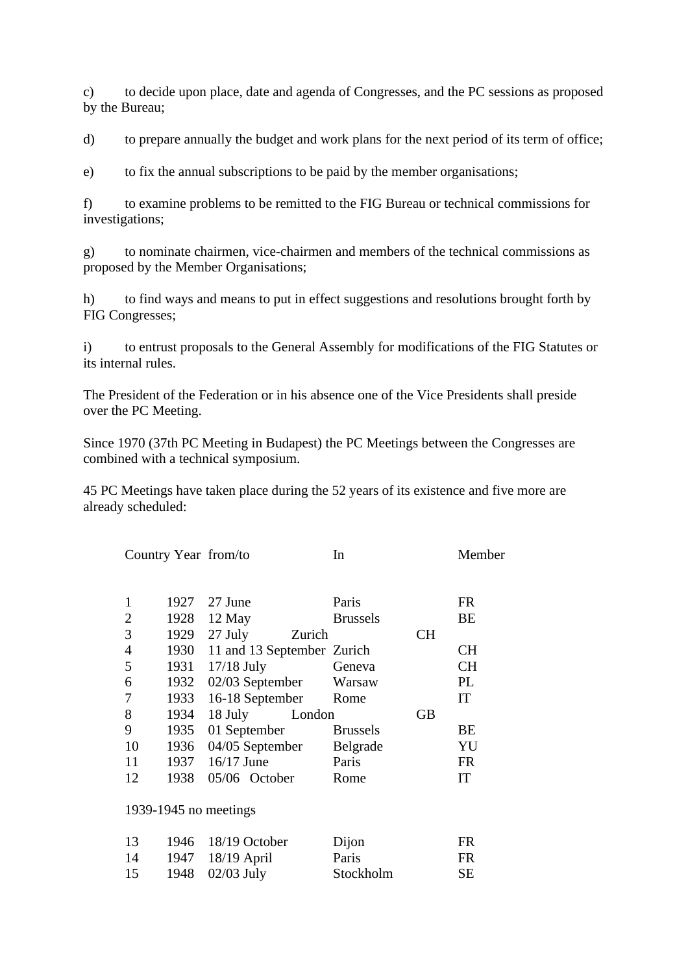c) to decide upon place, date and agenda of Congresses, and the PC sessions as proposed by the Bureau;

d) to prepare annually the budget and work plans for the next period of its term of office;

e) to fix the annual subscriptions to be paid by the member organisations;

f) to examine problems to be remitted to the FIG Bureau or technical commissions for investigations;

g) to nominate chairmen, vice-chairmen and members of the technical commissions as proposed by the Member Organisations;

h) to find ways and means to put in effect suggestions and resolutions brought forth by FIG Congresses;

i) to entrust proposals to the General Assembly for modifications of the FIG Statutes or its internal rules.

The President of the Federation or in his absence one of the Vice Presidents shall preside over the PC Meeting.

Since 1970 (37th PC Meeting in Budapest) the PC Meetings between the Congresses are combined with a technical symposium.

45 PC Meetings have taken place during the 52 years of its existence and five more are already scheduled:

|    |      | Country Year from/to       |        | In              |           | Member    |
|----|------|----------------------------|--------|-----------------|-----------|-----------|
|    |      |                            |        |                 |           |           |
|    | 1927 | 27 June                    |        | Paris           |           | FR        |
| 2  | 1928 | 12 May                     |        | <b>Brussels</b> |           | BE        |
| 3  | 1929 | 27 July                    | Zurich |                 | <b>CH</b> |           |
| 4  | 1930 | 11 and 13 September Zurich |        |                 |           | CН        |
| 5  | 1931 | $17/18$ July               |        | Geneva          |           | <b>CH</b> |
| 6  | 1932 | 02/03 September            |        | Warsaw          |           | PL        |
| 7  | 1933 | 16-18 September            |        | Rome            |           | IT        |
| 8  | 1934 | 18 July                    | London |                 | GВ        |           |
| 9  | 1935 | 01 September               |        | <b>Brussels</b> |           | BE        |
| 10 | 1936 | 04/05 September            |        | Belgrade        |           | YU        |
| 11 | 1937 | $16/17$ June               |        | Paris           |           | <b>FR</b> |
| 12 | 1938 | 05/06 October              |        | Rome            |           | IT        |
|    |      |                            |        |                 |           |           |

1939-1945 no meetings

| 13 | 1946 18/19 October   | Dijon     | FR. |
|----|----------------------|-----------|-----|
| 14 | 1947 18/19 April     | Paris     | FR. |
| 15 | 1948 $\,$ 02/03 July | Stockholm | SE. |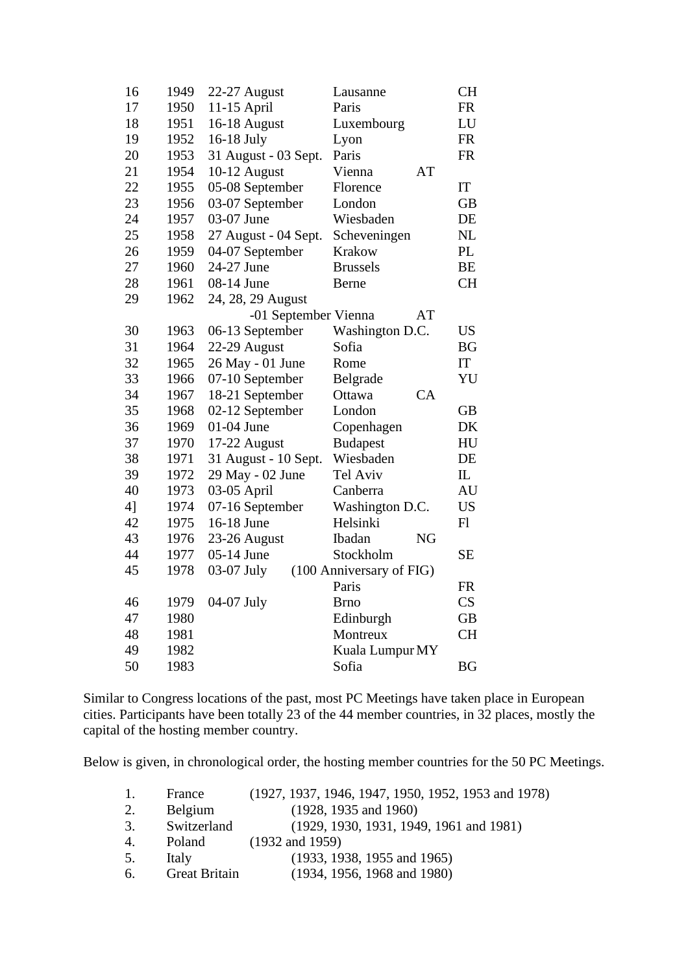| 16 | 1949 | 22-27 August         | Lausanne                 | <b>CH</b>    |
|----|------|----------------------|--------------------------|--------------|
| 17 | 1950 | 11-15 April          | Paris                    | <b>FR</b>    |
| 18 | 1951 | 16-18 August         | Luxembourg               | LU           |
| 19 | 1952 | 16-18 July           | Lyon                     | <b>FR</b>    |
| 20 | 1953 | 31 August - 03 Sept. | Paris                    | <b>FR</b>    |
| 21 | 1954 | 10-12 August         | Vienna<br>AT             |              |
| 22 | 1955 | 05-08 September      | Florence                 | IT           |
| 23 | 1956 | 03-07 September      | London                   | <b>GB</b>    |
| 24 | 1957 | 03-07 June           | Wiesbaden                | DE           |
| 25 | 1958 | 27 August - 04 Sept. | Scheveningen             | NL           |
| 26 | 1959 | 04-07 September      | Krakow                   | PL           |
| 27 | 1960 | 24-27 June           | <b>Brussels</b>          | <b>BE</b>    |
| 28 | 1961 | 08-14 June           | Berne                    | <b>CH</b>    |
| 29 | 1962 | 24, 28, 29 August    |                          |              |
|    |      | -01 September Vienna | AT                       |              |
| 30 | 1963 | 06-13 September      | Washington D.C.          | <b>US</b>    |
| 31 | 1964 | 22-29 August         | Sofia                    | <b>BG</b>    |
| 32 | 1965 | 26 May - 01 June     | Rome                     | IT           |
| 33 | 1966 | 07-10 September      | Belgrade                 | YU           |
| 34 | 1967 | 18-21 September      | CA<br>Ottawa             |              |
| 35 | 1968 | 02-12 September      | London                   | <b>GB</b>    |
| 36 | 1969 | 01-04 June           | Copenhagen               | DK           |
| 37 | 1970 | 17-22 August         | <b>Budapest</b>          | HU           |
| 38 | 1971 | 31 August - 10 Sept. | Wiesbaden                | DE           |
| 39 | 1972 | 29 May - 02 June     | Tel Aviv                 | $\mathbf{I}$ |
| 40 | 1973 | 03-05 April          | Canberra                 | AU           |
| 4] | 1974 | 07-16 September      | Washington D.C.          | <b>US</b>    |
| 42 | 1975 | 16-18 June           | Helsinki                 | F1           |
| 43 | 1976 | 23-26 August         | Ibadan<br><b>NG</b>      |              |
| 44 | 1977 | 05-14 June           | Stockholm                | <b>SE</b>    |
| 45 | 1978 | 03-07 July           | (100 Anniversary of FIG) |              |
|    |      |                      | Paris                    | <b>FR</b>    |
| 46 | 1979 | 04-07 July           | <b>Brno</b>              | CS           |
| 47 | 1980 |                      | Edinburgh                | GB           |
| 48 | 1981 |                      | Montreux                 | <b>CH</b>    |
| 49 | 1982 |                      | Kuala Lumpur MY          |              |
| 50 | 1983 |                      | Sofia                    | <b>BG</b>    |

Similar to Congress locations of the past, most PC Meetings have taken place in European cities. Participants have been totally 23 of the 44 member countries, in 32 places, mostly the capital of the hosting member country.

Below is given, in chronological order, the hosting member countries for the 50 PC Meetings.

| France               | (1927, 1937, 1946, 1947, 1950, 1952, 1953 and 1978) |
|----------------------|-----------------------------------------------------|
| Belgium              | (1928, 1935, and 1960)                              |
| Switzerland          | (1929, 1930, 1931, 1949, 1961, 1981)                |
| Poland               | $(1932 \text{ and } 1959)$                          |
| Italy                | (1933, 1938, 1955, 1965)                            |
| <b>Great Britain</b> | (1934, 1956, 1968, and 1980)                        |
|                      |                                                     |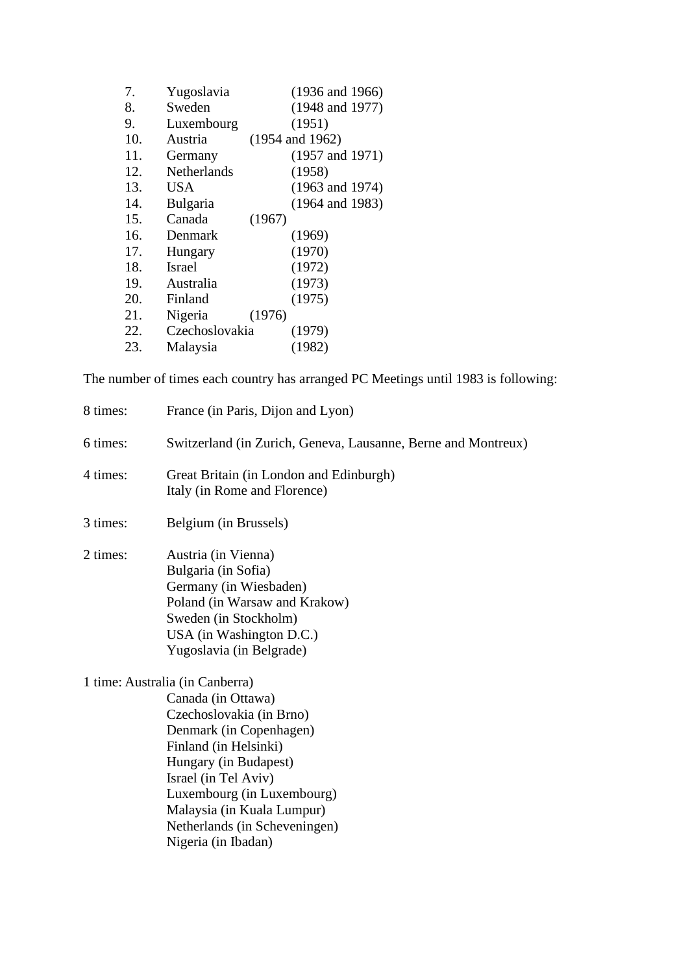| Yugoslavia         | $(1936$ and $1966)$        |
|--------------------|----------------------------|
| Sweden             | $(1948$ and $1977)$        |
| Luxembourg         | (1951)                     |
| Austria            | $(1954 \text{ and } 1962)$ |
| Germany            | $(1957 \text{ and } 1971)$ |
| <b>Netherlands</b> | (1958)                     |
| <b>USA</b>         | $(1963 \text{ and } 1974)$ |
| Bulgaria           | $(1964$ and $1983)$        |
| Canada             | (1967)                     |
| Denmark            | (1969)                     |
| Hungary            | (1970)                     |
| Israel             | (1972)                     |
| Australia          | (1973)                     |
| Finland            | (1975)                     |
| Nigeria            | (1976)                     |
| Czechoslovakia     | (1979)                     |
| Malaysia           | (1982)                     |
|                    |                            |

The number of times each country has arranged PC Meetings until 1983 is following:

| 8 times: | France (in Paris, Dijon and Lyon)                                                                                                                                                                                                                                                                          |
|----------|------------------------------------------------------------------------------------------------------------------------------------------------------------------------------------------------------------------------------------------------------------------------------------------------------------|
| 6 times: | Switzerland (in Zurich, Geneva, Lausanne, Berne and Montreux)                                                                                                                                                                                                                                              |
| 4 times: | Great Britain (in London and Edinburgh)<br>Italy (in Rome and Florence)                                                                                                                                                                                                                                    |
| 3 times: | Belgium (in Brussels)                                                                                                                                                                                                                                                                                      |
| 2 times: | Austria (in Vienna)<br>Bulgaria (in Sofia)<br>Germany (in Wiesbaden)<br>Poland (in Warsaw and Krakow)<br>Sweden (in Stockholm)<br>USA (in Washington D.C.)<br>Yugoslavia (in Belgrade)                                                                                                                     |
|          | 1 time: Australia (in Canberra)<br>Canada (in Ottawa)<br>Czechoslovakia (in Brno)<br>Denmark (in Copenhagen)<br>Finland (in Helsinki)<br>Hungary (in Budapest)<br>Israel (in Tel Aviv)<br>Luxembourg (in Luxembourg)<br>Malaysia (in Kuala Lumpur)<br>Netherlands (in Scheveningen)<br>Nigeria (in Ibadan) |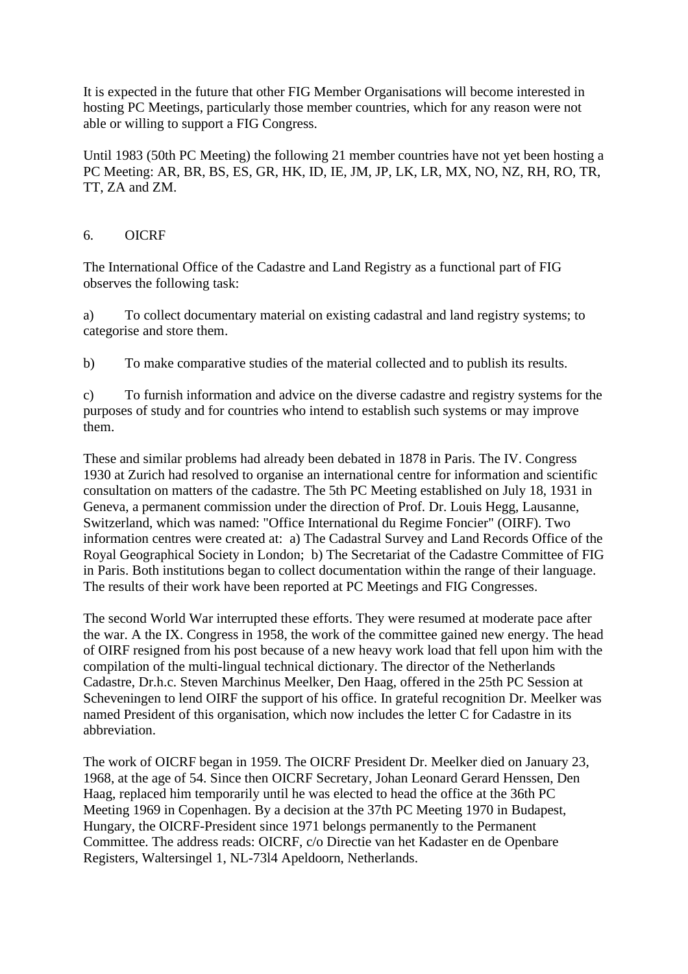It is expected in the future that other FIG Member Organisations will become interested in hosting PC Meetings, particularly those member countries, which for any reason were not able or willing to support a FIG Congress.

Until 1983 (50th PC Meeting) the following 21 member countries have not yet been hosting a PC Meeting: AR, BR, BS, ES, GR, HK, ID, IE, JM, JP, LK, LR, MX, NO, NZ, RH, RO, TR, TT, ZA and ZM.

#### 6. OICRF

The International Office of the Cadastre and Land Registry as a functional part of FIG observes the following task:

a) To collect documentary material on existing cadastral and land registry systems; to categorise and store them.

b) To make comparative studies of the material collected and to publish its results.

c) To furnish information and advice on the diverse cadastre and registry systems for the purposes of study and for countries who intend to establish such systems or may improve them.

These and similar problems had already been debated in 1878 in Paris. The IV. Congress 1930 at Zurich had resolved to organise an international centre for information and scientific consultation on matters of the cadastre. The 5th PC Meeting established on July 18, 1931 in Geneva, a permanent commission under the direction of Prof. Dr. Louis Hegg, Lausanne, Switzerland, which was named: "Office International du Regime Foncier" (OIRF). Two information centres were created at: a) The Cadastral Survey and Land Records Office of the Royal Geographical Society in London; b) The Secretariat of the Cadastre Committee of FIG in Paris. Both institutions began to collect documentation within the range of their language. The results of their work have been reported at PC Meetings and FIG Congresses.

The second World War interrupted these efforts. They were resumed at moderate pace after the war. A the IX. Congress in 1958, the work of the committee gained new energy. The head of OIRF resigned from his post because of a new heavy work load that fell upon him with the compilation of the multi-lingual technical dictionary. The director of the Netherlands Cadastre, Dr.h.c. Steven Marchinus Meelker, Den Haag, offered in the 25th PC Session at Scheveningen to lend OIRF the support of his office. In grateful recognition Dr. Meelker was named President of this organisation, which now includes the letter C for Cadastre in its abbreviation.

The work of OICRF began in 1959. The OICRF President Dr. Meelker died on January 23, 1968, at the age of 54. Since then OICRF Secretary, Johan Leonard Gerard Henssen, Den Haag, replaced him temporarily until he was elected to head the office at the 36th PC Meeting 1969 in Copenhagen. By a decision at the 37th PC Meeting 1970 in Budapest, Hungary, the OICRF-President since 1971 belongs permanently to the Permanent Committee. The address reads: OICRF, c/o Directie van het Kadaster en de Openbare Registers, Waltersingel 1, NL-73l4 Apeldoorn, Netherlands.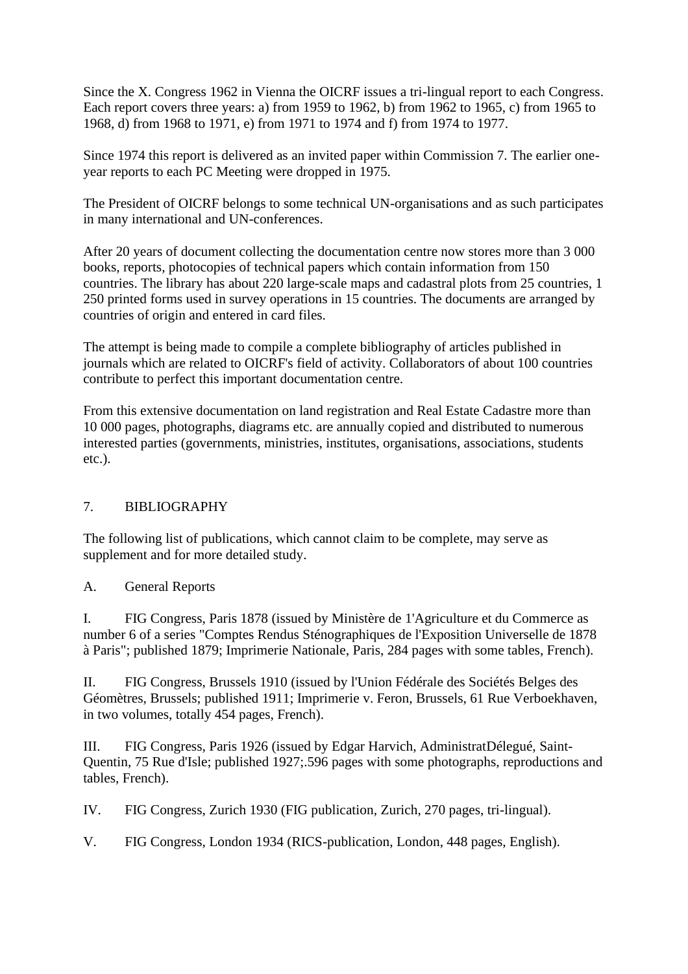Since the X. Congress 1962 in Vienna the OICRF issues a tri-lingual report to each Congress. Each report covers three years: a) from 1959 to 1962, b) from 1962 to 1965, c) from 1965 to 1968, d) from 1968 to 1971, e) from 1971 to 1974 and f) from 1974 to 1977.

Since 1974 this report is delivered as an invited paper within Commission 7. The earlier oneyear reports to each PC Meeting were dropped in 1975.

The President of OICRF belongs to some technical UN-organisations and as such participates in many international and UN-conferences.

After 20 years of document collecting the documentation centre now stores more than 3 000 books, reports, photocopies of technical papers which contain information from 150 countries. The library has about 220 large-scale maps and cadastral plots from 25 countries, 1 250 printed forms used in survey operations in 15 countries. The documents are arranged by countries of origin and entered in card files.

The attempt is being made to compile a complete bibliography of articles published in journals which are related to OICRF's field of activity. Collaborators of about 100 countries contribute to perfect this important documentation centre.

From this extensive documentation on land registration and Real Estate Cadastre more than 10 000 pages, photographs, diagrams etc. are annually copied and distributed to numerous interested parties (governments, ministries, institutes, organisations, associations, students etc.).

### 7. BIBLIOGRAPHY

The following list of publications, which cannot claim to be complete, may serve as supplement and for more detailed study.

#### A. General Reports

I. FIG Congress, Paris 1878 (issued by Ministère de 1'Agriculture et du Commerce as number 6 of a series "Comptes Rendus Sténographiques de l'Exposition Universelle de 1878 à Paris"; published 1879; Imprimerie Nationale, Paris, 284 pages with some tables, French).

II. FIG Congress, Brussels 1910 (issued by l'Union Fédérale des Sociétés Belges des Géomètres, Brussels; published 1911; Imprimerie v. Feron, Brussels, 61 Rue Verboekhaven, in two volumes, totally 454 pages, French).

III. FIG Congress, Paris 1926 (issued by Edgar Harvich, AdministratDélegué, Saint-Quentin, 75 Rue d'Isle; published 1927;.596 pages with some photographs, reproductions and tables, French).

IV. FIG Congress, Zurich 1930 (FIG publication, Zurich, 270 pages, tri-lingual).

V. FIG Congress, London 1934 (RICS-publication, London, 448 pages, English).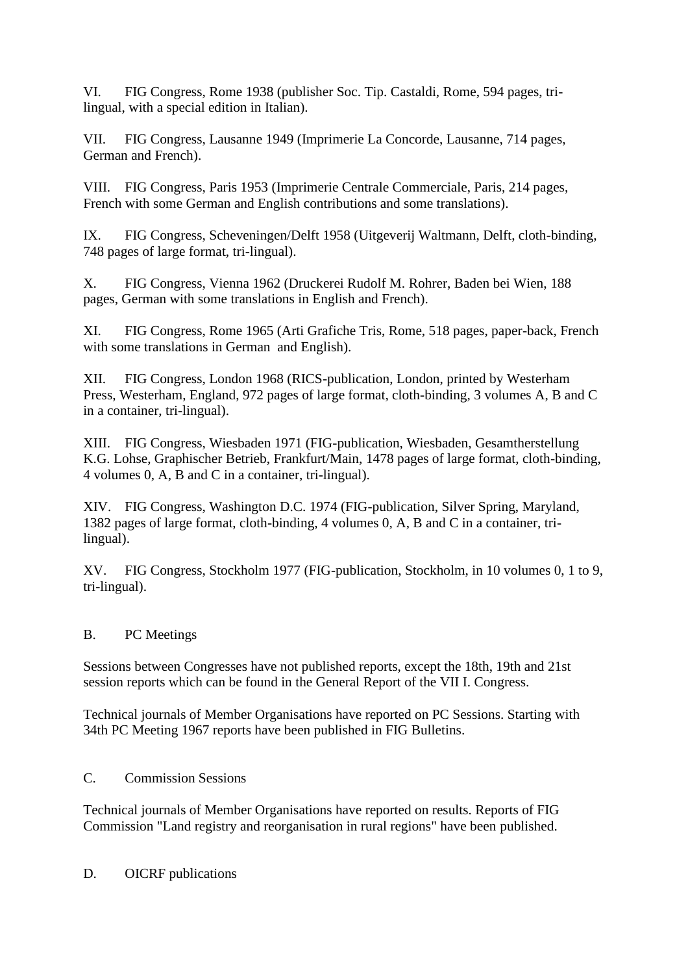VI. FIG Congress, Rome 1938 (publisher Soc. Tip. Castaldi, Rome, 594 pages, trilingual, with a special edition in Italian).

VII. FIG Congress, Lausanne 1949 (Imprimerie La Concorde, Lausanne, 714 pages, German and French).

VIII. FIG Congress, Paris 1953 (Imprimerie Centrale Commerciale, Paris, 214 pages, French with some German and English contributions and some translations).

IX. FIG Congress, Scheveningen/Delft 1958 (Uitgeverij Waltmann, Delft, cloth-binding, 748 pages of large format, tri-lingual).

X. FIG Congress, Vienna 1962 (Druckerei Rudolf M. Rohrer, Baden bei Wien, 188 pages, German with some translations in English and French).

XI. FIG Congress, Rome 1965 (Arti Grafiche Tris, Rome, 518 pages, paper-back, French with some translations in German and English).

XII. FIG Congress, London 1968 (RICS-publication, London, printed by Westerham Press, Westerham, England, 972 pages of large format, cloth-binding, 3 volumes A, B and C in a container, tri-lingual).

XIII. FIG Congress, Wiesbaden 1971 (FIG-publication, Wiesbaden, Gesamtherstellung K.G. Lohse, Graphischer Betrieb, Frankfurt/Main, 1478 pages of large format, cloth-binding, 4 volumes 0, A, B and C in a container, tri-lingual).

XIV. FIG Congress, Washington D.C. 1974 (FIG-publication, Silver Spring, Maryland, 1382 pages of large format, cloth-binding, 4 volumes 0, A, B and C in a container, trilingual).

XV. FIG Congress, Stockholm 1977 (FIG-publication, Stockholm, in 10 volumes 0, 1 to 9, tri-lingual).

## B. PC Meetings

Sessions between Congresses have not published reports, except the 18th, 19th and 21st session reports which can be found in the General Report of the VII I. Congress.

Technical journals of Member Organisations have reported on PC Sessions. Starting with 34th PC Meeting 1967 reports have been published in FIG Bulletins.

### C. Commission Sessions

Technical journals of Member Organisations have reported on results. Reports of FIG Commission "Land registry and reorganisation in rural regions" have been published.

D. OICRF publications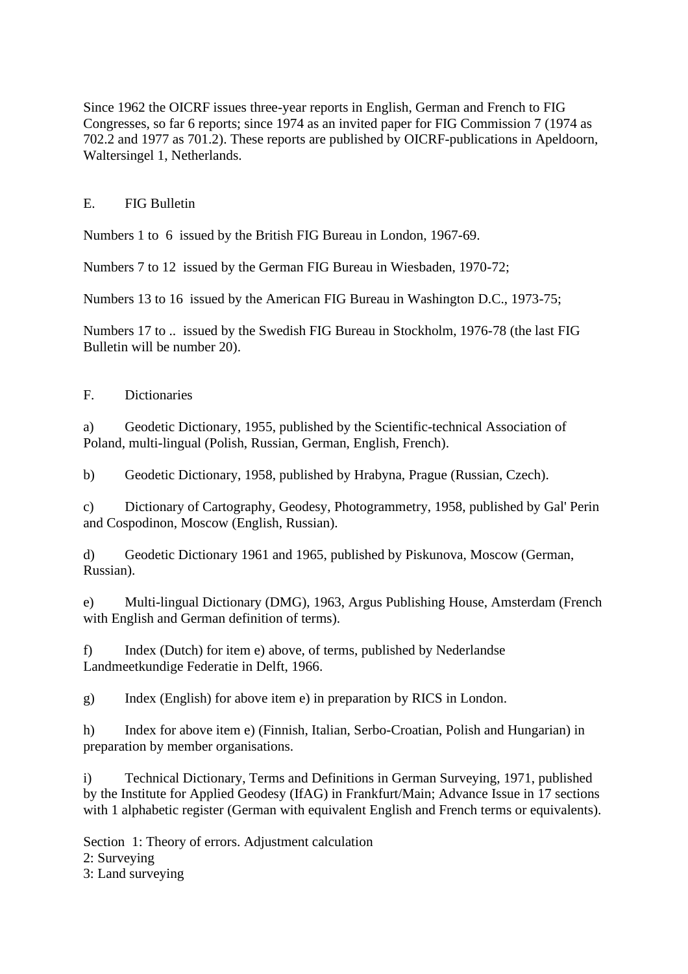Since 1962 the OICRF issues three-year reports in English, German and French to FIG Congresses, so far 6 reports; since 1974 as an invited paper for FIG Commission 7 (1974 as 702.2 and 1977 as 701.2). These reports are published by OICRF-publications in Apeldoorn, Waltersingel 1, Netherlands.

## E. FIG Bulletin

Numbers 1 to 6 issued by the British FIG Bureau in London, 1967-69.

Numbers 7 to 12 issued by the German FIG Bureau in Wiesbaden, 1970-72;

Numbers 13 to 16 issued by the American FIG Bureau in Washington D.C., 1973-75;

Numbers 17 to .. issued by the Swedish FIG Bureau in Stockholm, 1976-78 (the last FIG Bulletin will be number 20).

## F. Dictionaries

a) Geodetic Dictionary, 1955, published by the Scientific-technical Association of Poland, multi-lingual (Polish, Russian, German, English, French).

b) Geodetic Dictionary, 1958, published by Hrabyna, Prague (Russian, Czech).

c) Dictionary of Cartography, Geodesy, Photogrammetry, 1958, published by Gal' Perin and Cospodinon, Moscow (English, Russian).

d) Geodetic Dictionary 1961 and 1965, published by Piskunova, Moscow (German, Russian).

e) Multi-lingual Dictionary (DMG), 1963, Argus Publishing House, Amsterdam (French with English and German definition of terms).

f) Index (Dutch) for item e) above, of terms, published by Nederlandse Landmeetkundige Federatie in Delft, 1966.

g) Index (English) for above item e) in preparation by RICS in London.

h) Index for above item e) (Finnish, Italian, Serbo-Croatian, Polish and Hungarian) in preparation by member organisations.

i) Technical Dictionary, Terms and Definitions in German Surveying, 1971, published by the Institute for Applied Geodesy (IfAG) in Frankfurt/Main; Advance Issue in 17 sections with 1 alphabetic register (German with equivalent English and French terms or equivalents).

Section 1: Theory of errors. Adjustment calculation

2: Surveying

3: Land surveying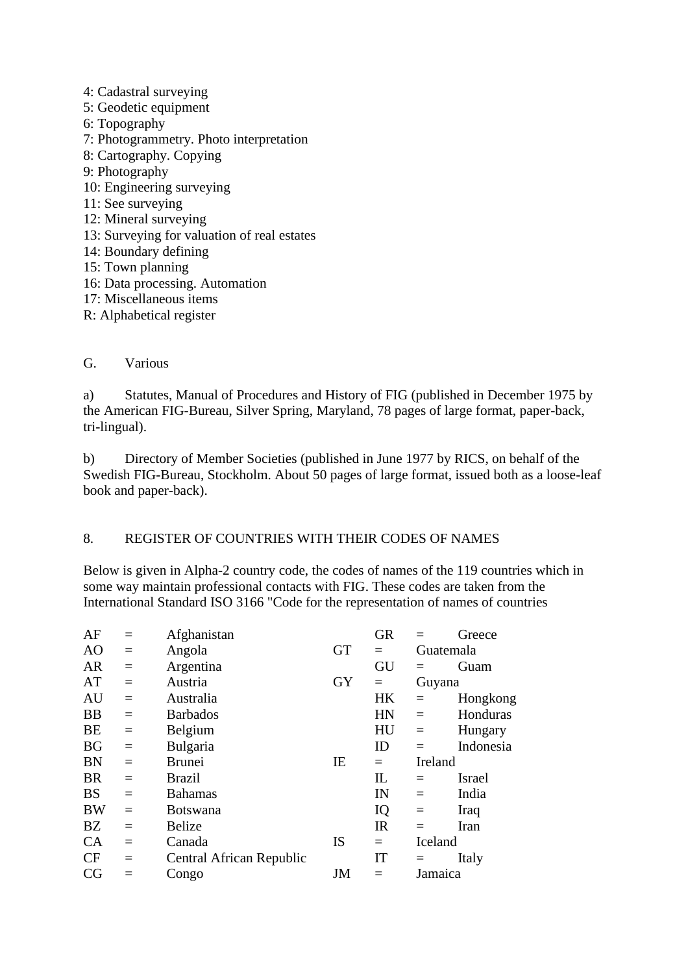- 4: Cadastral surveying
- 5: Geodetic equipment
- 6: Topography
- 7: Photogrammetry. Photo interpretation
- 8: Cartography. Copying
- 9: Photography
- 10: Engineering surveying
- 11: See surveying
- 12: Mineral surveying
- 13: Surveying for valuation of real estates
- 14: Boundary defining
- 15: Town planning
- 16: Data processing. Automation
- 17: Miscellaneous items
- R: Alphabetical register

#### G. Various

a) Statutes, Manual of Procedures and History of FIG (published in December 1975 by the American FIG-Bureau, Silver Spring, Maryland, 78 pages of large format, paper-back, tri-lingual).

b) Directory of Member Societies (published in June 1977 by RICS, on behalf of the Swedish FIG-Bureau, Stockholm. About 50 pages of large format, issued both as a loose-leaf book and paper-back).

### 8. REGISTER OF COUNTRIES WITH THEIR CODES OF NAMES

Below is given in Alpha-2 country code, the codes of names of the 119 countries which in some way maintain professional contacts with FIG. These codes are taken from the International Standard ISO 3166 "Code for the representation of names of countries

| AF        | $=$      | Afghanistan              |           | <b>GR</b> |          | Greece        |
|-----------|----------|--------------------------|-----------|-----------|----------|---------------|
| AO        | $=$      | Angola                   | <b>GT</b> | $=$       |          | Guatemala     |
| <b>AR</b> | $=$      | Argentina                |           | GU        | $=$      | Guam          |
| AT        | $=$      | Austria                  | <b>GY</b> | $=$       | Guyana   |               |
| AU        | $=$      | Australia                |           | HK        | $=$      | Hongkong      |
| <b>BB</b> | $=$      | <b>Barbados</b>          |           | HN        | $=$      | Honduras      |
| <b>BE</b> | $\equiv$ | Belgium                  |           | HU        | $\equiv$ | Hungary       |
| <b>BG</b> | $=$      | Bulgaria                 |           | ID        | $=$      | Indonesia     |
| <b>BN</b> | $=$      | <b>Brunei</b>            | IE        | $=$       | Ireland  |               |
| <b>BR</b> | $=$      | <b>Brazil</b>            |           | IL        | $=$      | <b>Israel</b> |
| <b>BS</b> | $=$      | <b>Bahamas</b>           |           | IN        | $=$      | India         |
| <b>BW</b> | $=$      | <b>Botswana</b>          |           | IQ        | $\equiv$ | Iraq          |
| <b>BZ</b> | $=$      | <b>Belize</b>            |           | IR        | $=$      | Iran          |
| CA        | $=$      | Canada                   | <b>IS</b> | $=$       | Iceland  |               |
| <b>CF</b> | $=$      | Central African Republic |           | IT        | $=$      | Italy         |
| CG        |          | Congo                    | JM        |           | Jamaica  |               |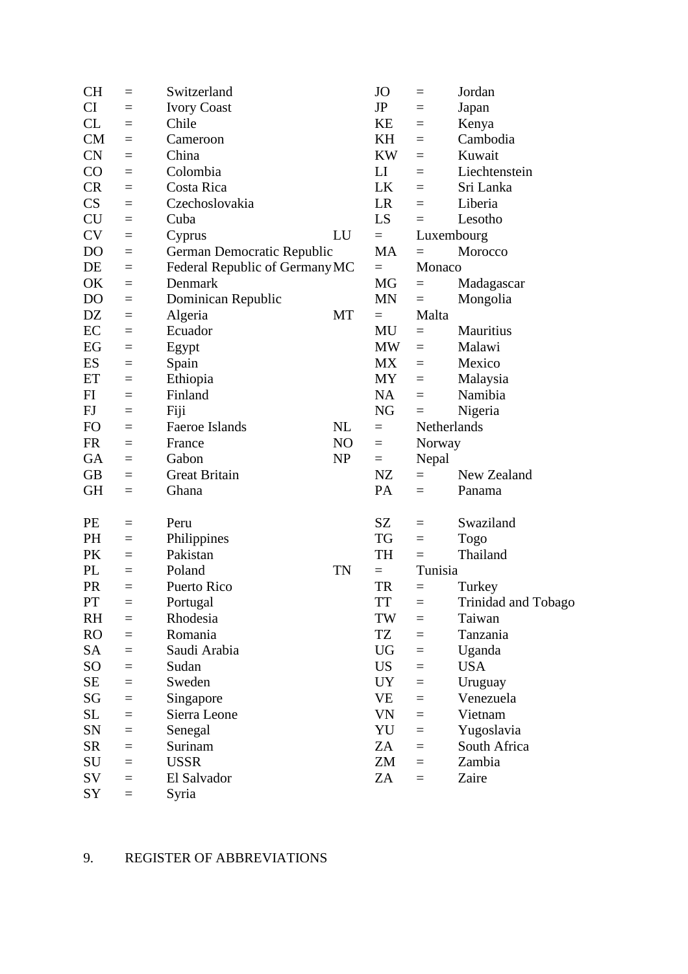| <b>CH</b>      | $=$      | Switzerland                    |           | <b>JO</b> | $=$      | Jordan              |
|----------------|----------|--------------------------------|-----------|-----------|----------|---------------------|
| CI             | $=$      | <b>Ivory Coast</b>             |           | JP        | $=$      | Japan               |
| CL             | $=$      | Chile                          |           | KE        | $=$      | Kenya               |
| CM             | $=$      | Cameroon                       |           | KH        | $=$      | Cambodia            |
| <b>CN</b>      | $=$      | China                          |           | KW        | $=$      | Kuwait              |
| CO             | $=$      | Colombia                       |           | LI        | $=$      | Liechtenstein       |
| <b>CR</b>      | $=$      | Costa Rica                     |           | LK        | $=$      | Sri Lanka           |
| CS             | $=$      | Czechoslovakia                 |           | <b>LR</b> | $=$      | Liberia             |
| <b>CU</b>      | $=$      | Cuba                           |           | LS        | $=$      | Lesotho             |
| <b>CV</b>      | $=$      | Cyprus                         | LU        | $=$       |          | Luxembourg          |
| DO             | $\equiv$ | German Democratic Republic     |           | <b>MA</b> | $=$      | Morocco             |
| DE             | $\equiv$ | Federal Republic of Germany MC |           | $=$       | Monaco   |                     |
| OK             | $=$      | Denmark                        |           | MG        | $=$      | Madagascar          |
| D <sub>O</sub> | $=$      | Dominican Republic             |           | <b>MN</b> | $=$      | Mongolia            |
| <b>DZ</b>      | $=$      | Algeria                        | MT        | $=$       | Malta    |                     |
| EC             | $=$      | Ecuador                        |           | MU        | $=$      | Mauritius           |
| EG             | $\equiv$ | Egypt                          |           | <b>MW</b> | $=$      | Malawi              |
| ES             | $=$      | Spain                          |           | <b>MX</b> | $=$      | Mexico              |
| ET             | $=$      | Ethiopia                       |           | <b>MY</b> | $=$      | Malaysia            |
| FI             | $=$      | Finland                        |           | NA        | $=$      | Namibia             |
| FJ             | $\equiv$ | Fiji                           |           | NG        | $=$      | Nigeria             |
| FO             | $\equiv$ | Faeroe Islands                 | NL        | $=$       |          | Netherlands         |
| <b>FR</b>      | $=$      | France                         | NO        | $=$       | Norway   |                     |
| <b>GA</b>      | $=$      | Gabon                          | <b>NP</b> | $=$       | Nepal    |                     |
| <b>GB</b>      | $=$      | <b>Great Britain</b>           |           | NZ        | $=$      | New Zealand         |
| <b>GH</b>      | $=$      | Ghana                          |           | PA        | $=$      | Panama              |
|                |          |                                |           |           |          |                     |
| PE             | $=$      | Peru                           |           | SZ        | $=$      | Swaziland           |
| PH             | $=$      | Philippines                    |           | TG        | $=$      | <b>Togo</b>         |
| PK             | $=$      | Pakistan                       |           | TH        | $=$      | Thailand            |
| PL             | $=$      | Poland                         | <b>TN</b> | $=$       | Tunisia  |                     |
| PR             | $=$      | Puerto Rico                    |           | <b>TR</b> | $=$      | Turkey              |
| PT             | $\equiv$ | Portugal                       |           | <b>TT</b> | ᆖ        | Trinidad and Tobago |
| RH             | $=$      | Rhodesia                       |           | TW        | $=$      | Taiwan              |
| <b>RO</b>      | $=$      | Romania                        |           | TZ        | $=$      | Tanzania            |
| SA             | $=$      | Saudi Arabia                   |           | UG        | $=$      | Uganda              |
| SO             | $=$      | Sudan                          |           | <b>US</b> | $=$      | <b>USA</b>          |
| SE             | $\equiv$ | Sweden                         |           | <b>UY</b> | $=$      | Uruguay             |
| SG             | $=$      | Singapore                      |           | VE        | $=$      | Venezuela           |
| SL             | $=$      | Sierra Leone                   |           | VN        | $=$      | Vietnam             |
| SN             | $\equiv$ | Senegal                        |           | YU        | $=$      | Yugoslavia          |
| <b>SR</b>      | $\equiv$ | Surinam                        |           | ZA        | $\equiv$ | South Africa        |
| SU             | $=$      | <b>USSR</b>                    |           | ZM        | $=$      | Zambia              |
| SV             | $=$      | El Salvador                    |           | ZA        | $=$      | Zaire               |
| SY             | $=$      | Syria                          |           |           |          |                     |
|                |          |                                |           |           |          |                     |

## 9. REGISTER OF ABBREVIATIONS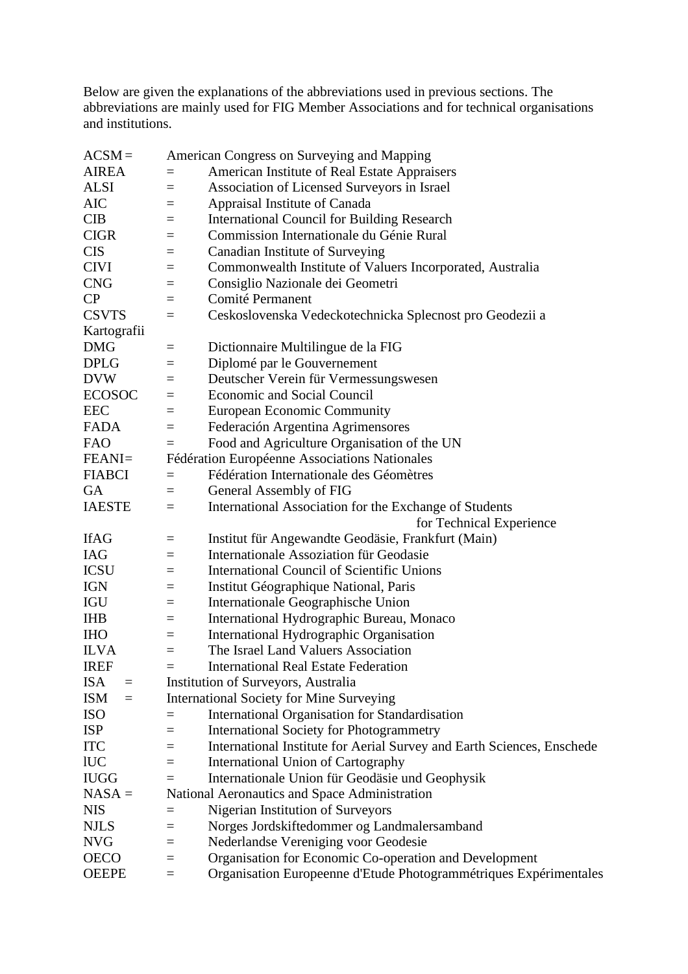Below are given the explanations of the abbreviations used in previous sections. The abbreviations are mainly used for FIG Member Associations and for technical organisations and institutions.

| $ACSM =$               |          | American Congress on Surveying and Mapping                             |
|------------------------|----------|------------------------------------------------------------------------|
| <b>AIREA</b>           | $=$      | American Institute of Real Estate Appraisers                           |
| <b>ALSI</b>            | $=$      | Association of Licensed Surveyors in Israel                            |
| AIC                    | $\equiv$ | Appraisal Institute of Canada                                          |
| <b>CIB</b>             | $=$      | <b>International Council for Building Research</b>                     |
| <b>CIGR</b>            | $=$      | Commission Internationale du Génie Rural                               |
| <b>CIS</b>             | $=$      | Canadian Institute of Surveying                                        |
| <b>CIVI</b>            | $=$      | Commonwealth Institute of Valuers Incorporated, Australia              |
| <b>CNG</b>             | $=$      | Consiglio Nazionale dei Geometri                                       |
| CP                     | $=$      | Comité Permanent                                                       |
| <b>CSVTS</b>           | $=$      | Ceskoslovenska Vedeckotechnicka Splecnost pro Geodezii a               |
| Kartografii            |          |                                                                        |
| <b>DMG</b>             | $\equiv$ | Dictionnaire Multilingue de la FIG                                     |
| <b>DPLG</b>            | $=$      | Diplomé par le Gouvernement                                            |
| <b>DVW</b>             | $=$      | Deutscher Verein für Vermessungswesen                                  |
| <b>ECOSOC</b>          | $\equiv$ | <b>Economic and Social Council</b>                                     |
| <b>EEC</b>             | $\equiv$ | <b>European Economic Community</b>                                     |
| <b>FADA</b>            | $=$      | Federación Argentina Agrimensores                                      |
| <b>FAO</b>             | $=$      | Food and Agriculture Organisation of the UN                            |
| FEANI=                 |          | Fédération Européenne Associations Nationales                          |
| <b>FIABCI</b>          | $=$      | Fédération Internationale des Géomètres                                |
| <b>GA</b>              | $=$      | General Assembly of FIG                                                |
| <b>IAESTE</b>          | $\equiv$ | International Association for the Exchange of Students                 |
|                        |          | for Technical Experience                                               |
| <b>IfAG</b>            | $\equiv$ | Institut für Angewandte Geodäsie, Frankfurt (Main)                     |
| <b>IAG</b>             | $=$      | <b>Internationale Assoziation für Geodasie</b>                         |
| <b>ICSU</b>            | $=$      | International Council of Scientific Unions                             |
| <b>IGN</b>             | $=$      | Institut Géographique National, Paris                                  |
| IGU                    | $=$      | Internationale Geographische Union                                     |
| <b>IHB</b>             | $=$      | International Hydrographic Bureau, Monaco                              |
| <b>IHO</b>             | $=$      | International Hydrographic Organisation                                |
| <b>ILVA</b>            | $\equiv$ | The Israel Land Valuers Association                                    |
| <b>IREF</b>            |          | <b>International Real Estate Federation</b>                            |
| <b>ISA</b><br>$\equiv$ |          | Institution of Surveyors, Australia                                    |
| <b>ISM</b><br>$\equiv$ |          | <b>International Society for Mine Surveying</b>                        |
| <b>ISO</b>             | $=$      | <b>International Organisation for Standardisation</b>                  |
| <b>ISP</b>             | $=$      | <b>International Society for Photogrammetry</b>                        |
| <b>ITC</b>             | Ξ        | International Institute for Aerial Survey and Earth Sciences, Enschede |
| <b>IUC</b>             | $=$      | International Union of Cartography                                     |
| <b>IUGG</b>            | $=$      | Internationale Union für Geodäsie und Geophysik                        |
| $NASA =$               |          | National Aeronautics and Space Administration                          |
| <b>NIS</b>             | $\equiv$ | Nigerian Institution of Surveyors                                      |
| <b>NJLS</b>            | $=$      | Norges Jordskiftedommer og Landmalersamband                            |
| <b>NVG</b>             | $=$      | Nederlandse Vereniging voor Geodesie                                   |
| <b>OECO</b>            |          | Organisation for Economic Co-operation and Development                 |
| <b>OEEPE</b>           | $=$      |                                                                        |
|                        | $\equiv$ | Organisation Europeenne d'Etude Photogrammétriques Expérimentales      |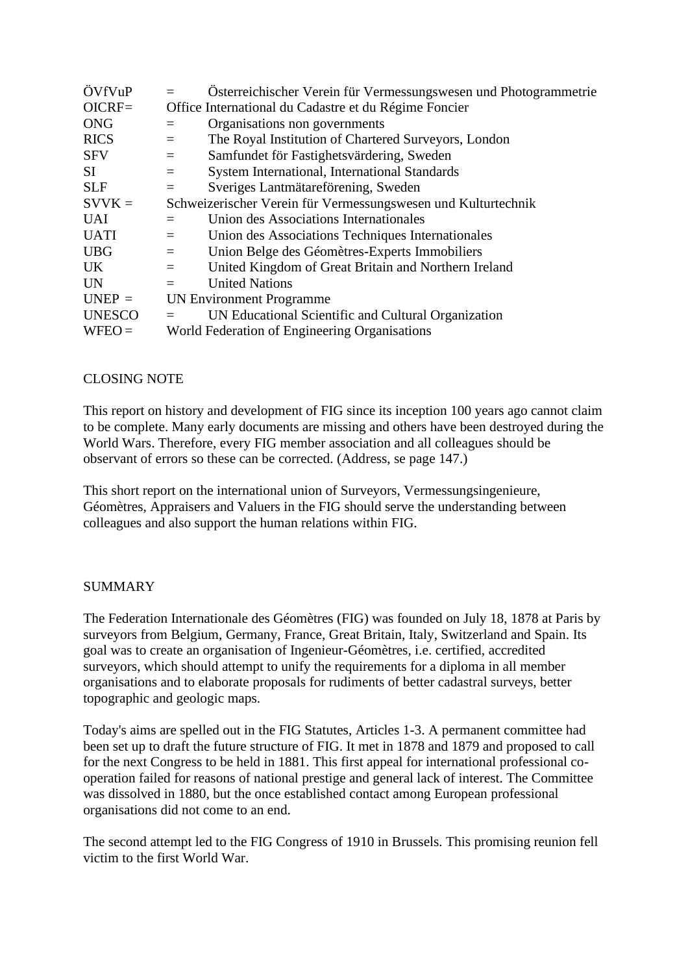| ÖVfVuP        |                                                               | Österreichischer Verein für Vermessungswesen und Photogrammetrie |
|---------------|---------------------------------------------------------------|------------------------------------------------------------------|
| $OICRF=$      |                                                               | Office International du Cadastre et du Régime Foncier            |
| <b>ONG</b>    | $=$                                                           | Organisations non governments                                    |
| <b>RICS</b>   | $=$                                                           | The Royal Institution of Chartered Surveyors, London             |
| <b>SFV</b>    | $=$                                                           | Samfundet för Fastighetsvärdering, Sweden                        |
| SI            | $\equiv$                                                      | <b>System International, International Standards</b>             |
| <b>SLF</b>    | $=$                                                           | Sveriges Lantmätareförening, Sweden                              |
| $SVVK =$      | Schweizerischer Verein für Vermessungswesen und Kulturtechnik |                                                                  |
| <b>UAI</b>    |                                                               | Union des Associations Internationales                           |
| <b>UATI</b>   | $=$                                                           | Union des Associations Techniques Internationales                |
| <b>UBG</b>    | $=$                                                           | Union Belge des Géomètres-Experts Immobiliers                    |
| UK.           | $=$                                                           | United Kingdom of Great Britain and Northern Ireland             |
| <b>UN</b>     | $=$                                                           | <b>United Nations</b>                                            |
| $UNEP =$      | <b>UN Environment Programme</b>                               |                                                                  |
| <b>UNESCO</b> |                                                               | UN Educational Scientific and Cultural Organization              |
| $WFEO =$      |                                                               | World Federation of Engineering Organisations                    |
|               |                                                               |                                                                  |

## CLOSING NOTE

This report on history and development of FIG since its inception 100 years ago cannot claim to be complete. Many early documents are missing and others have been destroyed during the World Wars. Therefore, every FIG member association and all colleagues should be observant of errors so these can be corrected. (Address, se page 147.)

This short report on the international union of Surveyors, Vermessungsingenieure, Géomètres, Appraisers and Valuers in the FIG should serve the understanding between colleagues and also support the human relations within FIG.

### SUMMARY

The Federation Internationale des Géomètres (FIG) was founded on July 18, 1878 at Paris by surveyors from Belgium, Germany, France, Great Britain, Italy, Switzerland and Spain. Its goal was to create an organisation of Ingenieur-Géomètres, i.e. certified, accredited surveyors, which should attempt to unify the requirements for a diploma in all member organisations and to elaborate proposals for rudiments of better cadastral surveys, better topographic and geologic maps.

Today's aims are spelled out in the FIG Statutes, Articles 1-3. A permanent committee had been set up to draft the future structure of FIG. It met in 1878 and 1879 and proposed to call for the next Congress to be held in 1881. This first appeal for international professional cooperation failed for reasons of national prestige and general lack of interest. The Committee was dissolved in 1880, but the once established contact among European professional organisations did not come to an end.

The second attempt led to the FIG Congress of 1910 in Brussels. This promising reunion fell victim to the first World War.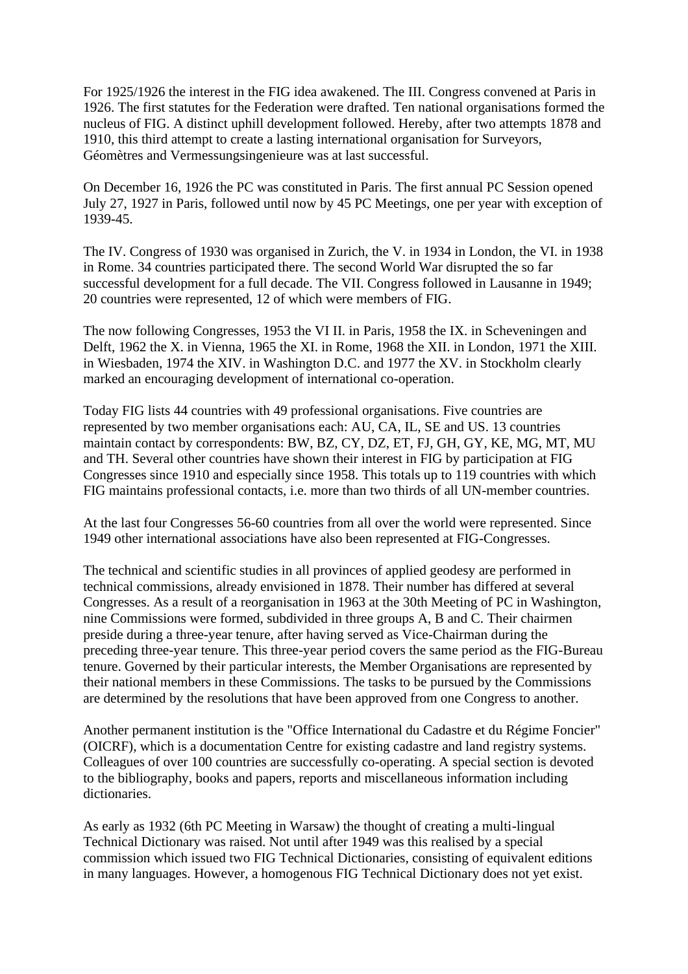For 1925/1926 the interest in the FIG idea awakened. The III. Congress convened at Paris in 1926. The first statutes for the Federation were drafted. Ten national organisations formed the nucleus of FIG. A distinct uphill development followed. Hereby, after two attempts 1878 and 1910, this third attempt to create a lasting international organisation for Surveyors, Géomètres and Vermessungsingenieure was at last successful.

On December 16, 1926 the PC was constituted in Paris. The first annual PC Session opened July 27, 1927 in Paris, followed until now by 45 PC Meetings, one per year with exception of 1939-45.

The IV. Congress of 1930 was organised in Zurich, the V. in 1934 in London, the VI. in 1938 in Rome. 34 countries participated there. The second World War disrupted the so far successful development for a full decade. The VII. Congress followed in Lausanne in 1949; 20 countries were represented, 12 of which were members of FIG.

The now following Congresses, 1953 the VI II. in Paris, 1958 the IX. in Scheveningen and Delft, 1962 the X. in Vienna, 1965 the XI. in Rome, 1968 the XII. in London, 1971 the XIII. in Wiesbaden, 1974 the XIV. in Washington D.C. and 1977 the XV. in Stockholm clearly marked an encouraging development of international co-operation.

Today FIG lists 44 countries with 49 professional organisations. Five countries are represented by two member organisations each: AU, CA, IL, SE and US. 13 countries maintain contact by correspondents: BW, BZ, CY, DZ, ET, FJ, GH, GY, KE, MG, MT, MU and TH. Several other countries have shown their interest in FIG by participation at FIG Congresses since 1910 and especially since 1958. This totals up to 119 countries with which FIG maintains professional contacts, i.e. more than two thirds of all UN-member countries.

At the last four Congresses 56-60 countries from all over the world were represented. Since 1949 other international associations have also been represented at FIG-Congresses.

The technical and scientific studies in all provinces of applied geodesy are performed in technical commissions, already envisioned in 1878. Their number has differed at several Congresses. As a result of a reorganisation in 1963 at the 30th Meeting of PC in Washington, nine Commissions were formed, subdivided in three groups A, B and C. Their chairmen preside during a three-year tenure, after having served as Vice-Chairman during the preceding three-year tenure. This three-year period covers the same period as the FIG-Bureau tenure. Governed by their particular interests, the Member Organisations are represented by their national members in these Commissions. The tasks to be pursued by the Commissions are determined by the resolutions that have been approved from one Congress to another.

Another permanent institution is the "Office International du Cadastre et du Régime Foncier" (OICRF), which is a documentation Centre for existing cadastre and land registry systems. Colleagues of over 100 countries are successfully co-operating. A special section is devoted to the bibliography, books and papers, reports and miscellaneous information including dictionaries.

As early as 1932 (6th PC Meeting in Warsaw) the thought of creating a multi-lingual Technical Dictionary was raised. Not until after 1949 was this realised by a special commission which issued two FIG Technical Dictionaries, consisting of equivalent editions in many languages. However, a homogenous FIG Technical Dictionary does not yet exist.